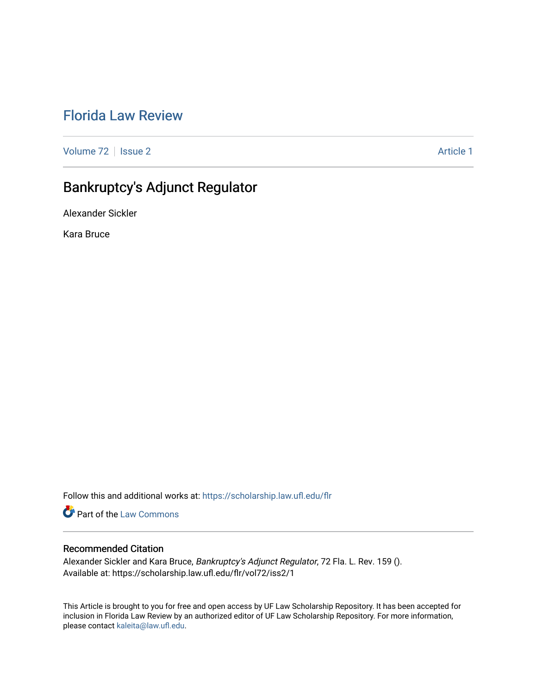# [Florida Law Review](https://scholarship.law.ufl.edu/flr)

[Volume 72](https://scholarship.law.ufl.edu/flr/vol72) | [Issue 2](https://scholarship.law.ufl.edu/flr/vol72/iss2) Article 1

# Bankruptcy's Adjunct Regulator

Alexander Sickler

Kara Bruce

Follow this and additional works at: [https://scholarship.law.ufl.edu/flr](https://scholarship.law.ufl.edu/flr?utm_source=scholarship.law.ufl.edu%2Fflr%2Fvol72%2Fiss2%2F1&utm_medium=PDF&utm_campaign=PDFCoverPages)

Part of the [Law Commons](http://network.bepress.com/hgg/discipline/578?utm_source=scholarship.law.ufl.edu%2Fflr%2Fvol72%2Fiss2%2F1&utm_medium=PDF&utm_campaign=PDFCoverPages)

# Recommended Citation

Alexander Sickler and Kara Bruce, Bankruptcy's Adjunct Regulator, 72 Fla. L. Rev. 159 (). Available at: https://scholarship.law.ufl.edu/flr/vol72/iss2/1

This Article is brought to you for free and open access by UF Law Scholarship Repository. It has been accepted for inclusion in Florida Law Review by an authorized editor of UF Law Scholarship Repository. For more information, please contact [kaleita@law.ufl.edu](mailto:kaleita@law.ufl.edu).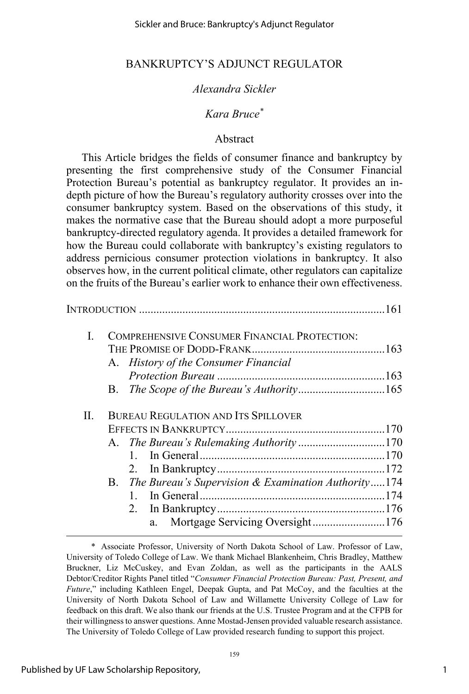# *Alexandra Sickler*

# *Kara Bruce\**

### Abstract

This Article bridges the fields of consumer finance and bankruptcy by presenting the first comprehensive study of the Consumer Financial Protection Bureau's potential as bankruptcy regulator. It provides an indepth picture of how the Bureau's regulatory authority crosses over into the consumer bankruptcy system. Based on the observations of this study, it makes the normative case that the Bureau should adopt a more purposeful bankruptcy-directed regulatory agenda. It provides a detailed framework for how the Bureau could collaborate with bankruptcy's existing regulators to address pernicious consumer protection violations in bankruptcy. It also observes how, in the current political climate, other regulators can capitalize on the fruits of the Bureau's earlier work to enhance their own effectiveness.

| L  | COMPREHENSIVE CONSUMER FINANCIAL PROTECTION:           |  |
|----|--------------------------------------------------------|--|
|    |                                                        |  |
|    | A. History of the Consumer Financial                   |  |
|    |                                                        |  |
|    |                                                        |  |
| П. | <b>BUREAU REGULATION AND ITS SPILLOVER</b>             |  |
|    |                                                        |  |
|    |                                                        |  |
|    | $\mathbf{1}$                                           |  |
|    |                                                        |  |
|    | B. The Bureau's Supervision & Examination Authority174 |  |
|    |                                                        |  |
|    | 2.                                                     |  |
|    | a. Mortgage Servicing Oversight176                     |  |

1

 <sup>\*</sup> Associate Professor, University of North Dakota School of Law. Professor of Law, University of Toledo College of Law. We thank Michael Blankenheim, Chris Bradley, Matthew Bruckner, Liz McCuskey, and Evan Zoldan, as well as the participants in the AALS Debtor/Creditor Rights Panel titled "*Consumer Financial Protection Bureau: Past, Present, and Future*," including Kathleen Engel, Deepak Gupta, and Pat McCoy, and the faculties at the University of North Dakota School of Law and Willamette University College of Law for feedback on this draft. We also thank our friends at the U.S. Trustee Program and at the CFPB for their willingness to answer questions. Anne Mostad-Jensen provided valuable research assistance. The University of Toledo College of Law provided research funding to support this project.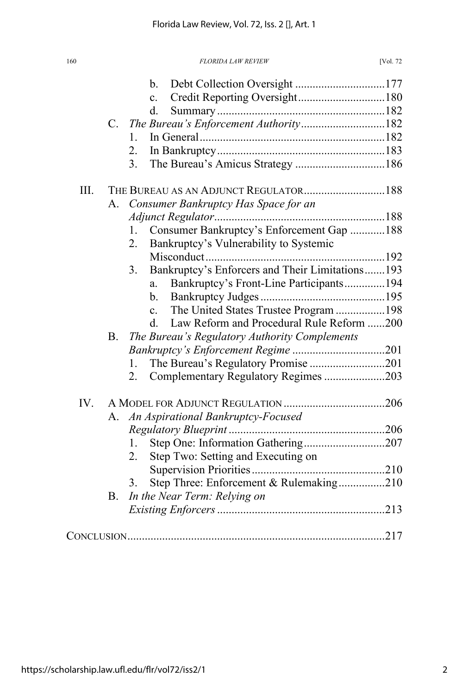|      |            | Debt Collection Oversight 177<br>b.<br>$\mathbf{c}$ .             |  |
|------|------------|-------------------------------------------------------------------|--|
|      |            | d.                                                                |  |
|      |            | C. The Bureau's Enforcement Authority182                          |  |
|      |            | 1.                                                                |  |
|      |            | 2.                                                                |  |
|      |            | The Bureau's Amicus Strategy 186<br>3.                            |  |
| III. |            | THE BUREAU AS AN ADJUNCT REGULATOR 188                            |  |
|      | A.         | Consumer Bankruptcy Has Space for an                              |  |
|      |            |                                                                   |  |
|      |            | Consumer Bankruptcy's Enforcement Gap  188<br>$1_{-}$             |  |
|      |            | Bankruptcy's Vulnerability to Systemic<br>2.                      |  |
|      |            |                                                                   |  |
|      |            | Bankruptcy's Enforcers and Their Limitations193<br>3 <sub>1</sub> |  |
|      |            | Bankruptcy's Front-Line Participants194<br>a.                     |  |
|      |            | b.                                                                |  |
|      |            | The United States Trustee Program 198<br>$\mathbf{c}$ .           |  |
|      |            | Law Reform and Procedural Rule Reform 200<br>$d_{-}$              |  |
|      | <b>B</b> . | The Bureau's Regulatory Authority Complements                     |  |
|      |            |                                                                   |  |
|      |            | The Bureau's Regulatory Promise 201<br>1.                         |  |
|      |            | Complementary Regulatory Regimes 203<br>2.                        |  |
| IV.  |            |                                                                   |  |
|      | A.         | An Aspirational Bankruptcy-Focused                                |  |
|      |            |                                                                   |  |
|      |            | 1.                                                                |  |
|      |            | Step Two: Setting and Executing on<br>2.                          |  |
|      |            |                                                                   |  |
|      |            | Step Three: Enforcement & Rulemaking210<br>3.                     |  |
|      | <b>B.</b>  | In the Near Term: Relying on                                      |  |
|      |            |                                                                   |  |
|      |            |                                                                   |  |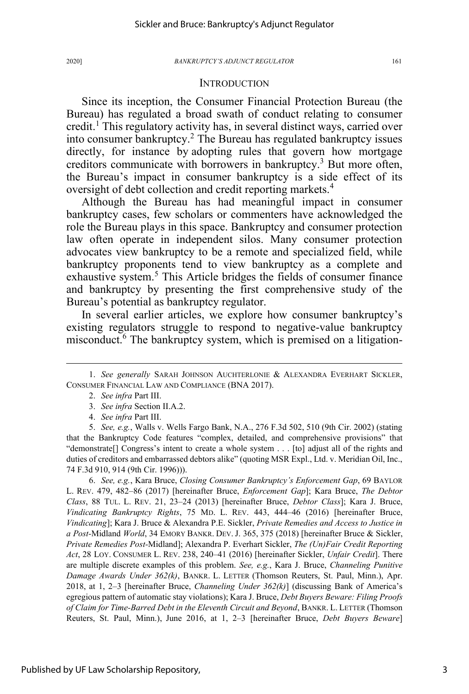### **INTRODUCTION**

Since its inception, the Consumer Financial Protection Bureau (the Bureau) has regulated a broad swath of conduct relating to consumer credit.<sup>1</sup> This regulatory activity has, in several distinct ways, carried over into consumer bankruptcy.<sup>2</sup> The Bureau has regulated bankruptcy issues directly, for instance by adopting rules that govern how mortgage creditors communicate with borrowers in bankruptcy.<sup>3</sup> But more often, the Bureau's impact in consumer bankruptcy is a side effect of its oversight of debt collection and credit reporting markets.<sup>4</sup>

Although the Bureau has had meaningful impact in consumer bankruptcy cases, few scholars or commenters have acknowledged the role the Bureau plays in this space. Bankruptcy and consumer protection law often operate in independent silos. Many consumer protection advocates view bankruptcy to be a remote and specialized field, while bankruptcy proponents tend to view bankruptcy as a complete and exhaustive system.<sup>5</sup> This Article bridges the fields of consumer finance and bankruptcy by presenting the first comprehensive study of the Bureau's potential as bankruptcy regulator.

In several earlier articles, we explore how consumer bankruptcy's existing regulators struggle to respond to negative-value bankruptcy misconduct.<sup>6</sup> The bankruptcy system, which is premised on a litigation-

 6. *See, e.g.*, Kara Bruce, *Closing Consumer Bankruptcy's Enforcement Gap*, 69 BAYLOR L. REV. 479, 482–86 (2017) [hereinafter Bruce, *Enforcement Gap*]; Kara Bruce, *The Debtor Class*, 88 TUL. L. REV. 21, 23–24 (2013) [hereinafter Bruce, *Debtor Class*]; Kara J. Bruce, *Vindicating Bankruptcy Rights*, 75 MD. L. REV. 443, 444–46 (2016) [hereinafter Bruce, *Vindicating*]; Kara J. Bruce & Alexandra P.E. Sickler, *Private Remedies and Access to Justice in a Post-*Midland *World*, 34 EMORY BANKR. DEV. J. 365, 375 (2018) [hereinafter Bruce & Sickler, *Private Remedies Post-*Midland]; Alexandra P. Everhart Sickler, *The (Un)Fair Credit Reporting Act*, 28 LOY. CONSUMER L. REV. 238, 240–41 (2016) [hereinafter Sickler, *Unfair Credit*]. There are multiple discrete examples of this problem. *See, e.g.*, Kara J. Bruce, *Channeling Punitive Damage Awards Under 362(k)*, BANKR. L. LETTER (Thomson Reuters, St. Paul, Minn.), Apr. 2018, at 1, 2–3 [hereinafter Bruce, *Channeling Under 362(k)*] (discussing Bank of America's egregious pattern of automatic stay violations); Kara J. Bruce, *Debt Buyers Beware: Filing Proofs of Claim for Time-Barred Debt in the Eleventh Circuit and Beyond*, BANKR. L. LETTER (Thomson Reuters, St. Paul, Minn.), June 2016, at 1, 2–3 [hereinafter Bruce, *Debt Buyers Beware*]

 <sup>1.</sup> *See generally* SARAH JOHNSON AUCHTERLONIE & ALEXANDRA EVERHART SICKLER, CONSUMER FINANCIAL LAW AND COMPLIANCE (BNA 2017).

 <sup>2.</sup> *See infra* Part III.

 <sup>3.</sup> *See infra* Section II.A.2.

 <sup>4.</sup> *See infra* Part III.

 <sup>5.</sup> *See, e.g.*, Walls v. Wells Fargo Bank, N.A., 276 F.3d 502, 510 (9th Cir. 2002) (stating that the Bankruptcy Code features "complex, detailed, and comprehensive provisions" that "demonstrate[] Congress's intent to create a whole system . . . [to] adjust all of the rights and duties of creditors and embarrassed debtors alike" (quoting MSR Expl., Ltd. v. Meridian Oil, Inc., 74 F.3d 910, 914 (9th Cir. 1996))).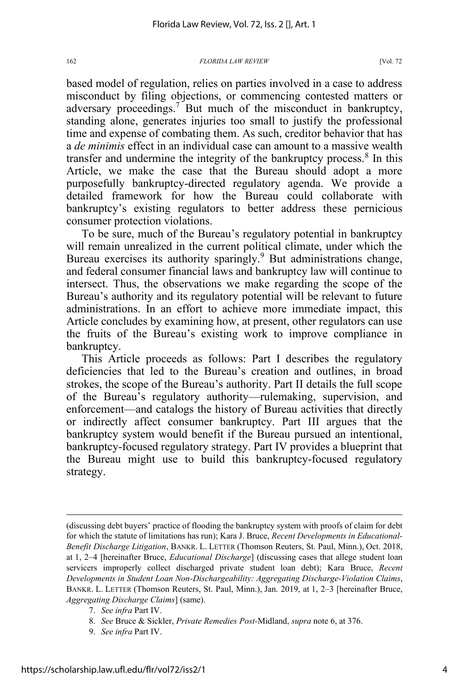based model of regulation, relies on parties involved in a case to address misconduct by filing objections, or commencing contested matters or adversary proceedings.<sup>7</sup> But much of the misconduct in bankruptcy, standing alone, generates injuries too small to justify the professional time and expense of combating them. As such, creditor behavior that has a *de minimis* effect in an individual case can amount to a massive wealth transfer and undermine the integrity of the bankruptcy process. $8 \text{ In this}$ Article, we make the case that the Bureau should adopt a more purposefully bankruptcy-directed regulatory agenda. We provide a detailed framework for how the Bureau could collaborate with bankruptcy's existing regulators to better address these pernicious consumer protection violations.

To be sure, much of the Bureau's regulatory potential in bankruptcy will remain unrealized in the current political climate, under which the Bureau exercises its authority sparingly.<sup>9</sup> But administrations change, and federal consumer financial laws and bankruptcy law will continue to intersect. Thus, the observations we make regarding the scope of the Bureau's authority and its regulatory potential will be relevant to future administrations. In an effort to achieve more immediate impact, this Article concludes by examining how, at present, other regulators can use the fruits of the Bureau's existing work to improve compliance in bankruptcy.

This Article proceeds as follows: Part I describes the regulatory deficiencies that led to the Bureau's creation and outlines, in broad strokes, the scope of the Bureau's authority. Part II details the full scope of the Bureau's regulatory authority—rulemaking, supervision, and enforcement—and catalogs the history of Bureau activities that directly or indirectly affect consumer bankruptcy. Part III argues that the bankruptcy system would benefit if the Bureau pursued an intentional, bankruptcy-focused regulatory strategy. Part IV provides a blueprint that the Bureau might use to build this bankruptcy-focused regulatory strategy.

<sup>(</sup>discussing debt buyers' practice of flooding the bankruptcy system with proofs of claim for debt for which the statute of limitations has run); Kara J. Bruce, *Recent Developments in Educational-Benefit Discharge Litigation*, BANKR. L. LETTER (Thomson Reuters, St. Paul, Minn.), Oct. 2018, at 1, 2–4 [hereinafter Bruce, *Educational Discharge*] (discussing cases that allege student loan servicers improperly collect discharged private student loan debt); Kara Bruce, *Recent Developments in Student Loan Non-Dischargeability: Aggregating Discharge-Violation Claims*, BANKR. L. LETTER (Thomson Reuters, St. Paul, Minn.), Jan. 2019, at 1, 2–3 [hereinafter Bruce, *Aggregating Discharge Claims*] (same).

 <sup>7.</sup> *See infra* Part IV.

 <sup>8.</sup> *See* Bruce & Sickler, *Private Remedies Post-*Midland, *supra* note 6, at 376.

 <sup>9.</sup> *See infra* Part IV.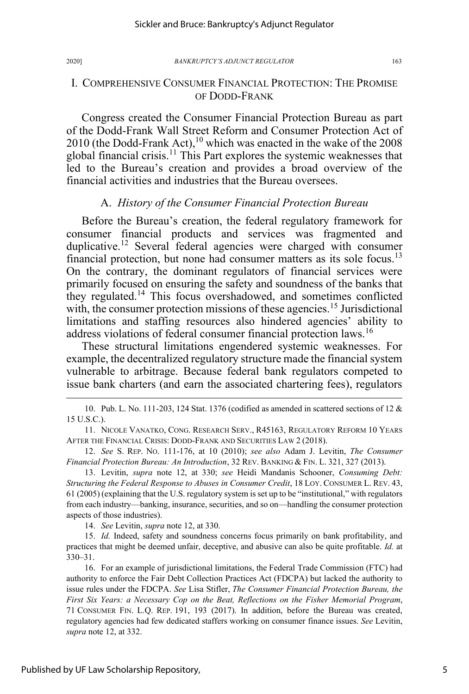Congress created the Consumer Financial Protection Bureau as part of the Dodd-Frank Wall Street Reform and Consumer Protection Act of 2010 (the Dodd-Frank Act),<sup>10</sup> which was enacted in the wake of the 2008 global financial crisis.<sup>11</sup> This Part explores the systemic weaknesses that led to the Bureau's creation and provides a broad overview of the financial activities and industries that the Bureau oversees.

# A. *History of the Consumer Financial Protection Bureau*

Before the Bureau's creation, the federal regulatory framework for consumer financial products and services was fragmented and duplicative.<sup>12</sup> Several federal agencies were charged with consumer financial protection, but none had consumer matters as its sole focus.<sup>13</sup> On the contrary, the dominant regulators of financial services were primarily focused on ensuring the safety and soundness of the banks that they regulated.<sup>14</sup> This focus overshadowed, and sometimes conflicted with, the consumer protection missions of these agencies.<sup>15</sup> Jurisdictional limitations and staffing resources also hindered agencies' ability to address violations of federal consumer financial protection laws.<sup>16</sup>

These structural limitations engendered systemic weaknesses. For example, the decentralized regulatory structure made the financial system vulnerable to arbitrage. Because federal bank regulators competed to issue bank charters (and earn the associated chartering fees), regulators

10. Pub. L. No. 111-203, 124 Stat. 1376 (codified as amended in scattered sections of 12 & 15 U.S.C.).

11. NICOLE VANATKO, CONG. RESEARCH SERV., R45163, REGULATORY REFORM 10 YEARS AFTER THE FINANCIAL CRISIS: DODD-FRANK AND SECURITIES LAW 2 (2018).

12. *See* S. REP. NO. 111-176, at 10 (2010); *see also* Adam J. Levitin, *The Consumer Financial Protection Bureau: An Introduction*, 32 REV. BANKING & FIN. L. 321, 327 (2013).

13. Levitin, *supra* note 12, at 330; *see* Heidi Mandanis Schooner, *Consuming Debt: Structuring the Federal Response to Abuses in Consumer Credit*, 18 LOY. CONSUMER L. REV. 43, 61 (2005) (explaining that the U.S. regulatory system is set up to be "institutional," with regulators from each industry—banking, insurance, securities, and so on—handling the consumer protection aspects of those industries).

14. *See* Levitin, *supra* note 12, at 330.

15. *Id.* Indeed, safety and soundness concerns focus primarily on bank profitability, and practices that might be deemed unfair, deceptive, and abusive can also be quite profitable. *Id.* at 330–31.

16. For an example of jurisdictional limitations, the Federal Trade Commission (FTC) had authority to enforce the Fair Debt Collection Practices Act (FDCPA) but lacked the authority to issue rules under the FDCPA. *See* Lisa Stifler, *The Consumer Financial Protection Bureau, the First Six Years: a Necessary Cop on the Beat, Reflections on the Fisher Memorial Program*, 71 CONSUMER FIN. L.Q. REP. 191, 193 (2017). In addition, before the Bureau was created, regulatory agencies had few dedicated staffers working on consumer finance issues. *See* Levitin, *supra* note 12, at 332.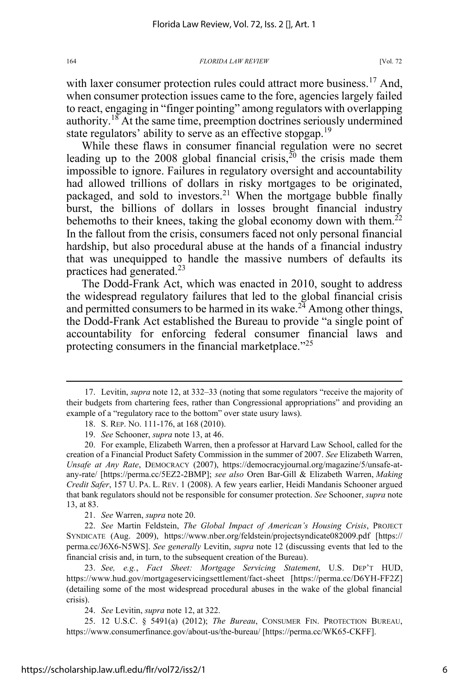with laxer consumer protection rules could attract more business.<sup>17</sup> And, when consumer protection issues came to the fore, agencies largely failed to react, engaging in "finger pointing" among regulators with overlapping authority.<sup>18</sup> At the same time, preemption doctrines seriously undermined state regulators' ability to serve as an effective stopgap.<sup>19</sup>

While these flaws in consumer financial regulation were no secret leading up to the 2008 global financial crisis,  $2^{0}$  the crisis made them impossible to ignore. Failures in regulatory oversight and accountability had allowed trillions of dollars in risky mortgages to be originated, packaged, and sold to investors.<sup>21</sup> When the mortgage bubble finally burst, the billions of dollars in losses brought financial industry behemoths to their knees, taking the global economy down with them.<sup>22</sup> In the fallout from the crisis, consumers faced not only personal financial hardship, but also procedural abuse at the hands of a financial industry that was unequipped to handle the massive numbers of defaults its practices had generated.<sup>23</sup>

The Dodd-Frank Act, which was enacted in 2010, sought to address the widespread regulatory failures that led to the global financial crisis and permitted consumers to be harmed in its wake. $2<sup>4</sup>$  Among other things, the Dodd-Frank Act established the Bureau to provide "a single point of accountability for enforcing federal consumer financial laws and protecting consumers in the financial marketplace.<sup>"25</sup>

21. *See* Warren, *supra* note 20.

22. *See* Martin Feldstein, *The Global Impact of American's Housing Crisis*, PROJECT SYNDICATE (Aug. 2009), https://www.nber.org/feldstein/projectsyndicate082009.pdf [https:// perma.cc/J6X6-N5WS]. *See generally* Levitin, *supra* note 12 (discussing events that led to the financial crisis and, in turn, to the subsequent creation of the Bureau).

23. *See, e.g.*, *Fact Sheet: Mortgage Servicing Statement*, U.S. DEP'T HUD, https://www.hud.gov/mortgageservicingsettlement/fact-sheet [https://perma.cc/D6YH-FF2Z] (detailing some of the most widespread procedural abuses in the wake of the global financial crisis).

24. *See* Levitin, *supra* note 12, at 322.

25. 12 U.S.C. § 5491(a) (2012); *The Bureau*, CONSUMER FIN. PROTECTION BUREAU, https://www.consumerfinance.gov/about-us/the-bureau/ [https://perma.cc/WK65-CKFF].

<sup>17.</sup> Levitin, *supra* note 12, at 332–33 (noting that some regulators "receive the majority of their budgets from chartering fees, rather than Congressional appropriations" and providing an example of a "regulatory race to the bottom" over state usury laws).

<sup>18.</sup> S. REP. NO. 111-176, at 168 (2010).

<sup>19.</sup> *See* Schooner, *supra* note 13, at 46.

<sup>20.</sup> For example, Elizabeth Warren, then a professor at Harvard Law School, called for the creation of a Financial Product Safety Commission in the summer of 2007. *See* Elizabeth Warren, *Unsafe at Any Rate*, DEMOCRACY (2007), https://democracyjournal.org/magazine/5/unsafe-atany-rate/ [https://perma.cc/5EZ2-2BMP]; *see also* Oren Bar-Gill & Elizabeth Warren, *Making Credit Safer*, 157 U. PA. L. REV. 1 (2008). A few years earlier, Heidi Mandanis Schooner argued that bank regulators should not be responsible for consumer protection. *See* Schooner, *supra* note 13, at 83.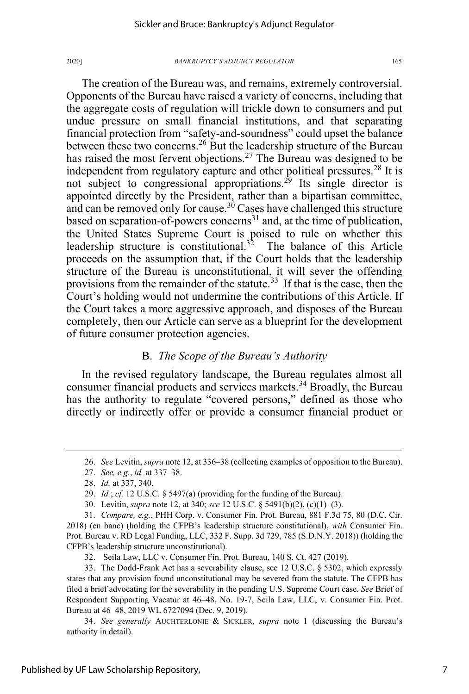The creation of the Bureau was, and remains, extremely controversial. Opponents of the Bureau have raised a variety of concerns, including that the aggregate costs of regulation will trickle down to consumers and put undue pressure on small financial institutions, and that separating financial protection from "safety-and-soundness" could upset the balance between these two concerns.<sup>26</sup> But the leadership structure of the Bureau has raised the most fervent objections.<sup>27</sup> The Bureau was designed to be independent from regulatory capture and other political pressures.<sup>28</sup> It is not subject to congressional appropriations.<sup>29</sup> Its single director is appointed directly by the President, rather than a bipartisan committee, and can be removed only for cause.<sup>30</sup> Cases have challenged this structure based on separation-of-powers concerns $31$  and, at the time of publication, the United States Supreme Court is poised to rule on whether this leadership structure is constitutional.<sup>32</sup> The balance of this Article proceeds on the assumption that, if the Court holds that the leadership structure of the Bureau is unconstitutional, it will sever the offending provisions from the remainder of the statute.<sup>33</sup> If that is the case, then the Court's holding would not undermine the contributions of this Article. If the Court takes a more aggressive approach, and disposes of the Bureau completely, then our Article can serve as a blueprint for the development of future consumer protection agencies.

# B. *The Scope of the Bureau's Authority*

In the revised regulatory landscape, the Bureau regulates almost all consumer financial products and services markets.<sup>34</sup> Broadly, the Bureau has the authority to regulate "covered persons," defined as those who directly or indirectly offer or provide a consumer financial product or

32. Seila Law, LLC v. Consumer Fin. Prot. Bureau, 140 S. Ct. 427 (2019).

<sup>26.</sup> *See* Levitin, *supra* note 12, at 336–38 (collecting examples of opposition to the Bureau).

<sup>27.</sup> *See, e.g.*, *id.* at 337–38.

<sup>28.</sup> *Id.* at 337, 340.

<sup>29.</sup> *Id.*; *cf.* 12 U.S.C. § 5497(a) (providing for the funding of the Bureau).

<sup>30.</sup> Levitin, *supra* note 12, at 340; *see* 12 U.S.C. § 5491(b)(2), (c)(1)–(3).

<sup>31.</sup> *Compare, e.g.*, PHH Corp. v. Consumer Fin. Prot. Bureau, 881 F.3d 75, 80 (D.C. Cir. 2018) (en banc) (holding the CFPB's leadership structure constitutional), *with* Consumer Fin. Prot. Bureau v. RD Legal Funding, LLC, 332 F. Supp. 3d 729, 785 (S.D.N.Y. 2018)) (holding the CFPB's leadership structure unconstitutional).

<sup>33.</sup> The Dodd-Frank Act has a severability clause, see 12 U.S.C. § 5302, which expressly states that any provision found unconstitutional may be severed from the statute. The CFPB has filed a brief advocating for the severability in the pending U.S. Supreme Court case. *See* Brief of Respondent Supporting Vacatur at 46–48, No. 19-7, Seila Law, LLC, v. Consumer Fin. Prot. Bureau at 46–48, 2019 WL 6727094 (Dec. 9, 2019).

<sup>34.</sup> *See generally* AUCHTERLONIE & SICKLER, *supra* note 1 (discussing the Bureau's authority in detail).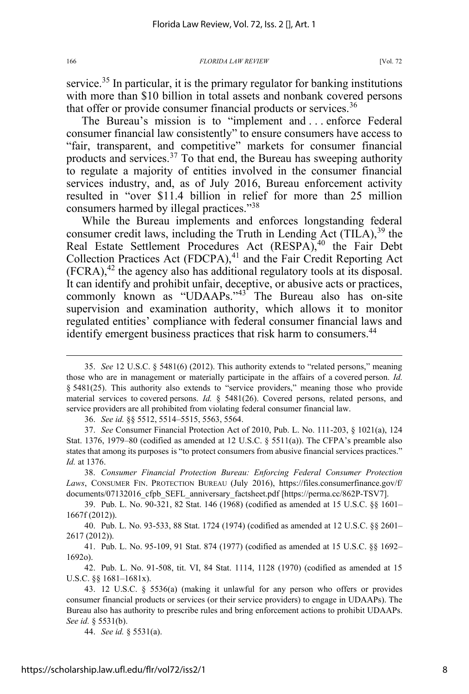service.<sup>35</sup> In particular, it is the primary regulator for banking institutions with more than \$10 billion in total assets and nonbank covered persons that offer or provide consumer financial products or services.<sup>36</sup>

The Bureau's mission is to "implement and . . . enforce Federal consumer financial law consistently" to ensure consumers have access to "fair, transparent, and competitive" markets for consumer financial products and services.<sup>37</sup> To that end, the Bureau has sweeping authority to regulate a majority of entities involved in the consumer financial services industry, and, as of July 2016, Bureau enforcement activity resulted in "over \$11.4 billion in relief for more than 25 million consumers harmed by illegal practices."38

While the Bureau implements and enforces longstanding federal consumer credit laws, including the Truth in Lending Act  $(TILA)$ , <sup>39</sup> the Real Estate Settlement Procedures Act (RESPA),<sup>40</sup> the Fair Debt Collection Practices Act (FDCPA),<sup>41</sup> and the Fair Credit Reporting Act  $(FCRA)$ ,<sup>42</sup> the agency also has additional regulatory tools at its disposal. It can identify and prohibit unfair, deceptive, or abusive acts or practices, commonly known as "UDAAPs."<sup>43</sup> The Bureau also has on-site supervision and examination authority, which allows it to monitor regulated entities' compliance with federal consumer financial laws and identify emergent business practices that risk harm to consumers.<sup>44</sup>

36. *See id.* §§ 5512, 5514–5515, 5563, 5564.

37. *See* Consumer Financial Protection Act of 2010, Pub. L. No. 111-203, § 1021(a), 124 Stat. 1376, 1979–80 (codified as amended at 12 U.S.C.  $\S$  5511(a)). The CFPA's preamble also states that among its purposes is "to protect consumers from abusive financial services practices." *Id.* at 1376.

38. *Consumer Financial Protection Bureau: Enforcing Federal Consumer Protection Laws*, CONSUMER FIN. PROTECTION BUREAU (July 2016), https://files.consumerfinance.gov/f/ documents/07132016\_cfpb\_SEFL\_anniversary\_factsheet.pdf [https://perma.cc/862P-TSV7].

39. Pub. L. No. 90-321, 82 Stat. 146 (1968) (codified as amended at 15 U.S.C. §§ 1601– 1667f (2012)).

40. Pub. L. No. 93-533, 88 Stat. 1724 (1974) (codified as amended at 12 U.S.C. §§ 2601– 2617 (2012)).

41. Pub. L. No. 95-109, 91 Stat. 874 (1977) (codified as amended at 15 U.S.C. §§ 1692– 1692o).

42. Pub. L. No. 91-508, tit. VI, 84 Stat. 1114, 1128 (1970) (codified as amended at 15 U.S.C. §§ 1681–1681x).

44. *See id.* § 5531(a).

<sup>35.</sup> *See* 12 U.S.C. § 5481(6) (2012). This authority extends to "related persons," meaning those who are in management or materially participate in the affairs of a covered person. *Id.* § 5481(25). This authority also extends to "service providers," meaning those who provide material services to covered persons. *Id.* § 5481(26). Covered persons, related persons, and service providers are all prohibited from violating federal consumer financial law.

<sup>43. 12</sup> U.S.C. § 5536(a) (making it unlawful for any person who offers or provides consumer financial products or services (or their service providers) to engage in UDAAPs). The Bureau also has authority to prescribe rules and bring enforcement actions to prohibit UDAAPs. *See id.* § 5531(b).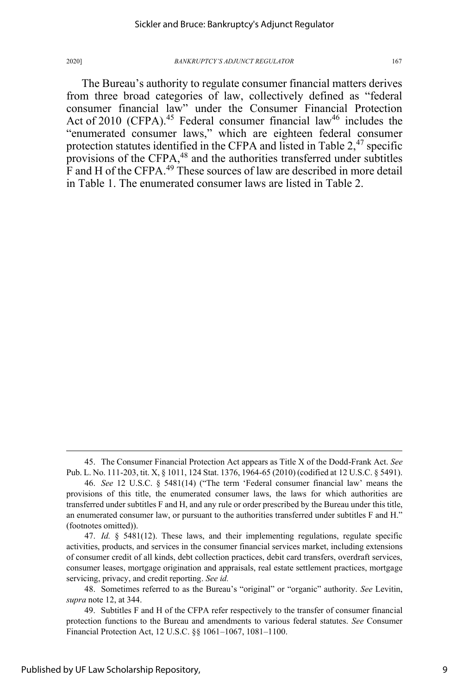The Bureau's authority to regulate consumer financial matters derives from three broad categories of law, collectively defined as "federal consumer financial law" under the Consumer Financial Protection Act of 2010 (CFPA).<sup>45</sup> Federal consumer financial law<sup>46</sup> includes the "enumerated consumer laws," which are eighteen federal consumer protection statutes identified in the CFPA and listed in Table  $2<sup>47</sup>$  specific provisions of the CFPA,<sup>48</sup> and the authorities transferred under subtitles F and H of the CFPA.<sup>49</sup> These sources of law are described in more detail in Table 1. The enumerated consumer laws are listed in Table 2.

47. *Id.* § 5481(12). These laws, and their implementing regulations, regulate specific activities, products, and services in the consumer financial services market, including extensions of consumer credit of all kinds, debt collection practices, debit card transfers, overdraft services, consumer leases, mortgage origination and appraisals, real estate settlement practices, mortgage servicing, privacy, and credit reporting. *See id.*

<sup>45.</sup> The Consumer Financial Protection Act appears as Title X of the Dodd-Frank Act. *See*  Pub. L. No. 111-203, tit. X, § 1011, 124 Stat. 1376, 1964-65 (2010) (codified at 12 U.S.C. § 5491).

<sup>46.</sup> *See* 12 U.S.C. § 5481(14) ("The term 'Federal consumer financial law' means the provisions of this title, the enumerated consumer laws, the laws for which authorities are transferred under subtitles F and H, and any rule or order prescribed by the Bureau under this title, an enumerated consumer law, or pursuant to the authorities transferred under subtitles F and H." (footnotes omitted)).

<sup>48.</sup> Sometimes referred to as the Bureau's "original" or "organic" authority. *See* Levitin, *supra* note 12, at 344.

<sup>49.</sup> Subtitles F and H of the CFPA refer respectively to the transfer of consumer financial protection functions to the Bureau and amendments to various federal statutes. *See* Consumer Financial Protection Act, 12 U.S.C. §§ 1061–1067, 1081–1100.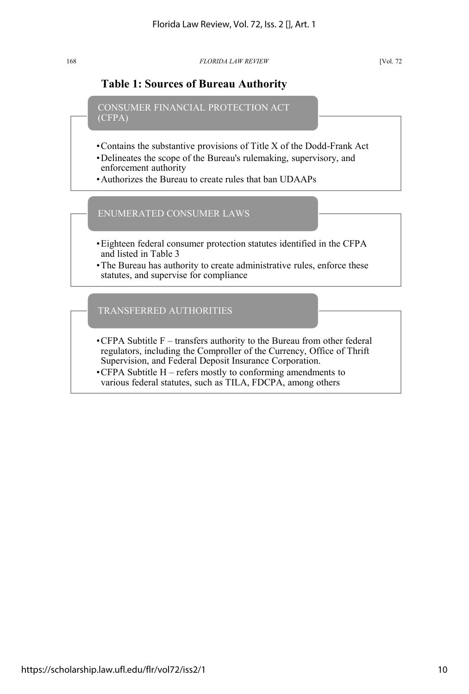# **Table 1: Sources of Bureau Authority**

CONSUMER FINANCIAL PROTECTION ACT (CFPA)

- •Contains the substantive provisions of Title X of the Dodd-Frank Act
- •Delineates the scope of the Bureau's rulemaking, supervisory, and enforcement authority
- •Authorizes the Bureau to create rules that ban UDAAPs

ENUMERATED CONSUMER LAWS

- •Eighteen federal consumer protection statutes identified in the CFPA and listed in Table 3
- •The Bureau has authority to create administrative rules, enforce these statutes, and supervise for compliance

TRANSFERRED AUTHORITIES

- $\cdot$ CFPA Subtitle F transfers authority to the Bureau from other federal regulators, including the Comproller of the Currency, Office of Thrift Supervision, and Federal Deposit Insurance Corporation.
- •CFPA Subtitle H refers mostly to conforming amendments to various federal statutes, such as TILA, FDCPA, among others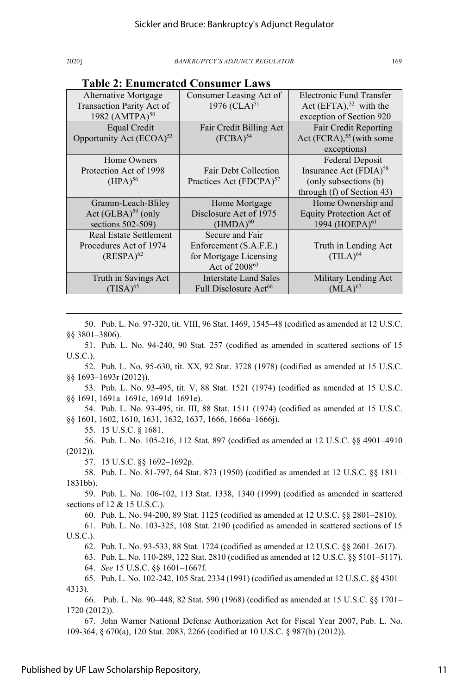| . епишегана сопяш                                 |                                            |                                                                   |  |  |  |  |  |
|---------------------------------------------------|--------------------------------------------|-------------------------------------------------------------------|--|--|--|--|--|
| Alternative Mortgage<br>Transaction Parity Act of | Consumer Leasing Act of<br>1976 (CLA) $51$ | Electronic Fund Transfer<br>Act $(EFTA)$ , <sup>52</sup> with the |  |  |  |  |  |
| 1982 (AMTPA) <sup>50</sup>                        |                                            | exception of Section 920                                          |  |  |  |  |  |
|                                                   |                                            |                                                                   |  |  |  |  |  |
| Equal Credit                                      | Fair Credit Billing Act                    | Fair Credit Reporting                                             |  |  |  |  |  |
| Opportunity Act (ECOA) <sup>53</sup>              | $(FCBA)^{54}$                              | Act $(FCRA)$ , <sup>55</sup> (with some                           |  |  |  |  |  |
|                                                   |                                            | exceptions)                                                       |  |  |  |  |  |
| Home Owners                                       |                                            | Federal Deposit                                                   |  |  |  |  |  |
| Protection Act of 1998                            | Fair Debt Collection                       | Insurance Act (FDIA) <sup>58</sup>                                |  |  |  |  |  |
| (HPA) <sup>56</sup>                               | Practices Act (FDCPA) <sup>57</sup>        | (only subsections (b)                                             |  |  |  |  |  |
|                                                   |                                            | through (f) of Section 43)                                        |  |  |  |  |  |
| Gramm-Leach-Bliley                                | Home Mortgage                              | Home Ownership and                                                |  |  |  |  |  |
| Act $(GLBA)^{59}$ (only                           | Disclosure Act of 1975                     | Equity Protection Act of                                          |  |  |  |  |  |
| sections 502-509)                                 | $(HMDA)^{60}$                              | 1994 (HOEPA) <sup>61</sup>                                        |  |  |  |  |  |
| <b>Real Estate Settlement</b>                     | Secure and Fair                            |                                                                   |  |  |  |  |  |
| Procedures Act of 1974                            | Enforcement (S.A.F.E.)                     | Truth in Lending Act                                              |  |  |  |  |  |
| $(RESPA)^{62}$                                    | for Mortgage Licensing                     | $(TLA)^{64}$                                                      |  |  |  |  |  |
|                                                   | Act of 2008 <sup>63</sup>                  |                                                                   |  |  |  |  |  |
| Truth in Savings Act                              | Interstate Land Sales                      | Military Lending Act                                              |  |  |  |  |  |
| $(TISA)^{65}$                                     | Full Disclosure Act <sup>66</sup>          | $(MLA)^{67}$                                                      |  |  |  |  |  |

# **Table 2: Enumerated Consumer Laws**

50. Pub. L. No. 97-320, tit. VIII, 96 Stat. 1469, 1545–48 (codified as amended at 12 U.S.C. §§ 3801–3806).

51. Pub. L. No. 94-240, 90 Stat. 257 (codified as amended in scattered sections of 15 U.S.C.).

52. Pub. L. No. 95-630, tit. XX, 92 Stat. 3728 (1978) (codified as amended at 15 U.S.C. §§ 1693–1693r (2012)).

53. Pub. L. No. 93-495, tit. V, 88 Stat. 1521 (1974) (codified as amended at 15 U.S.C. §§ 1691, 1691a–1691c, 1691d–1691e).

54. Pub. L. No. 93-495, tit. III, 88 Stat. 1511 (1974) (codified as amended at 15 U.S.C. §§ 1601, 1602, 1610, 1631, 1632, 1637, 1666, 1666a–1666j).

55. 15 U.S.C. § 1681.

56. Pub. L. No. 105-216, 112 Stat. 897 (codified as amended at 12 U.S.C. §§ 4901–4910 (2012)).

57. 15 U.S.C. §§ 1692–1692p.

58. Pub. L. No. 81-797, 64 Stat. 873 (1950) (codified as amended at 12 U.S.C. §§ 1811– 1831bb).

59. Pub. L. No. 106-102, 113 Stat. 1338, 1340 (1999) (codified as amended in scattered sections of 12 & 15 U.S.C.).

60. Pub. L. No. 94-200, 89 Stat. 1125 (codified as amended at 12 U.S.C. §§ 2801–2810).

61. Pub. L. No. 103-325, 108 Stat. 2190 (codified as amended in scattered sections of 15 U.S.C.).

62. Pub. L. No. 93-533, 88 Stat. 1724 (codified as amended at 12 U.S.C. §§ 2601–2617).

63. Pub. L. No. 110-289, 122 Stat. 2810 (codified as amended at 12 U.S.C. §§ 5101–5117). 64. *See* 15 U.S.C. §§ 1601–1667f.

65. Pub. L. No. 102-242, 105 Stat. 2334 (1991) (codified as amended at 12 U.S.C. §§ 4301– 4313).

66. Pub. L. No. 90–448, 82 Stat. 590 (1968) (codified as amended at 15 U.S.C. §§ 1701– 1720 (2012)).

67. John Warner National Defense Authorization Act for Fiscal Year 2007, Pub. L. No. 109-364, § 670(a), 120 Stat. 2083, 2266 (codified at 10 U.S.C. § 987(b) (2012)).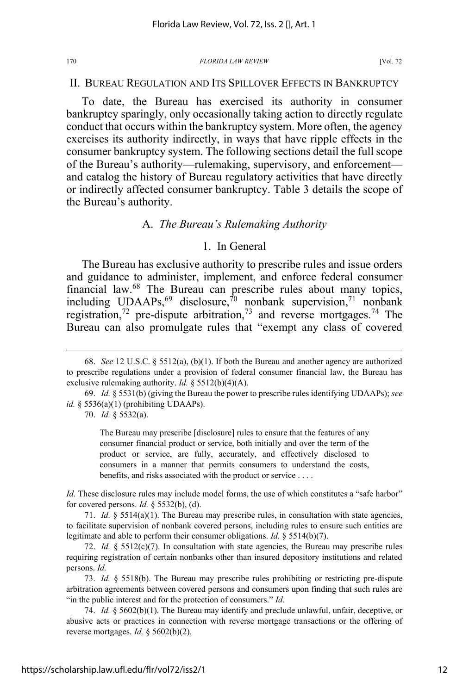### II. BUREAU REGULATION AND ITS SPILLOVER EFFECTS IN BANKRUPTCY

To date, the Bureau has exercised its authority in consumer bankruptcy sparingly, only occasionally taking action to directly regulate conduct that occurs within the bankruptcy system. More often, the agency exercises its authority indirectly, in ways that have ripple effects in the consumer bankruptcy system. The following sections detail the full scope of the Bureau's authority—rulemaking, supervisory, and enforcement and catalog the history of Bureau regulatory activities that have directly or indirectly affected consumer bankruptcy. Table 3 details the scope of the Bureau's authority.

### A. *The Bureau's Rulemaking Authority*

### 1. In General

The Bureau has exclusive authority to prescribe rules and issue orders and guidance to administer, implement, and enforce federal consumer financial law.<sup>68</sup> The Bureau can prescribe rules about many topics, including UDAAPs,<sup>69</sup> disclosure,<sup>70</sup> nonbank supervision,<sup>71</sup> nonbank registration,<sup>72</sup> pre-dispute arbitration,<sup>73</sup> and reverse mortgages.<sup>74</sup> The Bureau can also promulgate rules that "exempt any class of covered

70. *Id.* § 5532(a).

The Bureau may prescribe [disclosure] rules to ensure that the features of any consumer financial product or service, both initially and over the term of the product or service, are fully, accurately, and effectively disclosed to consumers in a manner that permits consumers to understand the costs, benefits, and risks associated with the product or service . . . .

*Id.* These disclosure rules may include model forms, the use of which constitutes a "safe harbor" for covered persons. *Id.* § 5532(b), (d).

71. *Id.* § 5514(a)(1). The Bureau may prescribe rules, in consultation with state agencies, to facilitate supervision of nonbank covered persons, including rules to ensure such entities are legitimate and able to perform their consumer obligations. *Id.* § 5514(b)(7).

72. *Id.* § 5512(c)(7). In consultation with state agencies, the Bureau may prescribe rules requiring registration of certain nonbanks other than insured depository institutions and related persons. *Id.*

73. *Id.* § 5518(b). The Bureau may prescribe rules prohibiting or restricting pre-dispute arbitration agreements between covered persons and consumers upon finding that such rules are "in the public interest and for the protection of consumers." *Id.*

74. *Id.* § 5602(b)(1). The Bureau may identify and preclude unlawful, unfair, deceptive, or abusive acts or practices in connection with reverse mortgage transactions or the offering of reverse mortgages. *Id.* § 5602(b)(2).

<sup>68.</sup> *See* 12 U.S.C. § 5512(a), (b)(1). If both the Bureau and another agency are authorized to prescribe regulations under a provision of federal consumer financial law, the Bureau has exclusive rulemaking authority. *Id.* § 5512(b)(4)(A).

<sup>69.</sup> *Id.* § 5531(b) (giving the Bureau the power to prescribe rules identifying UDAAPs); *see id.* § 5536(a)(1) (prohibiting UDAAPs).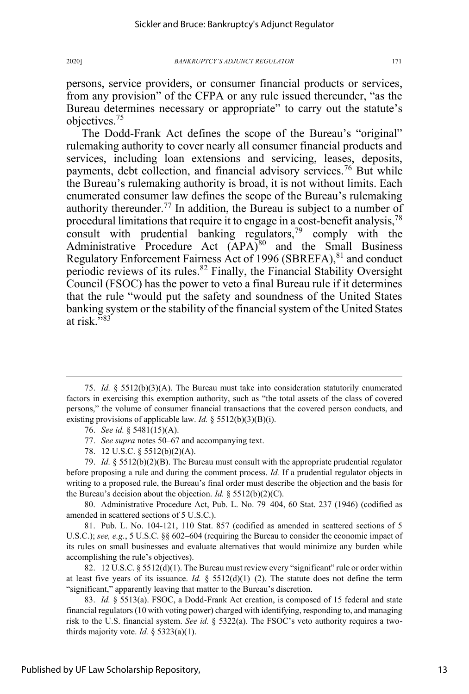persons, service providers, or consumer financial products or services, from any provision" of the CFPA or any rule issued thereunder, "as the Bureau determines necessary or appropriate" to carry out the statute's objectives.<sup>75</sup>

The Dodd-Frank Act defines the scope of the Bureau's "original" rulemaking authority to cover nearly all consumer financial products and services, including loan extensions and servicing, leases, deposits, payments, debt collection, and financial advisory services.<sup>76</sup> But while the Bureau's rulemaking authority is broad, it is not without limits. Each enumerated consumer law defines the scope of the Bureau's rulemaking authority thereunder.<sup>77</sup> In addition, the Bureau is subject to a number of procedural limitations that require it to engage in a cost-benefit analysis,  $^{78}$ consult with prudential banking regulators,  $79$  comply with the Administrative Procedure Act (APA)<sup>80</sup> and the Small Business Regulatory Enforcement Fairness Act of 1996 (SBREFA), $81$  and conduct periodic reviews of its rules.<sup>82</sup> Finally, the Financial Stability Oversight Council (FSOC) has the power to veto a final Bureau rule if it determines that the rule "would put the safety and soundness of the United States banking system or the stability of the financial system of the United States at risk."83

- 76. *See id.* § 5481(15)(A).
- 77. *See supra* notes 50–67 and accompanying text.
- 78. 12 U.S.C. § 5512(b)(2)(A).

79. *Id.* § 5512(b)(2)(B). The Bureau must consult with the appropriate prudential regulator before proposing a rule and during the comment process. *Id.* If a prudential regulator objects in writing to a proposed rule, the Bureau's final order must describe the objection and the basis for the Bureau's decision about the objection. *Id.* § 5512(b)(2)(C).

80. Administrative Procedure Act, Pub. L. No. 79–404, 60 Stat. 237 (1946) (codified as amended in scattered sections of 5 U.S.C.).

81. Pub. L. No. 104-121, 110 Stat. 857 (codified as amended in scattered sections of 5 U.S.C.); *see, e.g.*, 5 U.S.C. §§ 602–604 (requiring the Bureau to consider the economic impact of its rules on small businesses and evaluate alternatives that would minimize any burden while accomplishing the rule's objectives).

82. 12 U.S.C. § 5512(d)(1). The Bureau must review every "significant" rule or order within at least five years of its issuance. *Id.*  $\S 5512(d)(1)-(2)$ . The statute does not define the term "significant," apparently leaving that matter to the Bureau's discretion.

83. *Id.* § 5513(a). FSOC, a Dodd-Frank Act creation, is composed of 15 federal and state financial regulators (10 with voting power) charged with identifying, responding to, and managing risk to the U.S. financial system. *See id.* § 5322(a). The FSOC's veto authority requires a twothirds majority vote. *Id.* § 5323(a)(1).

<sup>75.</sup> *Id.* § 5512(b)(3)(A). The Bureau must take into consideration statutorily enumerated factors in exercising this exemption authority, such as "the total assets of the class of covered persons," the volume of consumer financial transactions that the covered person conducts, and existing provisions of applicable law. *Id.* § 5512(b)(3)(B)(i).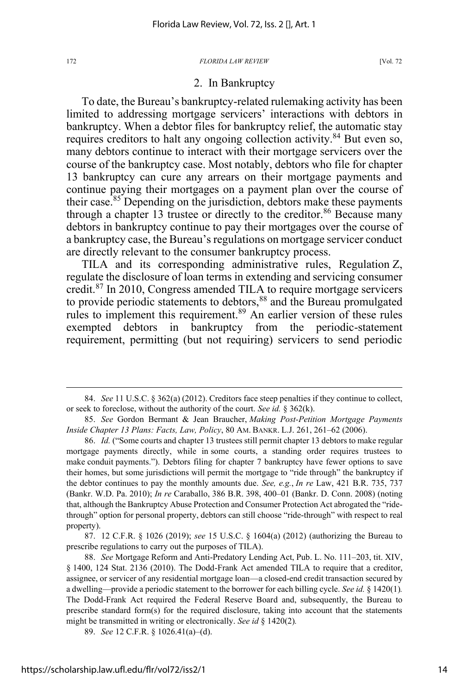### 2. In Bankruptcy

To date, the Bureau's bankruptcy-related rulemaking activity has been limited to addressing mortgage servicers' interactions with debtors in bankruptcy. When a debtor files for bankruptcy relief, the automatic stay requires creditors to halt any ongoing collection activity.<sup>84</sup> But even so, many debtors continue to interact with their mortgage servicers over the course of the bankruptcy case. Most notably, debtors who file for chapter 13 bankruptcy can cure any arrears on their mortgage payments and continue paying their mortgages on a payment plan over the course of their case.<sup>85</sup> Depending on the jurisdiction, debtors make these payments through a chapter 13 trustee or directly to the creditor.<sup>86</sup> Because many debtors in bankruptcy continue to pay their mortgages over the course of a bankruptcy case, the Bureau's regulations on mortgage servicer conduct are directly relevant to the consumer bankruptcy process.

TILA and its corresponding administrative rules, Regulation Z, regulate the disclosure of loan terms in extending and servicing consumer credit.87 In 2010, Congress amended TILA to require mortgage servicers to provide periodic statements to debtors,<sup>88</sup> and the Bureau promulgated rules to implement this requirement.<sup>89</sup> An earlier version of these rules exempted debtors in bankruptcy from the periodic-statement requirement, permitting (but not requiring) servicers to send periodic

87. 12 C.F.R. § 1026 (2019); *see* 15 U.S.C. § 1604(a) (2012) (authorizing the Bureau to prescribe regulations to carry out the purposes of TILA).

<sup>84.</sup> *See* 11 U.S.C. § 362(a) (2012). Creditors face steep penalties if they continue to collect, or seek to foreclose, without the authority of the court. *See id.* § 362(k).

<sup>85.</sup> *See* Gordon Bermant & Jean Braucher, *Making Post-Petition Mortgage Payments Inside Chapter 13 Plans: Facts, Law, Policy*, 80 AM. BANKR. L.J. 261, 261–62 (2006).

<sup>86.</sup> *Id.* ("Some courts and chapter 13 trustees still permit chapter 13 debtors to make regular mortgage payments directly, while in some courts, a standing order requires trustees to make conduit payments."). Debtors filing for chapter 7 bankruptcy have fewer options to save their homes, but some jurisdictions will permit the mortgage to "ride through" the bankruptcy if the debtor continues to pay the monthly amounts due. *See, e.g.*, *In re* Law, 421 B.R. 735, 737 (Bankr. W.D. Pa. 2010); *In re* Caraballo, 386 B.R. 398, 400–01 (Bankr. D. Conn. 2008) (noting that, although the Bankruptcy Abuse Protection and Consumer Protection Act abrogated the "ridethrough" option for personal property, debtors can still choose "ride-through" with respect to real property).

<sup>88.</sup> *See* Mortgage Reform and Anti-Predatory Lending Act, Pub. L. No. 111–203, tit. XIV, § 1400, 124 Stat. 2136 (2010). The Dodd-Frank Act amended TILA to require that a creditor, assignee, or servicer of any residential mortgage loan—a closed-end credit transaction secured by a dwelling—provide a periodic statement to the borrower for each billing cycle. *See id.* § 1420(1)*.*  The Dodd-Frank Act required the Federal Reserve Board and, subsequently, the Bureau to prescribe standard form(s) for the required disclosure, taking into account that the statements might be transmitted in writing or electronically. *See id* § 1420(2)*.* 

<sup>89.</sup> *See* 12 C.F.R. § 1026.41(a)–(d).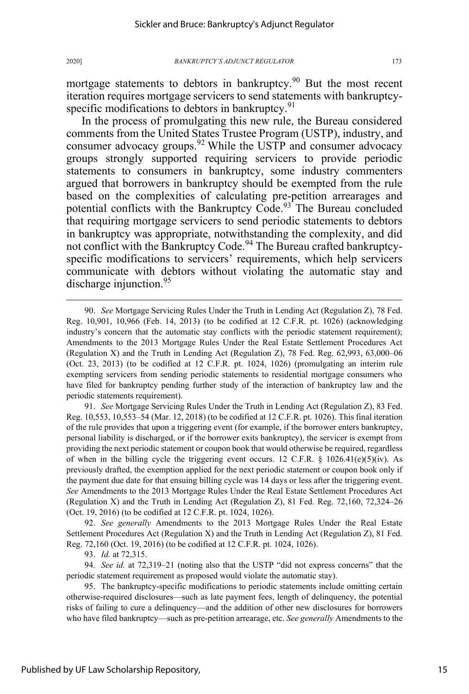mortgage statements to debtors in bankruptcy.<sup>90</sup> But the most recent iteration requires mortgage servicers to send statements with bankruptcyspecific modifications to debtors in bankruptcy.<sup>91</sup>

In the process of promulgating this new rule, the Bureau considered comments from the United States Trustee Program (USTP), industry, and consumer advocacy groups.<sup>92</sup> While the USTP and consumer advocacy groups strongly supported requiring servicers to provide periodic statements to consumers in bankruptcy, some industry commenters argued that borrowers in bankruptcy should be exempted from the rule based on the complexities of calculating pre-petition arrearages and potential conflicts with the Bankruptcy Code.<sup>93</sup> The Bureau concluded that requiring mortgage servicers to send periodic statements to debtors in bankruptcy was appropriate, notwithstanding the complexity, and did not conflict with the Bankruptcy Code.<sup>94</sup> The Bureau crafted bankruptcyspecific modifications to servicers' requirements, which help servicers communicate with debtors without violating the automatic stay and discharge injunction.  $95$ 

91. *See* Mortgage Servicing Rules Under the Truth in Lending Act (Regulation Z), 83 Fed. Reg. 10,553, 10,553–54 (Mar. 12, 2018) (to be codified at 12 C.F.R. pt. 1026). This final iteration of the rule provides that upon a triggering event (for example, if the borrower enters bankruptcy, personal liability is discharged, or if the borrower exits bankruptcy), the servicer is exempt from providing the next periodic statement or coupon book that would otherwise be required, regardless of when in the billing cycle the triggering event occurs. 12 C.F.R. § 1026.41(e)(5)(iv). As previously drafted, the exemption applied for the next periodic statement or coupon book only if the payment due date for that ensuing billing cycle was 14 days or less after the triggering event. *See* Amendments to the 2013 Mortgage Rules Under the Real Estate Settlement Procedures Act (Regulation X) and the Truth in Lending Act (Regulation Z), 81 Fed. Reg. 72,160, 72,324–26 (Oct. 19, 2016) (to be codified at 12 C.F.R. pt. 1024, 1026).

92. *See generally* Amendments to the 2013 Mortgage Rules Under the Real Estate Settlement Procedures Act (Regulation X) and the Truth in Lending Act (Regulation Z), 81 Fed. Reg. 72,160 (Oct. 19, 2016) (to be codified at 12 C.F.R. pt. 1024, 1026).

93. *Id.* at 72,315.

94*. See id.* at 72,319–21 (noting also that the USTP "did not express concerns" that the periodic statement requirement as proposed would violate the automatic stay).

95. The bankruptcy-specific modifications to periodic statements include omitting certain otherwise-required disclosures—such as late payment fees, length of delinquency, the potential risks of failing to cure a delinquency—and the addition of other new disclosures for borrowers who have filed bankruptcy—such as pre-petition arrearage, etc. *See generally* Amendments to the

<sup>90.</sup> *See* Mortgage Servicing Rules Under the Truth in Lending Act (Regulation Z), 78 Fed. Reg. 10,901, 10,966 (Feb. 14, 2013) (to be codified at 12 C.F.R. pt. 1026) (acknowledging industry's concern that the automatic stay conflicts with the periodic statement requirement); Amendments to the 2013 Mortgage Rules Under the Real Estate Settlement Procedures Act (Regulation X) and the Truth in Lending Act (Regulation Z), 78 Fed. Reg. 62,993, 63,000–06 (Oct. 23, 2013) (to be codified at 12 C.F.R. pt. 1024, 1026) (promulgating an interim rule exempting servicers from sending periodic statements to residential mortgage consumers who have filed for bankruptcy pending further study of the interaction of bankruptcy law and the periodic statements requirement).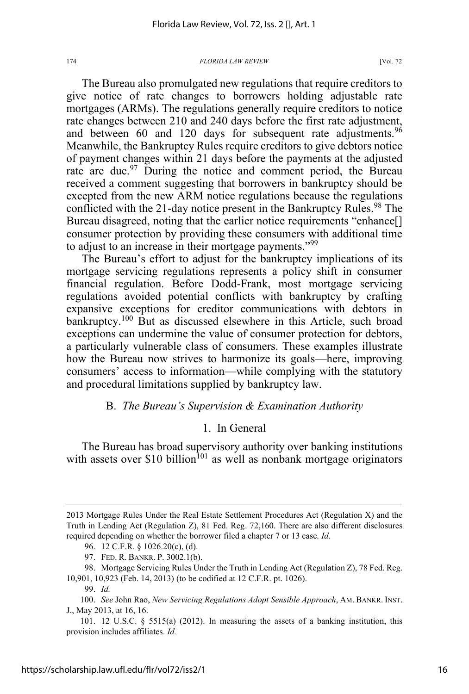The Bureau also promulgated new regulations that require creditors to give notice of rate changes to borrowers holding adjustable rate mortgages (ARMs). The regulations generally require creditors to notice rate changes between 210 and 240 days before the first rate adjustment, and between 60 and 120 days for subsequent rate adjustments.<sup>96</sup> Meanwhile, the Bankruptcy Rules require creditors to give debtors notice of payment changes within 21 days before the payments at the adjusted rate are due.<sup>97</sup> During the notice and comment period, the Bureau received a comment suggesting that borrowers in bankruptcy should be excepted from the new ARM notice regulations because the regulations conflicted with the 21-day notice present in the Bankruptcy Rules.<sup>98</sup> The Bureau disagreed, noting that the earlier notice requirements "enhance[] consumer protection by providing these consumers with additional time to adjust to an increase in their mortgage payments."<sup>99</sup>

The Bureau's effort to adjust for the bankruptcy implications of its mortgage servicing regulations represents a policy shift in consumer financial regulation. Before Dodd-Frank, most mortgage servicing regulations avoided potential conflicts with bankruptcy by crafting expansive exceptions for creditor communications with debtors in bankruptcy.<sup>100</sup> But as discussed elsewhere in this Article, such broad exceptions can undermine the value of consumer protection for debtors, a particularly vulnerable class of consumers. These examples illustrate how the Bureau now strives to harmonize its goals—here, improving consumers' access to information—while complying with the statutory and procedural limitations supplied by bankruptcy law.

### B. *The Bureau's Supervision & Examination Authority*

### 1. In General

The Bureau has broad supervisory authority over banking institutions with assets over \$10 billion<sup>101</sup> as well as nonbank mortgage originators

<sup>2013</sup> Mortgage Rules Under the Real Estate Settlement Procedures Act (Regulation X) and the Truth in Lending Act (Regulation Z), 81 Fed. Reg. 72,160. There are also different disclosures required depending on whether the borrower filed a chapter 7 or 13 case. *Id.* 

<sup>96. 12</sup> C.F.R. § 1026.20(c), (d).

<sup>97.</sup> FED. R. BANKR. P. 3002.1(b).

<sup>98.</sup> Mortgage Servicing Rules Under the Truth in Lending Act (Regulation Z), 78 Fed. Reg. 10,901, 10,923 (Feb. 14, 2013) (to be codified at 12 C.F.R. pt. 1026).

<sup>99.</sup> *Id.* 

<sup>100.</sup> *See* John Rao, *New Servicing Regulations Adopt Sensible Approach*, AM. BANKR. INST. J., May 2013, at 16, 16.

<sup>101. 12</sup> U.S.C. § 5515(a) (2012). In measuring the assets of a banking institution, this provision includes affiliates. *Id.*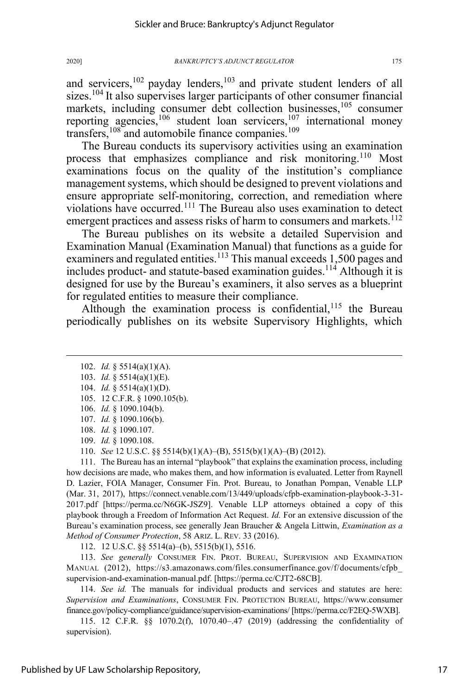and servicers,<sup>102</sup> payday lenders,<sup>103</sup> and private student lenders of all sizes.<sup>104</sup> It also supervises larger participants of other consumer financial markets, including consumer debt collection businesses,<sup>105</sup> consumer reporting agencies,<sup>106</sup> student loan servicers,<sup>107</sup> international money transfers,  $108$  and automobile finance companies.  $109$ 

The Bureau conducts its supervisory activities using an examination process that emphasizes compliance and risk monitoring.<sup>110</sup> Most examinations focus on the quality of the institution's compliance management systems, which should be designed to prevent violations and ensure appropriate self-monitoring, correction, and remediation where violations have occurred.<sup>111</sup> The Bureau also uses examination to detect emergent practices and assess risks of harm to consumers and markets.<sup>112</sup>

The Bureau publishes on its website a detailed Supervision and Examination Manual (Examination Manual) that functions as a guide for examiners and regulated entities.<sup>113</sup> This manual exceeds 1,500 pages and includes product- and statute-based examination guides.<sup>114</sup> Although it is designed for use by the Bureau's examiners, it also serves as a blueprint for regulated entities to measure their compliance.

Although the examination process is confidential,  $115$  the Bureau periodically publishes on its website Supervisory Highlights, which

- 103. *Id.* § 5514(a)(1)(E).
- 104. *Id.* § 5514(a)(1)(D).
- 105. 12 C.F.R. § 1090.105(b).
- 106. *Id.* § 1090.104(b).
- 107. *Id.* § 1090.106(b).
- 108. *Id.* § 1090.107.
- 109. *Id.* § 1090.108.
- 110. *See* 12 U.S.C. §§ 5514(b)(1)(A)–(B), 5515(b)(1)(A)–(B) (2012).

111. The Bureau has an internal "playbook" that explains the examination process, including how decisions are made, who makes them, and how information is evaluated. Letter from Raynell D. Lazier, FOIA Manager, Consumer Fin. Prot. Bureau, to Jonathan Pompan, Venable LLP (Mar. 31, 2017), https://connect.venable.com/13/449/uploads/cfpb-examination-playbook-3-31- 2017.pdf [https://perma.cc/N6GK-JSZ9]. Venable LLP attorneys obtained a copy of this playbook through a Freedom of Information Act Request. *Id.* For an extensive discussion of the Bureau's examination process, see generally Jean Braucher & Angela Littwin, *Examination as a Method of Consumer Protection*, 58 ARIZ. L. REV. 33 (2016).

112. 12 U.S.C. §§ 5514(a)–(b), 5515(b)(1), 5516.

113. *See generally* CONSUMER FIN. PROT. BUREAU, SUPERVISION AND EXAMINATION MANUAL (2012), https://s3.amazonaws.com/files.consumerfinance.gov/f/documents/cfpb\_ supervision-and-examination-manual.pdf. [https://perma.cc/CJT2-68CB].

114. *See id.* The manuals for individual products and services and statutes are here: *Supervision and Examinations*, CONSUMER FIN. PROTECTION BUREAU, https://www.consumer finance.gov/policy-compliance/guidance/supervision-examinations/ [https://perma.cc/F2EQ-5WXB].

115. 12 C.F.R. §§ 1070.2(f), 1070.40–.47 (2019) (addressing the confidentiality of supervision).

<sup>102.</sup> *Id.* § 5514(a)(1)(A).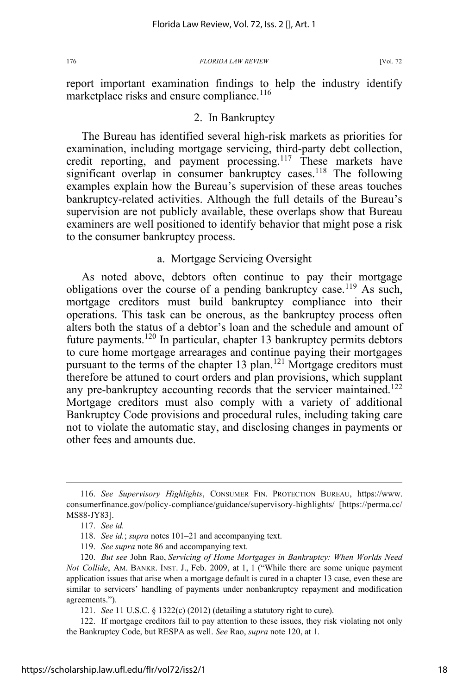report important examination findings to help the industry identify marketplace risks and ensure compliance.<sup>116</sup>

### 2. In Bankruptcy

The Bureau has identified several high-risk markets as priorities for examination, including mortgage servicing, third-party debt collection, credit reporting, and payment processing.<sup>117</sup> These markets have significant overlap in consumer bankruptcy cases.<sup>118</sup> The following examples explain how the Bureau's supervision of these areas touches bankruptcy-related activities. Although the full details of the Bureau's supervision are not publicly available, these overlaps show that Bureau examiners are well positioned to identify behavior that might pose a risk to the consumer bankruptcy process.

# a. Mortgage Servicing Oversight

As noted above, debtors often continue to pay their mortgage obligations over the course of a pending bankruptcy case.<sup>119</sup> As such, mortgage creditors must build bankruptcy compliance into their operations. This task can be onerous, as the bankruptcy process often alters both the status of a debtor's loan and the schedule and amount of future payments.<sup>120</sup> In particular, chapter 13 bankruptcy permits debtors to cure home mortgage arrearages and continue paying their mortgages pursuant to the terms of the chapter 13 plan.<sup>121</sup> Mortgage creditors must therefore be attuned to court orders and plan provisions, which supplant any pre-bankruptcy accounting records that the servicer maintained.<sup>122</sup> Mortgage creditors must also comply with a variety of additional Bankruptcy Code provisions and procedural rules, including taking care not to violate the automatic stay, and disclosing changes in payments or other fees and amounts due.

<sup>116.</sup> *See Supervisory Highlights*, CONSUMER FIN. PROTECTION BUREAU, https://www. consumerfinance.gov/policy-compliance/guidance/supervisory-highlights/ [https://perma.cc/ MS88-JY83].

<sup>117.</sup> *See id.*

<sup>118.</sup> *See id.*; *supra* notes 101–21 and accompanying text.

<sup>119.</sup> *See supra* note 86 and accompanying text.

<sup>120.</sup> *But see* John Rao, *Servicing of Home Mortgages in Bankruptcy: When Worlds Need Not Collide*, AM. BANKR. INST. J., Feb. 2009, at 1, 1 ("While there are some unique payment application issues that arise when a mortgage default is cured in a chapter 13 case, even these are similar to servicers' handling of payments under nonbankruptcy repayment and modification agreements.").

<sup>121.</sup> *See* 11 U.S.C. § 1322(c) (2012) (detailing a statutory right to cure).

<sup>122.</sup> If mortgage creditors fail to pay attention to these issues, they risk violating not only the Bankruptcy Code, but RESPA as well. *See* Rao, *supra* note 120, at 1.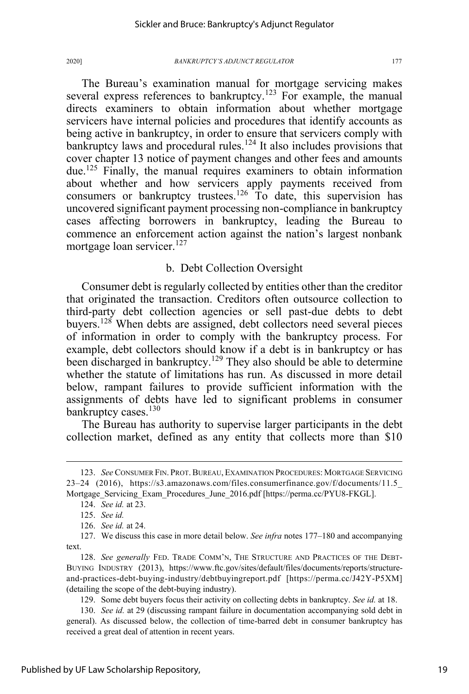The Bureau's examination manual for mortgage servicing makes several express references to bankruptcy.<sup>123</sup> For example, the manual directs examiners to obtain information about whether mortgage servicers have internal policies and procedures that identify accounts as being active in bankruptcy, in order to ensure that servicers comply with bankruptcy laws and procedural rules.<sup>124</sup> It also includes provisions that cover chapter 13 notice of payment changes and other fees and amounts due.125 Finally, the manual requires examiners to obtain information about whether and how servicers apply payments received from consumers or bankruptcy trustees.<sup>126</sup> To date, this supervision has uncovered significant payment processing non-compliance in bankruptcy cases affecting borrowers in bankruptcy, leading the Bureau to commence an enforcement action against the nation's largest nonbank mortgage loan servicer.<sup>127</sup>

# b. Debt Collection Oversight

Consumer debt is regularly collected by entities other than the creditor that originated the transaction. Creditors often outsource collection to third-party debt collection agencies or sell past-due debts to debt buyers.<sup>128</sup> When debts are assigned, debt collectors need several pieces of information in order to comply with the bankruptcy process. For example, debt collectors should know if a debt is in bankruptcy or has been discharged in bankruptcy.<sup>129</sup> They also should be able to determine whether the statute of limitations has run. As discussed in more detail below, rampant failures to provide sufficient information with the assignments of debts have led to significant problems in consumer bankruptcy cases.<sup>130</sup>

The Bureau has authority to supervise larger participants in the debt collection market, defined as any entity that collects more than \$10

<sup>123.</sup> *See* CONSUMER FIN. PROT.BUREAU, EXAMINATION PROCEDURES: MORTGAGE SERVICING 23–24 (2016), https://s3.amazonaws.com/files.consumerfinance.gov/f/documents/11.5 Mortgage\_Servicing\_Exam\_Procedures\_June\_2016.pdf [https://perma.cc/PYU8-FKGL].

<sup>124.</sup> *See id.* at 23.

<sup>125.</sup> *See id.*

<sup>126.</sup> *See id.* at 24.

<sup>127.</sup> We discuss this case in more detail below. *See infra* notes 177–180 and accompanying text.

<sup>128.</sup> *See generally* FED. TRADE COMM'N, THE STRUCTURE AND PRACTICES OF THE DEBT-BUYING INDUSTRY (2013), https://www.ftc.gov/sites/default/files/documents/reports/structureand-practices-debt-buying-industry/debtbuyingreport.pdf [https://perma.cc/J42Y-P5XM] (detailing the scope of the debt-buying industry).

<sup>129.</sup> Some debt buyers focus their activity on collecting debts in bankruptcy. *See id.* at 18.

<sup>130.</sup> *See id.* at 29 (discussing rampant failure in documentation accompanying sold debt in general). As discussed below, the collection of time-barred debt in consumer bankruptcy has received a great deal of attention in recent years.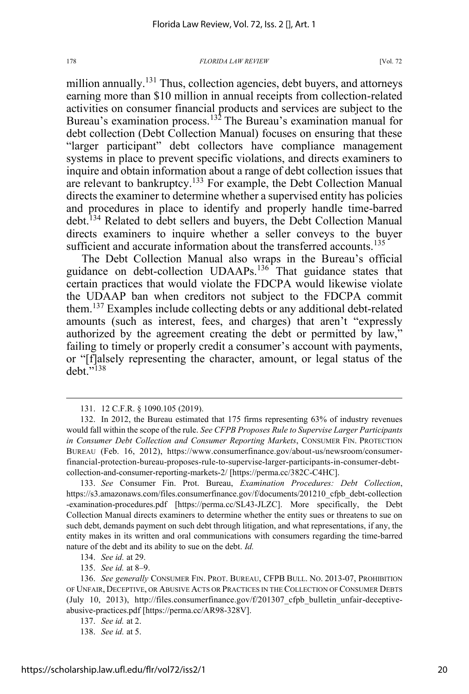million annually.<sup>131</sup> Thus, collection agencies, debt buyers, and attorneys earning more than \$10 million in annual receipts from collection-related activities on consumer financial products and services are subject to the Bureau's examination process.<sup>132</sup> The Bureau's examination manual for debt collection (Debt Collection Manual) focuses on ensuring that these "larger participant" debt collectors have compliance management systems in place to prevent specific violations, and directs examiners to inquire and obtain information about a range of debt collection issues that are relevant to bankruptcy.<sup>133</sup> For example, the Debt Collection Manual directs the examiner to determine whether a supervised entity has policies and procedures in place to identify and properly handle time-barred debt.<sup>134</sup> Related to debt sellers and buyers, the Debt Collection Manual directs examiners to inquire whether a seller conveys to the buyer sufficient and accurate information about the transferred accounts.<sup>135</sup>

The Debt Collection Manual also wraps in the Bureau's official guidance on debt-collection UDAAPs.<sup>136</sup> That guidance states that certain practices that would violate the FDCPA would likewise violate the UDAAP ban when creditors not subject to the FDCPA commit them.137 Examples include collecting debts or any additional debt-related amounts (such as interest, fees, and charges) that aren't "expressly authorized by the agreement creating the debt or permitted by law," failing to timely or properly credit a consumer's account with payments, or "[f]alsely representing the character, amount, or legal status of the debt."<sup>138</sup>

135. *See id.* at 8–9.

<sup>131. 12</sup> C.F.R. § 1090.105 (2019).

<sup>132.</sup> In 2012, the Bureau estimated that 175 firms representing 63% of industry revenues would fall within the scope of the rule. *See CFPB Proposes Rule to Supervise Larger Participants in Consumer Debt Collection and Consumer Reporting Markets*, CONSUMER FIN. PROTECTION BUREAU (Feb. 16, 2012), https://www.consumerfinance.gov/about-us/newsroom/consumerfinancial-protection-bureau-proposes-rule-to-supervise-larger-participants-in-consumer-debtcollection-and-consumer-reporting-markets-2/ [https://perma.cc/382C-C4HC].

<sup>133.</sup> *See* Consumer Fin. Prot. Bureau, *Examination Procedures: Debt Collection*, https://s3.amazonaws.com/files.consumerfinance.gov/f/documents/201210\_cfpb\_debt-collection -examination-procedures.pdf [https://perma.cc/SL43-JLZC]. More specifically, the Debt Collection Manual directs examiners to determine whether the entity sues or threatens to sue on such debt, demands payment on such debt through litigation, and what representations, if any, the entity makes in its written and oral communications with consumers regarding the time-barred nature of the debt and its ability to sue on the debt. *Id.* 

<sup>134.</sup> *See id.* at 29.

<sup>136.</sup> *See generally* CONSUMER FIN. PROT. BUREAU, CFPB BULL. NO. 2013-07, PROHIBITION OF UNFAIR, DECEPTIVE, OR ABUSIVE ACTS OR PRACTICES IN THE COLLECTION OF CONSUMER DEBTS (July 10, 2013), http://files.consumerfinance.gov/f/201307\_cfpb\_bulletin\_unfair-deceptiveabusive-practices.pdf [https://perma.cc/AR98-328V].

<sup>137.</sup> *See id.* at 2.

<sup>138.</sup> *See id.* at 5.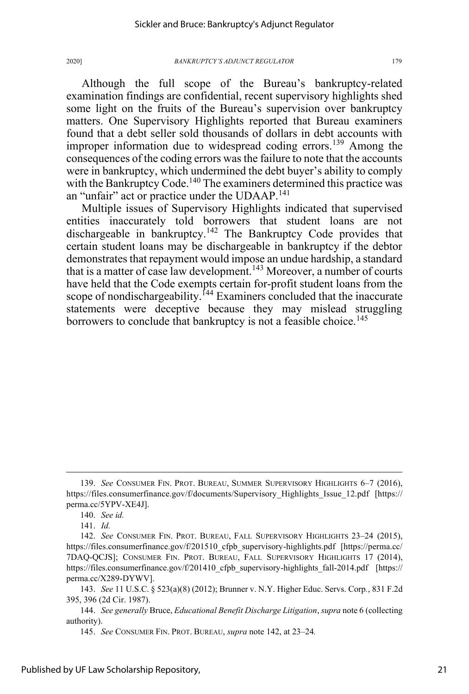Although the full scope of the Bureau's bankruptcy-related examination findings are confidential, recent supervisory highlights shed some light on the fruits of the Bureau's supervision over bankruptcy matters. One Supervisory Highlights reported that Bureau examiners found that a debt seller sold thousands of dollars in debt accounts with improper information due to widespread coding errors.<sup>139</sup> Among the consequences of the coding errors was the failure to note that the accounts were in bankruptcy, which undermined the debt buyer's ability to comply with the Bankruptcy Code.<sup>140</sup> The examiners determined this practice was an "unfair" act or practice under the UDAAP.<sup>141</sup>

Multiple issues of Supervisory Highlights indicated that supervised entities inaccurately told borrowers that student loans are not dischargeable in bankruptcy.<sup>142</sup> The Bankruptcy Code provides that certain student loans may be dischargeable in bankruptcy if the debtor demonstrates that repayment would impose an undue hardship, a standard that is a matter of case law development.<sup>143</sup> Moreover, a number of courts have held that the Code exempts certain for-profit student loans from the scope of nondischargeability.<sup>144</sup> Examiners concluded that the inaccurate statements were deceptive because they may mislead struggling borrowers to conclude that bankruptcy is not a feasible choice.<sup>145</sup>

<sup>139.</sup> *See* CONSUMER FIN. PROT. BUREAU, SUMMER SUPERVISORY HIGHLIGHTS 6–7 (2016), https://files.consumerfinance.gov/f/documents/Supervisory\_Highlights\_Issue\_12.pdf [https:// perma.cc/5YPV-XE4J].

<sup>140.</sup> *See id.*

<sup>141.</sup> *Id.* 

<sup>142.</sup> *See* CONSUMER FIN. PROT. BUREAU, FALL SUPERVISORY HIGHLIGHTS 23–24 (2015), https://files.consumerfinance.gov/f/201510\_cfpb\_supervisory-highlights.pdf [https://perma.cc/ 7DAQ-QCJS]; CONSUMER FIN. PROT. BUREAU, FALL SUPERVISORY HIGHLIGHTS 17 (2014), https://files.consumerfinance.gov/f/201410\_cfpb\_supervisory-highlights\_fall-2014.pdf [https:// perma.cc/X289-DYWV].

<sup>143.</sup> *See* 11 U.S.C. § 523(a)(8) (2012); Brunner v. N.Y. Higher Educ. Servs. Corp*.*, 831 F.2d 395, 396 (2d Cir. 1987).

<sup>144.</sup> *See generally* Bruce, *Educational Benefit Discharge Litigation*, *supra* note 6 (collecting authority).

<sup>145.</sup> *See* CONSUMER FIN. PROT. BUREAU, *supra* note 142, at 23–24*.*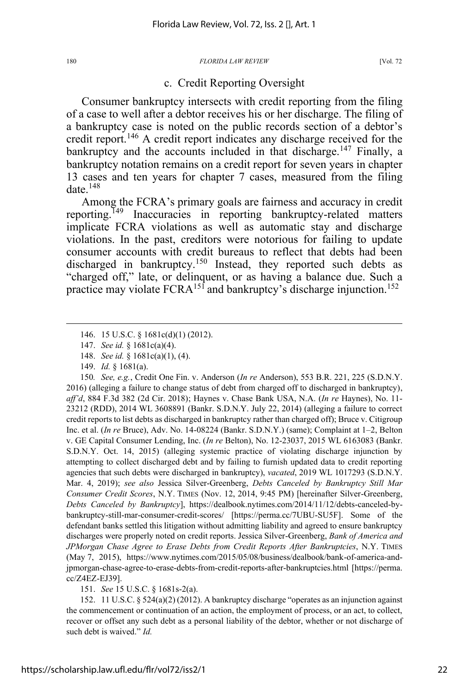### c. Credit Reporting Oversight

Consumer bankruptcy intersects with credit reporting from the filing of a case to well after a debtor receives his or her discharge. The filing of a bankruptcy case is noted on the public records section of a debtor's credit report.<sup>146</sup> A credit report indicates any discharge received for the bankruptcy and the accounts included in that discharge.<sup>147</sup> Finally, a bankruptcy notation remains on a credit report for seven years in chapter 13 cases and ten years for chapter 7 cases, measured from the filing date. $148$ 

Among the FCRA's primary goals are fairness and accuracy in credit reporting.<sup>149</sup> Inaccuracies in reporting bankruptcy-related matters implicate FCRA violations as well as automatic stay and discharge violations. In the past, creditors were notorious for failing to update consumer accounts with credit bureaus to reflect that debts had been discharged in bankruptcy.<sup>150</sup> Instead, they reported such debts as "charged off," late, or delinquent, or as having a balance due. Such a practice may violate FCRA<sup>151</sup> and bankruptcy's discharge injunction.<sup>152</sup>

151. *See* 15 U.S.C. § 1681s-2(a).

152. 11 U.S.C. § 524(a)(2) (2012). A bankruptcy discharge "operates as an injunction against the commencement or continuation of an action, the employment of process, or an act, to collect, recover or offset any such debt as a personal liability of the debtor, whether or not discharge of such debt is waived." *Id.*

<sup>146. 15</sup> U.S.C. § 1681c(d)(1) (2012).

<sup>147.</sup> *See id.* § 1681c(a)(4).

<sup>148.</sup> *See id.* § 1681c(a)(1), (4).

<sup>149.</sup> *Id.* § 1681(a).

<sup>150</sup>*. See, e.g.*, Credit One Fin. v. Anderson (*In re* Anderson), 553 B.R. 221, 225 (S.D.N.Y. 2016) (alleging a failure to change status of debt from charged off to discharged in bankruptcy), *aff'd*, 884 F.3d 382 (2d Cir. 2018); Haynes v. Chase Bank USA, N.A. (*In re* Haynes), No. 11- 23212 (RDD), 2014 WL 3608891 (Bankr. S.D.N.Y. July 22, 2014) (alleging a failure to correct credit reports to list debts as discharged in bankruptcy rather than charged off); Bruce v. Citigroup Inc. et al. (*In re* Bruce), Adv. No. 14-08224 (Bankr. S.D.N.Y.) (same); Complaint at 1–2, Belton v. GE Capital Consumer Lending, Inc. (*In re* Belton), No. 12-23037, 2015 WL 6163083 (Bankr. S.D.N.Y. Oct. 14, 2015) (alleging systemic practice of violating discharge injunction by attempting to collect discharged debt and by failing to furnish updated data to credit reporting agencies that such debts were discharged in bankruptcy), *vacated*, 2019 WL 1017293 (S.D.N.Y. Mar. 4, 2019); *see also* Jessica Silver-Greenberg, *Debts Canceled by Bankruptcy Still Mar Consumer Credit Scores*, N.Y. TIMES (Nov. 12, 2014, 9:45 PM) [hereinafter Silver-Greenberg, *Debts Canceled by Bankruptcy*], https://dealbook.nytimes.com/2014/11/12/debts-canceled-bybankruptcy-still-mar-consumer-credit-scores/ [https://perma.cc/7UBU-SU5F]. Some of the defendant banks settled this litigation without admitting liability and agreed to ensure bankruptcy discharges were properly noted on credit reports. Jessica Silver-Greenberg, *Bank of America and JPMorgan Chase Agree to Erase Debts from Credit Reports After Bankruptcies*, N.Y. TIMES (May 7, 2015), https://www.nytimes.com/2015/05/08/business/dealbook/bank-of-america-andjpmorgan-chase-agree-to-erase-debts-from-credit-reports-after-bankruptcies.html [https://perma. cc/Z4EZ-EJ39].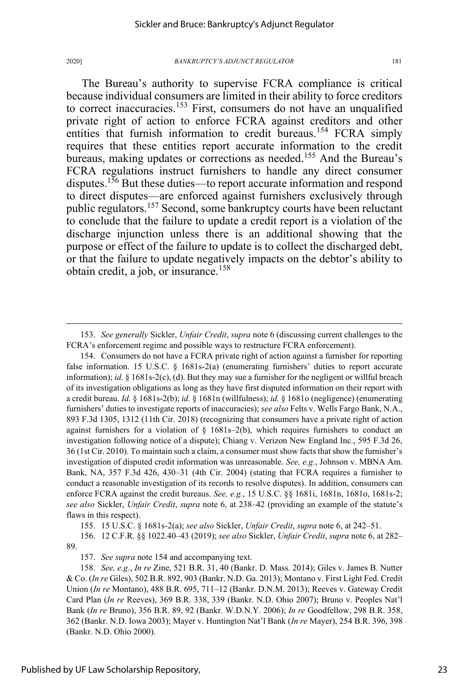The Bureau's authority to supervise FCRA compliance is critical because individual consumers are limited in their ability to force creditors to correct inaccuracies.<sup>153</sup> First, consumers do not have an unqualified private right of action to enforce FCRA against creditors and other entities that furnish information to credit bureaus.<sup>154</sup> FCRA simply requires that these entities report accurate information to the credit bureaus, making updates or corrections as needed. <sup>155</sup> And the Bureau's FCRA regulations instruct furnishers to handle any direct consumer disputes.<sup>156</sup> But these duties—to report accurate information and respond to direct disputes—are enforced against furnishers exclusively through public regulators.<sup>157</sup> Second, some bankruptcy courts have been reluctant to conclude that the failure to update a credit report is a violation of the discharge injunction unless there is an additional showing that the purpose or effect of the failure to update is to collect the discharged debt, or that the failure to update negatively impacts on the debtor's ability to obtain credit, a job, or insurance.<sup>158</sup>

155. 15 U.S.C. § 1681s-2(a); *see also* Sickler, *Unfair Credit*, *supra* note 6, at 242–51.

156. 12 C.F.R. §§ 1022.40–43 (2019); *see also* Sickler, *Unfair Credit*, *supra* note 6, at 282– 89.

157. *See supra* note 154 and accompanying text.

<sup>153.</sup> *See generally* Sickler, *Unfair Credit*, *supra* note 6 (discussing current challenges to the FCRA's enforcement regime and possible ways to restructure FCRA enforcement).

<sup>154.</sup> Consumers do not have a FCRA private right of action against a furnisher for reporting false information. 15 U.S.C.  $\S$  1681s-2(a) (enumerating furnishers' duties to report accurate information); *id.* § 1681s-2(c), (d). But they may sue a furnisher for the negligent or willful breach of its investigation obligations as long as they have first disputed information on their report with a credit bureau. *Id.* § 1681s-2(b); *id.* § 1681n (willfulness); *id.* § 1681o (negligence) (enumerating furnishers' duties to investigate reports of inaccuracies); *see also* Felts v. Wells Fargo Bank, N.A., 893 F.3d 1305, 1312 (11th Cir. 2018) (recognizing that consumers have a private right of action against furnishers for a violation of  $\S$  1681s–2(b), which requires furnishers to conduct an investigation following notice of a dispute); Chiang v. Verizon New England Inc., 595 F.3d 26, 36 (1st Cir. 2010). To maintain such a claim, a consumer must show facts that show the furnisher's investigation of disputed credit information was unreasonable. *See, e.g.*, Johnson v. MBNA Am. Bank, NA, 357 F.3d 426, 430–31 (4th Cir. 2004) (stating that FCRA requires a furnisher to conduct a reasonable investigation of its records to resolve disputes). In addition, consumers can enforce FCRA against the credit bureaus. *See, e.g.*, 15 U.S.C. §§ 1681i, 1681n, 1681o, 1681s-2; *see also* Sickler, *Unfair Credit*, *supra* note 6, at 238–42 (providing an example of the statute's flaws in this respect).

<sup>158.</sup> *See, e.g.*, *In re* Zine, 521 B.R. 31, 40 (Bankr. D. Mass. 2014); Giles v. James B. Nutter & Co. (*In re* Giles), 502 B.R. 892, 903 (Bankr. N.D. Ga. 2013); Montano v. First Light Fed. Credit Union (*In re* Montano), 488 B.R. 695, 711–12 (Bankr. D.N.M. 2013); Reeves v. Gateway Credit Card Plan (*In re* Reeves), 369 B.R. 338, 339 (Bankr. N.D. Ohio 2007); Bruno v. Peoples Nat'l Bank (*In re* Bruno), 356 B.R. 89, 92 (Bankr. W.D.N.Y. 2006); *In re* Goodfellow, 298 B.R. 358, 362 (Bankr. N.D. Iowa 2003); Mayer v. Huntington Nat'l Bank (*In re* Mayer), 254 B.R. 396, 398 (Bankr. N.D. Ohio 2000).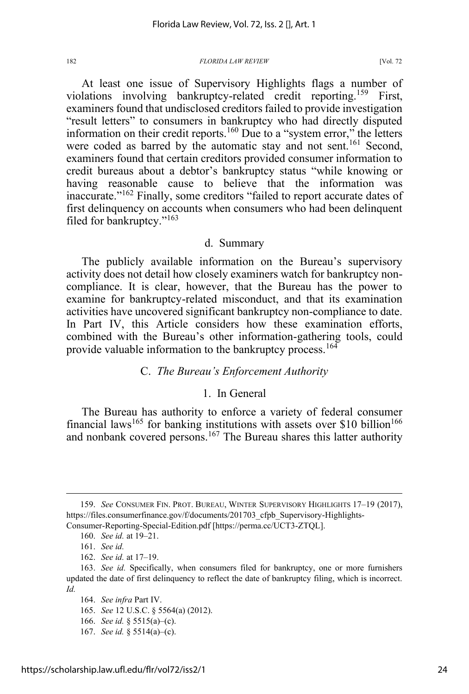At least one issue of Supervisory Highlights flags a number of violations involving bankruptcy-related credit reporting.159 First, examiners found that undisclosed creditors failed to provide investigation "result letters" to consumers in bankruptcy who had directly disputed information on their credit reports.<sup>160</sup> Due to a "system error," the letters were coded as barred by the automatic stay and not sent.<sup>161</sup> Second, examiners found that certain creditors provided consumer information to credit bureaus about a debtor's bankruptcy status "while knowing or having reasonable cause to believe that the information was inaccurate."<sup>162</sup> Finally, some creditors "failed to report accurate dates of first delinquency on accounts when consumers who had been delinquent filed for bankruptcy."163

### d. Summary

The publicly available information on the Bureau's supervisory activity does not detail how closely examiners watch for bankruptcy noncompliance. It is clear, however, that the Bureau has the power to examine for bankruptcy-related misconduct, and that its examination activities have uncovered significant bankruptcy non-compliance to date. In Part IV, this Article considers how these examination efforts, combined with the Bureau's other information-gathering tools, could provide valuable information to the bankruptcy process.<sup>164</sup>

# C. *The Bureau's Enforcement Authority*

### 1. In General

The Bureau has authority to enforce a variety of federal consumer financial laws<sup>165</sup> for banking institutions with assets over \$10 billion<sup>166</sup> and nonbank covered persons.<sup>167</sup> The Bureau shares this latter authority

165. *See* 12 U.S.C. § 5564(a) (2012).

166. *See id.* § 5515(a)–(c).

<sup>159.</sup> *See* CONSUMER FIN. PROT. BUREAU, WINTER SUPERVISORY HIGHLIGHTS 17–19 (2017), https://files.consumerfinance.gov/f/documents/201703 cfpb Supervisory-Highlights-Consumer-Reporting-Special-Edition.pdf [https://perma.cc/UCT3-ZTQL].

<sup>160.</sup> *See id.* at 19–21.

<sup>161.</sup> *See id.*

<sup>162.</sup> *See id.* at 17–19.

<sup>163.</sup> *See id.* Specifically, when consumers filed for bankruptcy, one or more furnishers updated the date of first delinquency to reflect the date of bankruptcy filing, which is incorrect. *Id.* 

<sup>164.</sup> *See infra* Part IV.

<sup>167.</sup> *See id.* § 5514(a)–(c).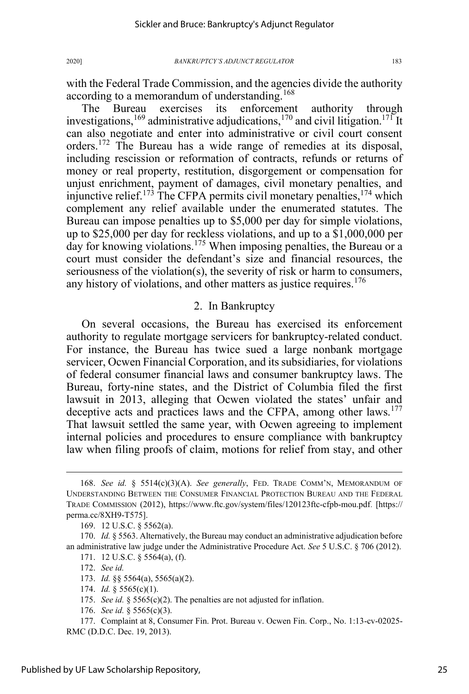with the Federal Trade Commission, and the agencies divide the authority according to a memorandum of understanding.<sup>168</sup>

The Bureau exercises its enforcement authority through investigations,<sup>169</sup> administrative adjudications,<sup>170</sup> and civil litigation.<sup>171</sup> It can also negotiate and enter into administrative or civil court consent orders.172 The Bureau has a wide range of remedies at its disposal, including rescission or reformation of contracts, refunds or returns of money or real property, restitution, disgorgement or compensation for unjust enrichment, payment of damages, civil monetary penalties, and injunctive relief.<sup>173</sup> The CFPA permits civil monetary penalties,  $174$  which complement any relief available under the enumerated statutes. The Bureau can impose penalties up to \$5,000 per day for simple violations, up to \$25,000 per day for reckless violations, and up to a \$1,000,000 per day for knowing violations.<sup>175</sup> When imposing penalties, the Bureau or a court must consider the defendant's size and financial resources, the seriousness of the violation(s), the severity of risk or harm to consumers, any history of violations, and other matters as justice requires.<sup>176</sup>

# 2. In Bankruptcy

On several occasions, the Bureau has exercised its enforcement authority to regulate mortgage servicers for bankruptcy-related conduct. For instance, the Bureau has twice sued a large nonbank mortgage servicer, Ocwen Financial Corporation, and its subsidiaries, for violations of federal consumer financial laws and consumer bankruptcy laws. The Bureau, forty-nine states, and the District of Columbia filed the first lawsuit in 2013, alleging that Ocwen violated the states' unfair and deceptive acts and practices laws and the CFPA, among other laws.<sup>177</sup> That lawsuit settled the same year, with Ocwen agreeing to implement internal policies and procedures to ensure compliance with bankruptcy law when filing proofs of claim, motions for relief from stay, and other

<sup>168.</sup> *See id.* § 5514(c)(3)(A). *See generally*, FED. TRADE COMM'N, MEMORANDUM OF UNDERSTANDING BETWEEN THE CONSUMER FINANCIAL PROTECTION BUREAU AND THE FEDERAL TRADE COMMISSION (2012), https://www.ftc.gov/system/files/120123ftc-cfpb-mou.pdf. [https:// perma.cc/8XH9-T575].

<sup>169. 12</sup> U.S.C. § 5562(a).

<sup>170.</sup> *Id.* § 5563. Alternatively, the Bureau may conduct an administrative adjudication before an administrative law judge under the Administrative Procedure Act. *See* 5 U.S.C. § 706 (2012). 171. 12 U.S.C. § 5564(a), (f).

<sup>172.</sup> *See id.*

<sup>173.</sup> *Id.* §§ 5564(a), 5565(a)(2).

<sup>174.</sup> *Id.* § 5565(c)(1).

<sup>175.</sup> *See id.* § 5565(c)(2). The penalties are not adjusted for inflation.

<sup>176.</sup> *See id.* § 5565(c)(3).

<sup>177.</sup> Complaint at 8, Consumer Fin. Prot. Bureau v. Ocwen Fin. Corp., No. 1:13-cv-02025- RMC (D.D.C. Dec. 19, 2013).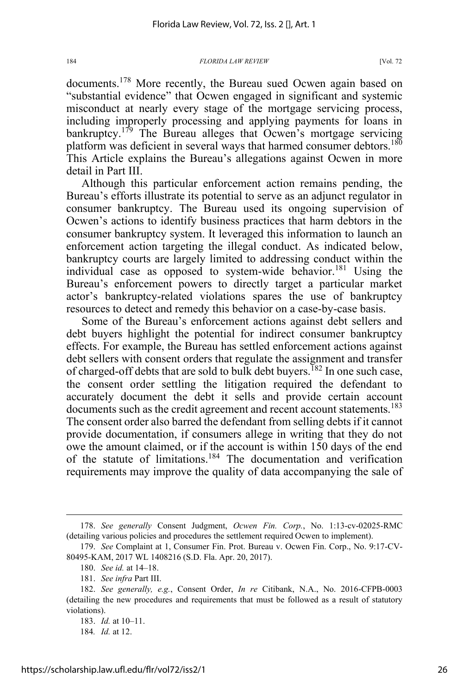documents.<sup>178</sup> More recently, the Bureau sued Ocwen again based on "substantial evidence" that Ocwen engaged in significant and systemic misconduct at nearly every stage of the mortgage servicing process, including improperly processing and applying payments for loans in bankruptcy.<sup>179</sup> The Bureau alleges that Ocwen's mortgage servicing platform was deficient in several ways that harmed consumer debtors.<sup>180</sup> This Article explains the Bureau's allegations against Ocwen in more detail in Part III.

Although this particular enforcement action remains pending, the Bureau's efforts illustrate its potential to serve as an adjunct regulator in consumer bankruptcy. The Bureau used its ongoing supervision of Ocwen's actions to identify business practices that harm debtors in the consumer bankruptcy system. It leveraged this information to launch an enforcement action targeting the illegal conduct. As indicated below, bankruptcy courts are largely limited to addressing conduct within the individual case as opposed to system-wide behavior.<sup>181</sup> Using the Bureau's enforcement powers to directly target a particular market actor's bankruptcy-related violations spares the use of bankruptcy resources to detect and remedy this behavior on a case-by-case basis.

Some of the Bureau's enforcement actions against debt sellers and debt buyers highlight the potential for indirect consumer bankruptcy effects. For example, the Bureau has settled enforcement actions against debt sellers with consent orders that regulate the assignment and transfer of charged-off debts that are sold to bulk debt buyers.<sup>182</sup> In one such case, the consent order settling the litigation required the defendant to accurately document the debt it sells and provide certain account documents such as the credit agreement and recent account statements.<sup>183</sup> The consent order also barred the defendant from selling debts if it cannot provide documentation, if consumers allege in writing that they do not owe the amount claimed, or if the account is within 150 days of the end of the statute of limitations.<sup>184</sup> The documentation and verification requirements may improve the quality of data accompanying the sale of

184*. Id.* at 12.

<sup>178.</sup> *See generally* Consent Judgment, *Ocwen Fin. Corp.*, No. 1:13-cv-02025-RMC (detailing various policies and procedures the settlement required Ocwen to implement).

<sup>179.</sup> *See* Complaint at 1, Consumer Fin. Prot. Bureau v. Ocwen Fin. Corp., No. 9:17-CV-80495-KAM, 2017 WL 1408216 (S.D. Fla. Apr. 20, 2017).

<sup>180.</sup> *See id.* at 14–18.

<sup>181.</sup> *See infra* Part III.

<sup>182.</sup> *See generally, e.g.*, Consent Order, *In re* Citibank, N.A., No. 2016-CFPB-0003 (detailing the new procedures and requirements that must be followed as a result of statutory violations).

<sup>183.</sup> *Id.* at 10–11.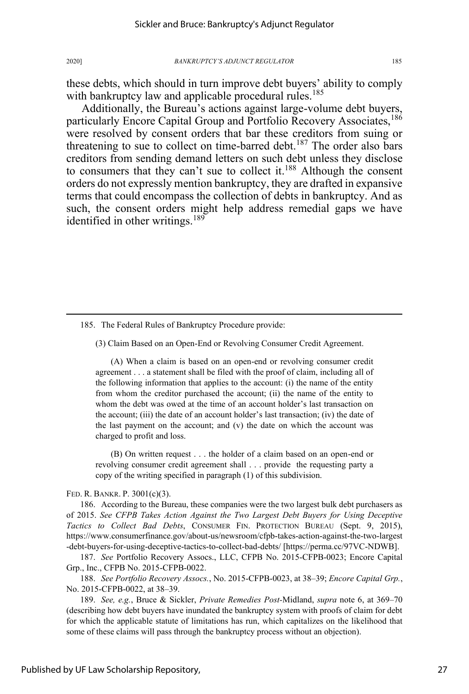these debts, which should in turn improve debt buyers' ability to comply with bankruptcy law and applicable procedural rules.<sup>185</sup>

Additionally, the Bureau's actions against large-volume debt buyers, particularly Encore Capital Group and Portfolio Recovery Associates.<sup>186</sup> were resolved by consent orders that bar these creditors from suing or threatening to sue to collect on time-barred debt.<sup>187</sup> The order also bars creditors from sending demand letters on such debt unless they disclose to consumers that they can't sue to collect it.<sup>188</sup> Although the consent orders do not expressly mention bankruptcy, they are drafted in expansive terms that could encompass the collection of debts in bankruptcy. And as such, the consent orders might help address remedial gaps we have identified in other writings.<sup>189</sup>

(3) Claim Based on an Open-End or Revolving Consumer Credit Agreement.

(A) When a claim is based on an open-end or revolving consumer credit agreement . . . a statement shall be filed with the proof of claim, including all of the following information that applies to the account: (i) the name of the entity from whom the creditor purchased the account; (ii) the name of the entity to whom the debt was owed at the time of an account holder's last transaction on the account; (iii) the date of an account holder's last transaction; (iv) the date of the last payment on the account; and  $(v)$  the date on which the account was charged to profit and loss.

(B) On written request . . . the holder of a claim based on an open-end or revolving consumer credit agreement shall . . . provide the requesting party a copy of the writing specified in paragraph (1) of this subdivision.

FED. R. BANKR. P. 3001(c)(3).

186. According to the Bureau, these companies were the two largest bulk debt purchasers as of 2015. *See CFPB Takes Action Against the Two Largest Debt Buyers for Using Deceptive Tactics to Collect Bad Debts*, CONSUMER FIN. PROTECTION BUREAU (Sept. 9, 2015), https://www.consumerfinance.gov/about-us/newsroom/cfpb-takes-action-against-the-two-largest -debt-buyers-for-using-deceptive-tactics-to-collect-bad-debts/ [https://perma.cc/97VC-NDWB].

187. *See* Portfolio Recovery Assocs., LLC, CFPB No. 2015-CFPB-0023; Encore Capital Grp., Inc., CFPB No. 2015-CFPB-0022.

188. *See Portfolio Recovery Assocs.*, No. 2015-CFPB-0023, at 38–39; *Encore Capital Grp.*, No. 2015-CFPB-0022, at 38–39.

189. *See, e.g.*, Bruce & Sickler, *Private Remedies Post-*Midland, *supra* note 6, at 369–70 (describing how debt buyers have inundated the bankruptcy system with proofs of claim for debt for which the applicable statute of limitations has run, which capitalizes on the likelihood that some of these claims will pass through the bankruptcy process without an objection).

<sup>185.</sup> The Federal Rules of Bankruptcy Procedure provide: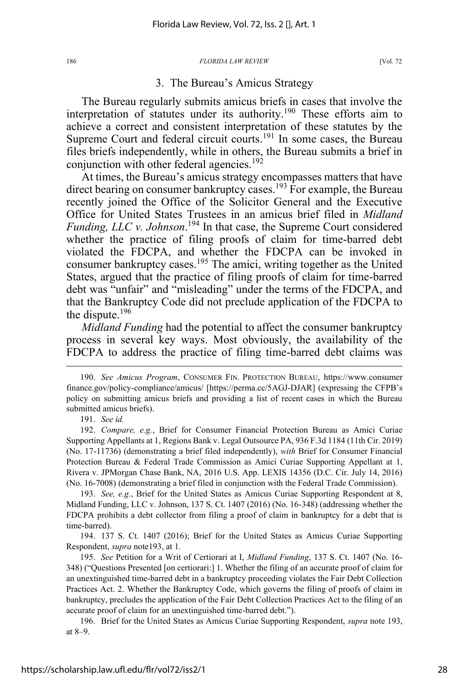### 3. The Bureau's Amicus Strategy

The Bureau regularly submits amicus briefs in cases that involve the interpretation of statutes under its authority.<sup>190</sup> These efforts aim to achieve a correct and consistent interpretation of these statutes by the Supreme Court and federal circuit courts.<sup>191</sup> In some cases, the Bureau files briefs independently, while in others, the Bureau submits a brief in conjunction with other federal agencies.<sup>192</sup>

At times, the Bureau's amicus strategy encompasses matters that have direct bearing on consumer bankruptcy cases.<sup>193</sup> For example, the Bureau recently joined the Office of the Solicitor General and the Executive Office for United States Trustees in an amicus brief filed in *Midland Funding, LLC v. Johnson*. 194 In that case, the Supreme Court considered whether the practice of filing proofs of claim for time-barred debt violated the FDCPA, and whether the FDCPA can be invoked in consumer bankruptcy cases.<sup>195</sup> The amici, writing together as the United States, argued that the practice of filing proofs of claim for time-barred debt was "unfair" and "misleading" under the terms of the FDCPA, and that the Bankruptcy Code did not preclude application of the FDCPA to the dispute.196

*Midland Funding* had the potential to affect the consumer bankruptcy process in several key ways. Most obviously, the availability of the FDCPA to address the practice of filing time-barred debt claims was

191. *See id.*

192. *Compare, e.g.*, Brief for Consumer Financial Protection Bureau as Amici Curiae Supporting Appellants at 1, Regions Bank v. Legal Outsource PA, 936 F.3d 1184 (11th Cir. 2019) (No. 17-11736) (demonstrating a brief filed independently), *with* Brief for Consumer Financial Protection Bureau & Federal Trade Commission as Amici Curiae Supporting Appellant at 1, Rivera v. JPMorgan Chase Bank, NA, 2016 U.S. App. LEXIS 14356 (D.C. Cir. July 14, 2016) (No. 16-7008) (demonstrating a brief filed in conjunction with the Federal Trade Commission).

193. *See, e.g.*, Brief for the United States as Amicus Curiae Supporting Respondent at 8, Midland Funding, LLC v. Johnson, 137 S. Ct. 1407 (2016) (No. 16-348) (addressing whether the FDCPA prohibits a debt collector from filing a proof of claim in bankruptcy for a debt that is time-barred).

194. 137 S. Ct. 1407 (2016); Brief for the United States as Amicus Curiae Supporting Respondent, *supra* note193, at 1*.*

195. *See* Petition for a Writ of Certiorari at I, *Midland Funding*, 137 S. Ct. 1407 (No. 16- 348) ("Questions Presented [on certiorari:] 1. Whether the filing of an accurate proof of claim for an unextinguished time-barred debt in a bankruptcy proceeding violates the Fair Debt Collection Practices Act. 2. Whether the Bankruptcy Code, which governs the filing of proofs of claim in bankruptcy, precludes the application of the Fair Debt Collection Practices Act to the filing of an accurate proof of claim for an unextinguished time-barred debt.").

196. Brief for the United States as Amicus Curiae Supporting Respondent, *supra* note 193, at 8–9.

<sup>190.</sup> *See Amicus Program*, CONSUMER FIN. PROTECTION BUREAU, https://www.consumer finance.gov/policy-compliance/amicus/ [https://perma.cc/5AGJ-DJAR] (expressing the CFPB's policy on submitting amicus briefs and providing a list of recent cases in which the Bureau submitted amicus briefs).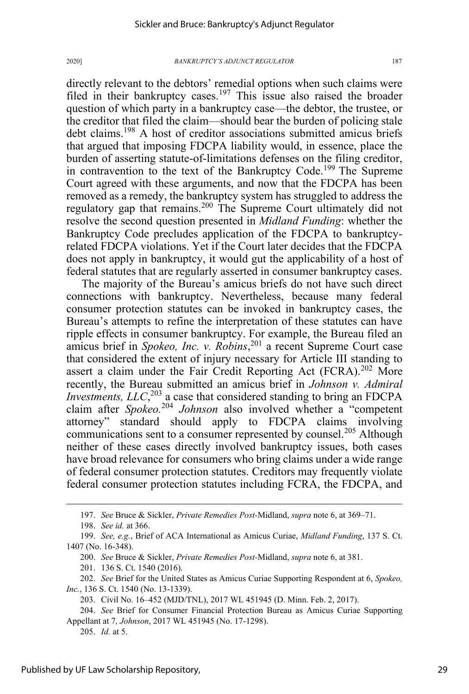directly relevant to the debtors' remedial options when such claims were filed in their bankruptcy cases.<sup>197</sup> This issue also raised the broader question of which party in a bankruptcy case—the debtor, the trustee, or the creditor that filed the claim—should bear the burden of policing stale debt claims.<sup>198</sup> A host of creditor associations submitted amicus briefs

that argued that imposing FDCPA liability would, in essence, place the burden of asserting statute-of-limitations defenses on the filing creditor, in contravention to the text of the Bankruptcy Code.<sup>199</sup> The Supreme Court agreed with these arguments, and now that the FDCPA has been removed as a remedy, the bankruptcy system has struggled to address the regulatory gap that remains.<sup>200</sup> The Supreme Court ultimately did not resolve the second question presented in *Midland Funding*: whether the Bankruptcy Code precludes application of the FDCPA to bankruptcyrelated FDCPA violations. Yet if the Court later decides that the FDCPA does not apply in bankruptcy, it would gut the applicability of a host of federal statutes that are regularly asserted in consumer bankruptcy cases.

The majority of the Bureau's amicus briefs do not have such direct connections with bankruptcy. Nevertheless, because many federal consumer protection statutes can be invoked in bankruptcy cases, the Bureau's attempts to refine the interpretation of these statutes can have ripple effects in consumer bankruptcy. For example, the Bureau filed an amicus brief in *Spokeo, Inc. v. Robins*, <sup>201</sup> a recent Supreme Court case that considered the extent of injury necessary for Article III standing to assert a claim under the Fair Credit Reporting Act  $(FCRA)$ <sup>202</sup> More recently, the Bureau submitted an amicus brief in *Johnson v. Admiral Investments, LLC*<sup>203</sup> a case that considered standing to bring an FDCPA claim after *Spokeo.*<sup>204</sup> *Johnson* also involved whether a "competent attorney" standard should apply to FDCPA claims involving communications sent to a consumer represented by counsel.<sup>205</sup> Although neither of these cases directly involved bankruptcy issues, both cases have broad relevance for consumers who bring claims under a wide range of federal consumer protection statutes. Creditors may frequently violate federal consumer protection statutes including FCRA, the FDCPA, and

<sup>197.</sup> *See* Bruce & Sickler, *Private Remedies Post-*Midland, *supra* note 6, at 369–71.

<sup>198.</sup> *See id.* at 366.

<sup>199.</sup> *See, e.g.*, Brief of ACA International as Amicus Curiae, *Midland Funding*, 137 S. Ct. 1407 (No. 16-348).

<sup>200.</sup> *See* Bruce & Sickler, *Private Remedies Post-*Midland, *supra* note 6, at 381.

<sup>201. 136</sup> S. Ct. 1540 (2016).

<sup>202.</sup> *See* Brief for the United States as Amicus Curiae Supporting Respondent at 6, *Spokeo, Inc.*, 136 S. Ct. 1540 (No. 13-1339).

<sup>203.</sup> Civil No. 16–452 (MJD/TNL), 2017 WL 451945 (D. Minn. Feb. 2, 2017).

<sup>204.</sup> *See* Brief for Consumer Financial Protection Bureau as Amicus Curiae Supporting Appellant at 7*, Johnson*, 2017 WL 451945 (No. 17-1298).

<sup>205.</sup> *Id.* at 5.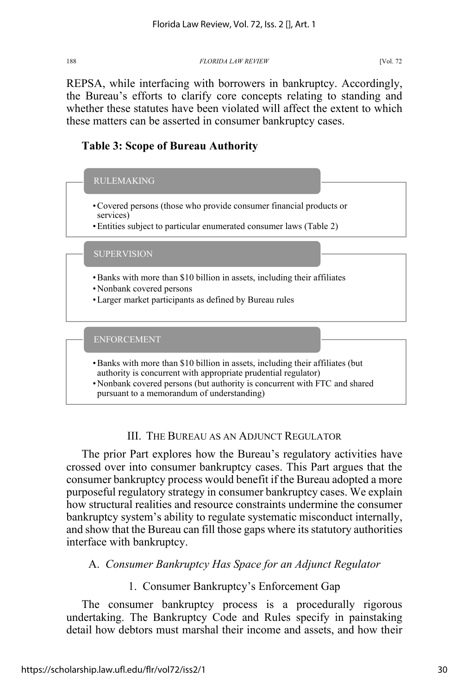REPSA, while interfacing with borrowers in bankruptcy. Accordingly, the Bureau's efforts to clarify core concepts relating to standing and whether these statutes have been violated will affect the extent to which these matters can be asserted in consumer bankruptcy cases.

# **Table 3: Scope of Bureau Authority**



# III. THE BUREAU AS AN ADJUNCT REGULATOR

The prior Part explores how the Bureau's regulatory activities have crossed over into consumer bankruptcy cases. This Part argues that the consumer bankruptcy process would benefit if the Bureau adopted a more purposeful regulatory strategy in consumer bankruptcy cases. We explain how structural realities and resource constraints undermine the consumer bankruptcy system's ability to regulate systematic misconduct internally, and show that the Bureau can fill those gaps where its statutory authorities interface with bankruptcy.

# A. *Consumer Bankruptcy Has Space for an Adjunct Regulator*

# 1. Consumer Bankruptcy's Enforcement Gap

The consumer bankruptcy process is a procedurally rigorous undertaking. The Bankruptcy Code and Rules specify in painstaking detail how debtors must marshal their income and assets, and how their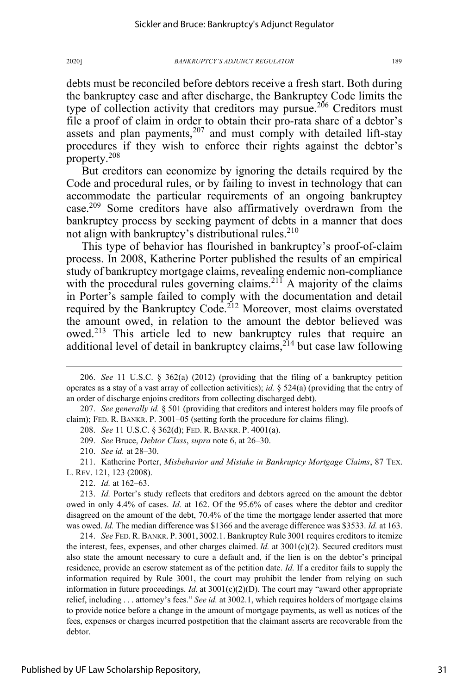debts must be reconciled before debtors receive a fresh start. Both during the bankruptcy case and after discharge, the Bankruptcy Code limits the type of collection activity that creditors may pursue.<sup>206</sup> Creditors must file a proof of claim in order to obtain their pro-rata share of a debtor's assets and plan payments, $207$  and must comply with detailed lift-stay procedures if they wish to enforce their rights against the debtor's property.208

But creditors can economize by ignoring the details required by the Code and procedural rules, or by failing to invest in technology that can accommodate the particular requirements of an ongoing bankruptcy case.<sup>209</sup> Some creditors have also affirmatively overdrawn from the bankruptcy process by seeking payment of debts in a manner that does not align with bankruptcy's distributional rules. $210$ 

This type of behavior has flourished in bankruptcy's proof-of-claim process. In 2008, Katherine Porter published the results of an empirical study of bankruptcy mortgage claims, revealing endemic non-compliance with the procedural rules governing claims.<sup>211</sup> A majority of the claims in Porter's sample failed to comply with the documentation and detail required by the Bankruptcy Code.<sup>212</sup> Moreover, most claims overstated the amount owed, in relation to the amount the debtor believed was owed.<sup>213</sup> This article led to new bankruptcy rules that require an additional level of detail in bankruptcy claims, $2^{14}$  but case law following

209. *See* Bruce, *Debtor Class*, *supra* note 6, at 26–30.

210. *See id.* at 28–30.

211. Katherine Porter, *Misbehavior and Mistake in Bankruptcy Mortgage Claims*, 87 TEX. L. REV. 121, 123 (2008).

212. *Id.* at 162–63.

213. *Id.* Porter's study reflects that creditors and debtors agreed on the amount the debtor owed in only 4.4% of cases. *Id.* at 162. Of the 95.6% of cases where the debtor and creditor disagreed on the amount of the debt, 70.4% of the time the mortgage lender asserted that more was owed. *Id.* The median difference was \$1366 and the average difference was \$3533. *Id.* at 163.

214. *See* FED.R.BANKR. P. 3001, 3002.1. Bankruptcy Rule 3001 requires creditors to itemize the interest, fees, expenses, and other charges claimed. *Id.* at 3001(c)(2). Secured creditors must also state the amount necessary to cure a default and, if the lien is on the debtor's principal residence, provide an escrow statement as of the petition date. *Id.* If a creditor fails to supply the information required by Rule 3001, the court may prohibit the lender from relying on such information in future proceedings. *Id.* at  $3001(c)(2)(D)$ . The court may "award other appropriate relief, including . . . attorney's fees." *See id.* at 3002.1, which requires holders of mortgage claims to provide notice before a change in the amount of mortgage payments, as well as notices of the fees, expenses or charges incurred postpetition that the claimant asserts are recoverable from the debtor.

<sup>206.</sup> *See* 11 U.S.C. § 362(a) (2012) (providing that the filing of a bankruptcy petition operates as a stay of a vast array of collection activities); *id.* § 524(a) (providing that the entry of an order of discharge enjoins creditors from collecting discharged debt).

<sup>207.</sup> *See generally id.* § 501 (providing that creditors and interest holders may file proofs of claim); FED. R. BANKR. P. 3001–05 (setting forth the procedure for claims filing).

<sup>208.</sup> *See* 11 U.S.C. § 362(d); FED. R. BANKR. P. 4001(a).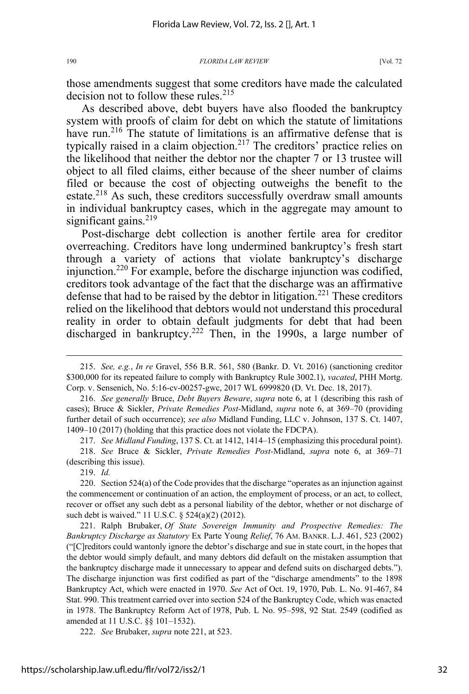those amendments suggest that some creditors have made the calculated decision not to follow these rules.<sup>215</sup>

As described above, debt buyers have also flooded the bankruptcy system with proofs of claim for debt on which the statute of limitations have run.<sup>216</sup> The statute of limitations is an affirmative defense that is typically raised in a claim objection.<sup>217</sup> The creditors' practice relies on the likelihood that neither the debtor nor the chapter 7 or 13 trustee will object to all filed claims, either because of the sheer number of claims filed or because the cost of objecting outweighs the benefit to the estate.<sup>218</sup> As such, these creditors successfully overdraw small amounts in individual bankruptcy cases, which in the aggregate may amount to significant gains. $219$ 

Post-discharge debt collection is another fertile area for creditor overreaching. Creditors have long undermined bankruptcy's fresh start through a variety of actions that violate bankruptcy's discharge injunction.<sup>220</sup> For example, before the discharge injunction was codified, creditors took advantage of the fact that the discharge was an affirmative defense that had to be raised by the debtor in litigation.<sup>221</sup> These creditors relied on the likelihood that debtors would not understand this procedural reality in order to obtain default judgments for debt that had been discharged in bankruptcy.<sup>222</sup> Then, in the 1990s, a large number of

217. *See Midland Funding*, 137 S. Ct. at 1412, 1414–15 (emphasizing this procedural point).

219. *Id.*

221. Ralph Brubaker, *Of State Sovereign Immunity and Prospective Remedies: The Bankruptcy Discharge as Statutory* Ex Parte Young *Relief*, 76 AM. BANKR. L.J. 461, 523 (2002) ("[C]reditors could wantonly ignore the debtor's discharge and sue in state court, in the hopes that the debtor would simply default, and many debtors did default on the mistaken assumption that the bankruptcy discharge made it unnecessary to appear and defend suits on discharged debts."). The discharge injunction was first codified as part of the "discharge amendments" to the 1898 Bankruptcy Act, which were enacted in 1970. *See* Act of Oct. 19, 1970, Pub. L. No. 91-467, 84 Stat. 990. This treatment carried over into section 524 of the Bankruptcy Code, which was enacted in 1978. The Bankruptcy Reform Act of 1978, Pub. L No. 95–598, 92 Stat. 2549 (codified as amended at 11 U.S.C. §§ 101–1532).

222. *See* Brubaker, *supra* note 221, at 523.

<sup>215.</sup> *See, e.g.*, *In re* Gravel, 556 B.R. 561, 580 (Bankr. D. Vt. 2016) (sanctioning creditor \$300,000 for its repeated failure to comply with Bankruptcy Rule 3002.1), *vacated*, PHH Mortg. Corp. v. Sensenich, No. 5:16-cv-00257-gwc, 2017 WL 6999820 (D. Vt. Dec. 18, 2017).

<sup>216.</sup> *See generally* Bruce, *Debt Buyers Beware*, *supra* note 6, at 1 (describing this rash of cases); Bruce & Sickler, *Private Remedies Post-*Midland, *supra* note 6, at 369–70 (providing further detail of such occurrence); *see also* Midland Funding, LLC v. Johnson, 137 S. Ct. 1407, 1409–10 (2017) (holding that this practice does not violate the FDCPA).

<sup>218.</sup> *See* Bruce & Sickler, *Private Remedies Post-*Midland, *supra* note 6, at 369–71 (describing this issue).

<sup>220.</sup> Section 524(a) of the Code provides that the discharge "operates as an injunction against the commencement or continuation of an action, the employment of process, or an act, to collect, recover or offset any such debt as a personal liability of the debtor, whether or not discharge of such debt is waived." 11 U.S.C. § 524(a)(2) (2012).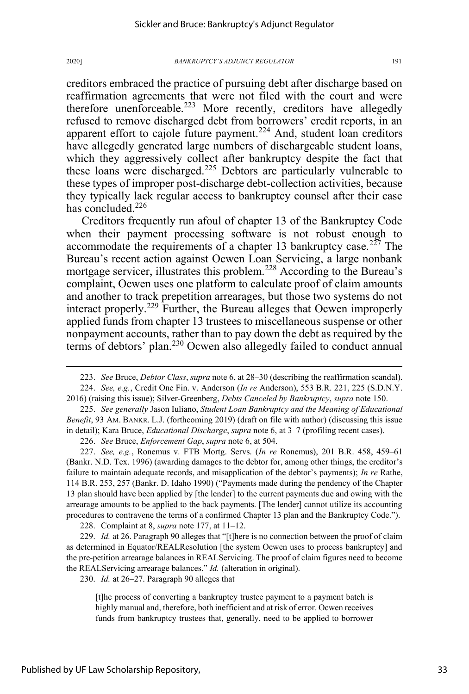creditors embraced the practice of pursuing debt after discharge based on reaffirmation agreements that were not filed with the court and were therefore unenforceable.<sup>223</sup> More recently, creditors have allegedly refused to remove discharged debt from borrowers' credit reports, in an apparent effort to cajole future payment.<sup>224</sup> And, student loan creditors have allegedly generated large numbers of dischargeable student loans, which they aggressively collect after bankruptcy despite the fact that these loans were discharged.<sup>225</sup> Debtors are particularly vulnerable to these types of improper post-discharge debt-collection activities, because they typically lack regular access to bankruptcy counsel after their case has concluded.<sup>226</sup>

Creditors frequently run afoul of chapter 13 of the Bankruptcy Code when their payment processing software is not robust enough to accommodate the requirements of a chapter 13 bankruptcy case.<sup>227</sup> The Bureau's recent action against Ocwen Loan Servicing, a large nonbank mortgage servicer, illustrates this problem.<sup>228</sup> According to the Bureau's complaint, Ocwen uses one platform to calculate proof of claim amounts and another to track prepetition arrearages, but those two systems do not interact properly.<sup>229</sup> Further, the Bureau alleges that Ocwen improperly applied funds from chapter 13 trustees to miscellaneous suspense or other nonpayment accounts, rather than to pay down the debt as required by the terms of debtors' plan.<sup>230</sup> Ocwen also allegedly failed to conduct annual

226. *See* Bruce, *Enforcement Gap*, *supra* note 6, at 504.

227. *See, e.g.*, Ronemus v. FTB Mortg. Servs. (*In re* Ronemus), 201 B.R. 458, 459–61 (Bankr. N.D. Tex. 1996) (awarding damages to the debtor for, among other things, the creditor's failure to maintain adequate records, and misapplication of the debtor's payments); *In re* Rathe, 114 B.R. 253, 257 (Bankr. D. Idaho 1990) ("Payments made during the pendency of the Chapter 13 plan should have been applied by [the lender] to the current payments due and owing with the arrearage amounts to be applied to the back payments. [The lender] cannot utilize its accounting procedures to contravene the terms of a confirmed Chapter 13 plan and the Bankruptcy Code.").

228. Complaint at 8, *supra* note 177, at 11–12.

229. *Id.* at 26. Paragraph 90 alleges that "[t]here is no connection between the proof of claim as determined in Equator/REALResolution [the system Ocwen uses to process bankruptcy] and the pre-petition arrearage balances in REALServicing. The proof of claim figures need to become the REALServicing arrearage balances." *Id.* (alteration in original).

230. *Id.* at 26–27. Paragraph 90 alleges that

[t]he process of converting a bankruptcy trustee payment to a payment batch is highly manual and, therefore, both inefficient and at risk of error. Ocwen receives funds from bankruptcy trustees that, generally, need to be applied to borrower

<sup>223.</sup> *See* Bruce, *Debtor Class*, *supra* note 6, at 28–30 (describing the reaffirmation scandal).

<sup>224.</sup> *See, e.g.*, Credit One Fin. v. Anderson (*In re* Anderson), 553 B.R. 221, 225 (S.D.N.Y. 2016) (raising this issue); Silver-Greenberg, *Debts Canceled by Bankruptcy*, *supra* note 150.

<sup>225.</sup> *See generally* Jason Iuliano, *Student Loan Bankruptcy and the Meaning of Educational Benefit*, 93 AM. BANKR. L.J. (forthcoming 2019) (draft on file with author) (discussing this issue in detail); Kara Bruce, *Educational Discharge*, *supra* note 6, at 3–7 (profiling recent cases).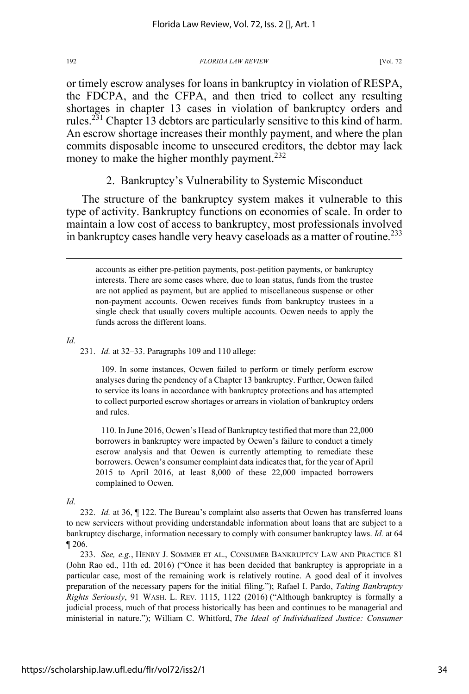or timely escrow analyses for loans in bankruptcy in violation of RESPA, the FDCPA, and the CFPA, and then tried to collect any resulting shortages in chapter 13 cases in violation of bankruptcy orders and rules.<sup>231</sup> Chapter 13 debtors are particularly sensitive to this kind of harm. An escrow shortage increases their monthly payment, and where the plan commits disposable income to unsecured creditors, the debtor may lack money to make the higher monthly payment.<sup>232</sup>

2. Bankruptcy's Vulnerability to Systemic Misconduct

The structure of the bankruptcy system makes it vulnerable to this type of activity. Bankruptcy functions on economies of scale. In order to maintain a low cost of access to bankruptcy, most professionals involved in bankruptcy cases handle very heavy caseloads as a matter of routine.<sup>233</sup>

accounts as either pre-petition payments, post-petition payments, or bankruptcy interests. There are some cases where, due to loan status, funds from the trustee are not applied as payment, but are applied to miscellaneous suspense or other non-payment accounts. Ocwen receives funds from bankruptcy trustees in a single check that usually covers multiple accounts. Ocwen needs to apply the funds across the different loans.

*Id.*

231. *Id.* at 32–33. Paragraphs 109 and 110 allege:

109. In some instances, Ocwen failed to perform or timely perform escrow analyses during the pendency of a Chapter 13 bankruptcy. Further, Ocwen failed to service its loans in accordance with bankruptcy protections and has attempted to collect purported escrow shortages or arrears in violation of bankruptcy orders and rules.

110. In June 2016, Ocwen's Head of Bankruptcy testified that more than 22,000 borrowers in bankruptcy were impacted by Ocwen's failure to conduct a timely escrow analysis and that Ocwen is currently attempting to remediate these borrowers. Ocwen's consumer complaint data indicates that, for the year of April 2015 to April 2016, at least 8,000 of these 22,000 impacted borrowers complained to Ocwen.

*Id.* 

232. *Id.* at 36, ¶ 122. The Bureau's complaint also asserts that Ocwen has transferred loans to new servicers without providing understandable information about loans that are subject to a bankruptcy discharge, information necessary to comply with consumer bankruptcy laws. *Id.* at 64 ¶ 206.

233. *See, e.g.*, HENRY J. SOMMER ET AL., CONSUMER BANKRUPTCY LAW AND PRACTICE 81 (John Rao ed., 11th ed. 2016) ("Once it has been decided that bankruptcy is appropriate in a particular case, most of the remaining work is relatively routine. A good deal of it involves preparation of the necessary papers for the initial filing."); Rafael I. Pardo, *Taking Bankruptcy Rights Seriously*, 91 WASH. L. REV*.* 1115, 1122 (2016) ("Although bankruptcy is formally a judicial process, much of that process historically has been and continues to be managerial and ministerial in nature."); William C. Whitford, *The Ideal of Individualized Justice: Consumer*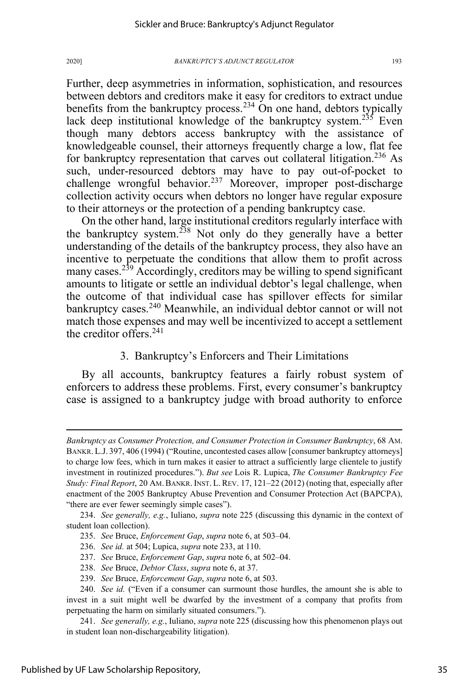Further, deep asymmetries in information, sophistication, and resources between debtors and creditors make it easy for creditors to extract undue benefits from the bankruptcy process.<sup>234</sup> On one hand, debtors typically lack deep institutional knowledge of the bankruptcy system.<sup>235</sup> Even though many debtors access bankruptcy with the assistance of knowledgeable counsel, their attorneys frequently charge a low, flat fee for bankruptcy representation that carves out collateral litigation.<sup>236</sup> As such, under-resourced debtors may have to pay out-of-pocket to challenge wrongful behavior.<sup>237</sup> Moreover, improper post-discharge collection activity occurs when debtors no longer have regular exposure to their attorneys or the protection of a pending bankruptcy case.

On the other hand, large institutional creditors regularly interface with the bankruptcy system.<sup>238</sup> Not only do they generally have a better understanding of the details of the bankruptcy process, they also have an incentive to perpetuate the conditions that allow them to profit across many cases.<sup>239</sup> Accordingly, creditors may be willing to spend significant amounts to litigate or settle an individual debtor's legal challenge, when the outcome of that individual case has spillover effects for similar bankruptcy cases.<sup>240</sup> Meanwhile, an individual debtor cannot or will not match those expenses and may well be incentivized to accept a settlement the creditor offers. $241$ 

# 3. Bankruptcy's Enforcers and Their Limitations

By all accounts, bankruptcy features a fairly robust system of enforcers to address these problems. First, every consumer's bankruptcy case is assigned to a bankruptcy judge with broad authority to enforce

234. *See generally, e.g.*, Iuliano, *supra* note 225 (discussing this dynamic in the context of student loan collection).

235. *See* Bruce, *Enforcement Gap*, *supra* note 6, at 503–04.

236. *See id.* at 504; Lupica, *supra* note 233, at 110.

237. *See* Bruce, *Enforcement Gap*, *supra* note 6, at 502–04.

238. *See* Bruce, *Debtor Class*, *supra* note 6, at 37.

239. *See* Bruce, *Enforcement Gap*, *supra* note 6, at 503.

*Bankruptcy as Consumer Protection, and Consumer Protection in Consumer Bankruptcy*, 68 AM. BANKR. L.J. 397, 406 (1994) ("Routine, uncontested cases allow [consumer bankruptcy attorneys] to charge low fees, which in turn makes it easier to attract a sufficiently large clientele to justify investment in routinized procedures."). *But see* Lois R. Lupica, *The Consumer Bankruptcy Fee Study: Final Report*, 20 AM.BANKR. INST. L.REV. 17, 121–22 (2012) (noting that, especially after enactment of the 2005 Bankruptcy Abuse Prevention and Consumer Protection Act (BAPCPA), "there are ever fewer seemingly simple cases").

<sup>240.</sup> *See id.* ("Even if a consumer can surmount those hurdles, the amount she is able to invest in a suit might well be dwarfed by the investment of a company that profits from perpetuating the harm on similarly situated consumers.").

<sup>241.</sup> *See generally, e.g.*, Iuliano, *supra* note 225 (discussing how this phenomenon plays out in student loan non-dischargeability litigation).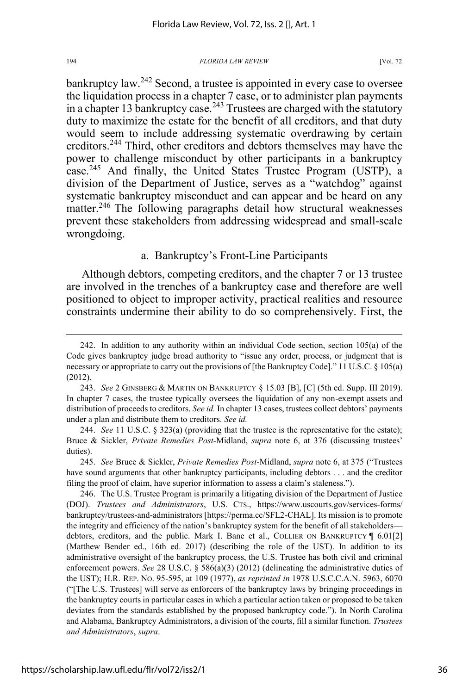bankruptcy law.<sup>242</sup> Second, a trustee is appointed in every case to oversee the liquidation process in a chapter 7 case, or to administer plan payments in a chapter 13 bankruptcy case.<sup>243</sup> Trustees are charged with the statutory duty to maximize the estate for the benefit of all creditors, and that duty would seem to include addressing systematic overdrawing by certain creditors.<sup>244</sup> Third, other creditors and debtors themselves may have the power to challenge misconduct by other participants in a bankruptcy case.<sup>245</sup> And finally, the United States Trustee Program (USTP), a division of the Department of Justice, serves as a "watchdog" against systematic bankruptcy misconduct and can appear and be heard on any matter.<sup>246</sup> The following paragraphs detail how structural weaknesses prevent these stakeholders from addressing widespread and small-scale wrongdoing.

# a. Bankruptcy's Front-Line Participants

Although debtors, competing creditors, and the chapter 7 or 13 trustee are involved in the trenches of a bankruptcy case and therefore are well positioned to object to improper activity, practical realities and resource constraints undermine their ability to do so comprehensively. First, the

244. *See* 11 U.S.C. § 323(a) (providing that the trustee is the representative for the estate); Bruce & Sickler, *Private Remedies Post-*Midland, *supra* note 6, at 376 (discussing trustees' duties).

245. *See* Bruce & Sickler, *Private Remedies Post-*Midland, *supra* note 6, at 375 ("Trustees have sound arguments that other bankruptcy participants, including debtors . . . and the creditor filing the proof of claim, have superior information to assess a claim's staleness.").

246. The U.S. Trustee Program is primarily a litigating division of the Department of Justice (DOJ). *Trustees and Administrators*, U.S. CTS., https://www.uscourts.gov/services-forms/ bankruptcy/trustees-and-administrators [https://perma.cc/SFL2-CHAL]. Its mission is to promote the integrity and efficiency of the nation's bankruptcy system for the benefit of all stakeholders debtors, creditors, and the public. Mark I. Bane et al., COLLIER ON BANKRUPTCY ¶ 6.01[2] (Matthew Bender ed., 16th ed. 2017) (describing the role of the UST). In addition to its administrative oversight of the bankruptcy process, the U.S. Trustee has both civil and criminal enforcement powers. *See* 28 U.S.C. § 586(a)(3) (2012) (delineating the administrative duties of the UST); H.R. REP. NO. 95-595, at 109 (1977), *as reprinted in* 1978 U.S.C.C.A.N. 5963, 6070 ("[The U.S. Trustees] will serve as enforcers of the bankruptcy laws by bringing proceedings in the bankruptcy courts in particular cases in which a particular action taken or proposed to be taken deviates from the standards established by the proposed bankruptcy code."). In North Carolina and Alabama, Bankruptcy Administrators, a division of the courts, fill a similar function. *Trustees and Administrators*, *supra*.

<sup>242.</sup> In addition to any authority within an individual Code section, section 105(a) of the Code gives bankruptcy judge broad authority to "issue any order, process, or judgment that is necessary or appropriate to carry out the provisions of [the Bankruptcy Code]." 11 U.S.C. § 105(a) (2012).

<sup>243.</sup> *See* 2 GINSBERG & MARTIN ON BANKRUPTCY § 15.03 [B], [C] (5th ed. Supp. III 2019). In chapter 7 cases, the trustee typically oversees the liquidation of any non-exempt assets and distribution of proceeds to creditors. *See id.* In chapter 13 cases, trustees collect debtors' payments under a plan and distribute them to creditors. *See id.*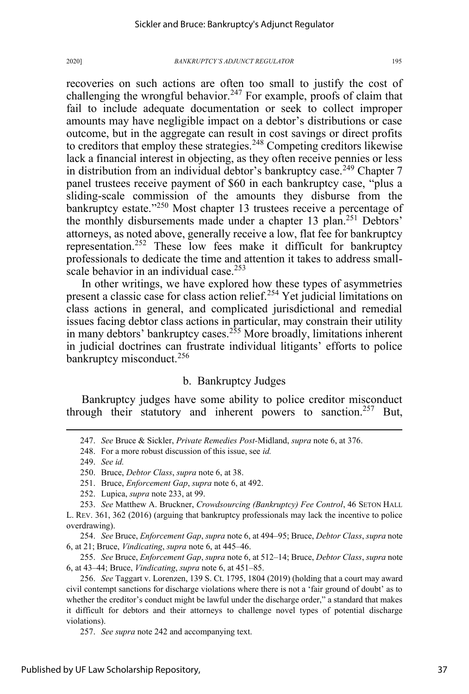recoveries on such actions are often too small to justify the cost of challenging the wrongful behavior.<sup>247</sup> For example, proofs of claim that fail to include adequate documentation or seek to collect improper amounts may have negligible impact on a debtor's distributions or case outcome, but in the aggregate can result in cost savings or direct profits to creditors that employ these strategies.<sup>248</sup> Competing creditors likewise lack a financial interest in objecting, as they often receive pennies or less in distribution from an individual debtor's bankruptcy case.<sup>249</sup> Chapter 7 panel trustees receive payment of \$60 in each bankruptcy case, "plus a sliding-scale commission of the amounts they disburse from the bankruptcy estate."<sup>250</sup> Most chapter 13 trustees receive a percentage of the monthly disbursements made under a chapter 13 plan.<sup>251</sup> Debtors' attorneys, as noted above, generally receive a low, flat fee for bankruptcy representation.<sup>252</sup> These low fees make it difficult for bankruptcy professionals to dedicate the time and attention it takes to address smallscale behavior in an individual case.<sup>253</sup>

In other writings, we have explored how these types of asymmetries present a classic case for class action relief.<sup>254</sup> Yet judicial limitations on class actions in general, and complicated jurisdictional and remedial issues facing debtor class actions in particular, may constrain their utility in many debtors' bankruptcy cases.<sup>255</sup> More broadly, limitations inherent in judicial doctrines can frustrate individual litigants' efforts to police bankruptcy misconduct.<sup>256</sup>

# b. Bankruptcy Judges

Bankruptcy judges have some ability to police creditor misconduct through their statutory and inherent powers to sanction.<sup>257</sup> But,

254. *See* Bruce, *Enforcement Gap*, *supra* note 6, at 494–95; Bruce, *Debtor Class*, *supra* note 6, at 21; Bruce, *Vindicating*, *supra* note 6, at 445–46.

255. *See* Bruce, *Enforcement Gap*, *supra* note 6, at 512–14; Bruce, *Debtor Class*, *supra* note 6, at 43–44; Bruce, *Vindicating*, *supra* note 6, at 451–85.

<sup>247.</sup> *See* Bruce & Sickler, *Private Remedies Post-*Midland, *supra* note 6, at 376.

<sup>248.</sup> For a more robust discussion of this issue, see *id.*

<sup>249.</sup> *See id.*

<sup>250.</sup> Bruce, *Debtor Class*, *supra* note 6, at 38.

<sup>251.</sup> Bruce, *Enforcement Gap*, *supra* note 6, at 492.

<sup>252.</sup> Lupica, *supra* note 233, at 99.

<sup>253.</sup> *See* Matthew A. Bruckner, *Crowdsourcing (Bankruptcy) Fee Control*, 46 SETON HALL L. REV. 361, 362 (2016) (arguing that bankruptcy professionals may lack the incentive to police overdrawing).

<sup>256.</sup> *See* Taggart v. Lorenzen, 139 S. Ct. 1795, 1804 (2019) (holding that a court may award civil contempt sanctions for discharge violations where there is not a 'fair ground of doubt' as to whether the creditor's conduct might be lawful under the discharge order," a standard that makes it difficult for debtors and their attorneys to challenge novel types of potential discharge violations).

<sup>257.</sup> *See supra* note 242 and accompanying text.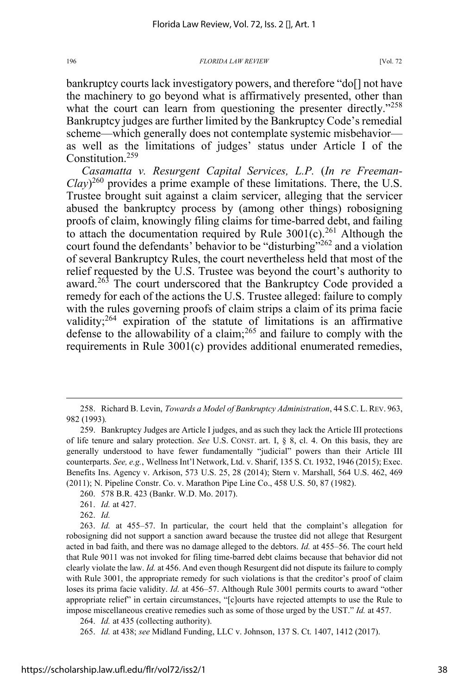bankruptcy courts lack investigatory powers, and therefore "do[] not have the machinery to go beyond what is affirmatively presented, other than what the court can learn from questioning the presenter directly."<sup>258</sup> Bankruptcy judges are further limited by the Bankruptcy Code's remedial scheme—which generally does not contemplate systemic misbehavior as well as the limitations of judges' status under Article I of the Constitution<sup>259</sup>

*Casamatta v. Resurgent Capital Services, L.P.* (*In re Freeman-Clay*) <sup>260</sup> provides a prime example of these limitations. There, the U.S. Trustee brought suit against a claim servicer, alleging that the servicer abused the bankruptcy process by (among other things) robosigning proofs of claim, knowingly filing claims for time-barred debt, and failing to attach the documentation required by Rule  $3001(c)$ <sup>261</sup> Although the court found the defendants' behavior to be "disturbing"<sup>262</sup> and a violation of several Bankruptcy Rules, the court nevertheless held that most of the relief requested by the U.S. Trustee was beyond the court's authority to award.<sup>263</sup> The court underscored that the Bankruptcy Code provided a remedy for each of the actions the U.S. Trustee alleged: failure to comply with the rules governing proofs of claim strips a claim of its prima facie validity; $^{264}$  expiration of the statute of limitations is an affirmative defense to the allowability of a claim;  $^{265}$  and failure to comply with the requirements in Rule 3001(c) provides additional enumerated remedies,

<sup>258.</sup> Richard B. Levin, *Towards a Model of Bankruptcy Administration*, 44 S.C. L.REV. 963, 982 (1993)*.* 

<sup>259.</sup> Bankruptcy Judges are Article I judges, and as such they lack the Article III protections of life tenure and salary protection. *See* U.S. CONST. art. I, § 8, cl. 4. On this basis, they are generally understood to have fewer fundamentally "judicial" powers than their Article III counterparts. *See, e.g.*, Wellness Int'l Network, Ltd. v. Sharif, 135 S. Ct. 1932, 1946 (2015); Exec. Benefits Ins. Agency v. Arkison, 573 U.S. 25, 28 (2014); Stern v. Marshall, 564 U.S. 462, 469 (2011); N. Pipeline Constr. Co. v. Marathon Pipe Line Co., 458 U.S. 50, 87 (1982).

<sup>260. 578</sup> B.R. 423 (Bankr. W.D. Mo. 2017).

<sup>261.</sup> *Id.* at 427.

<sup>262.</sup> *Id.*

<sup>263.</sup> *Id.* at 455–57. In particular, the court held that the complaint's allegation for robosigning did not support a sanction award because the trustee did not allege that Resurgent acted in bad faith, and there was no damage alleged to the debtors. *Id.* at 455–56. The court held that Rule 9011 was not invoked for filing time-barred debt claims because that behavior did not clearly violate the law. *Id.* at 456. And even though Resurgent did not dispute its failure to comply with Rule 3001, the appropriate remedy for such violations is that the creditor's proof of claim loses its prima facie validity. *Id.* at 456–57. Although Rule 3001 permits courts to award "other appropriate relief" in certain circumstances, "[c]ourts have rejected attempts to use the Rule to impose miscellaneous creative remedies such as some of those urged by the UST." *Id.* at 457.

<sup>264.</sup> *Id.* at 435 (collecting authority).

<sup>265.</sup> *Id.* at 438; *see* Midland Funding, LLC v. Johnson, 137 S. Ct. 1407, 1412 (2017).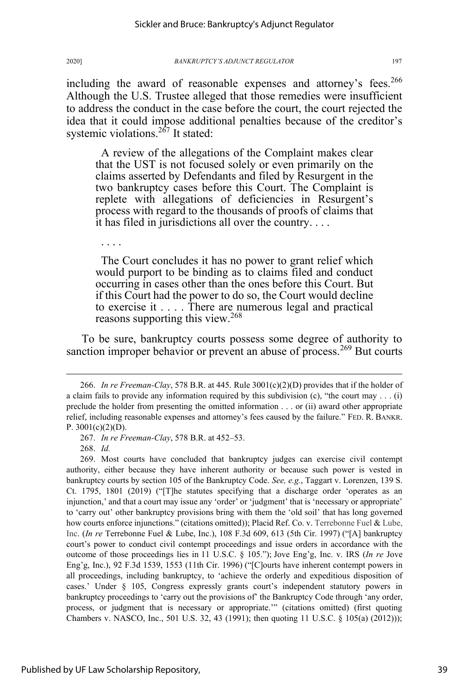including the award of reasonable expenses and attorney's fees.<sup>266</sup> Although the U.S. Trustee alleged that those remedies were insufficient to address the conduct in the case before the court, the court rejected the idea that it could impose additional penalties because of the creditor's systemic violations.<sup>267</sup> It stated:

A review of the allegations of the Complaint makes clear that the UST is not focused solely or even primarily on the claims asserted by Defendants and filed by Resurgent in the two bankruptcy cases before this Court. The Complaint is replete with allegations of deficiencies in Resurgent's process with regard to the thousands of proofs of claims that it has filed in jurisdictions all over the country. . . .

The Court concludes it has no power to grant relief which would purport to be binding as to claims filed and conduct occurring in cases other than the ones before this Court. But if this Court had the power to do so, the Court would decline to exercise it . . . . There are numerous legal and practical reasons supporting this view.<sup>268</sup>

To be sure, bankruptcy courts possess some degree of authority to sanction improper behavior or prevent an abuse of process.<sup>269</sup> But courts

268. *Id.* 

. . . .

269. Most courts have concluded that bankruptcy judges can exercise civil contempt authority, either because they have inherent authority or because such power is vested in bankruptcy courts by section 105 of the Bankruptcy Code. *See, e.g.*, Taggart v. Lorenzen, 139 S. Ct. 1795, 1801 (2019) ("[T]he statutes specifying that a discharge order 'operates as an injunction,' and that a court may issue any 'order' or 'judgment' that is 'necessary or appropriate' to 'carry out' other bankruptcy provisions bring with them the 'old soil' that has long governed how courts enforce injunctions." (citations omitted)); Placid Ref. Co. v. Terrebonne Fuel & Lube, Inc. (*In re* Terrebonne Fuel & Lube, Inc.), 108 F.3d 609, 613 (5th Cir. 1997) ("[A] bankruptcy court's power to conduct civil contempt proceedings and issue orders in accordance with the outcome of those proceedings lies in 11 U.S.C. § 105."); Jove Eng'g, Inc. v. IRS (*In re* Jove Eng'g, Inc.), 92 F.3d 1539, 1553 (11th Cir. 1996) ("[C]ourts have inherent contempt powers in all proceedings, including bankruptcy, to 'achieve the orderly and expeditious disposition of cases.' Under § 105, Congress expressly grants court's independent statutory powers in bankruptcy proceedings to 'carry out the provisions of' the Bankruptcy Code through 'any order, process, or judgment that is necessary or appropriate.'" (citations omitted) (first quoting Chambers v. NASCO, Inc., 501 U.S. 32, 43 (1991); then quoting 11 U.S.C. § 105(a) (2012)));

<sup>266.</sup> *In re Freeman-Clay*, 578 B.R. at 445. Rule 3001(c)(2)(D) provides that if the holder of a claim fails to provide any information required by this subdivision (c), "the court may . . . (i) preclude the holder from presenting the omitted information . . . or (ii) award other appropriate relief, including reasonable expenses and attorney's fees caused by the failure." FED. R. BANKR. P.  $3001(c)(2)(D)$ .

<sup>267.</sup> *In re Freeman-Clay*, 578 B.R. at 452–53.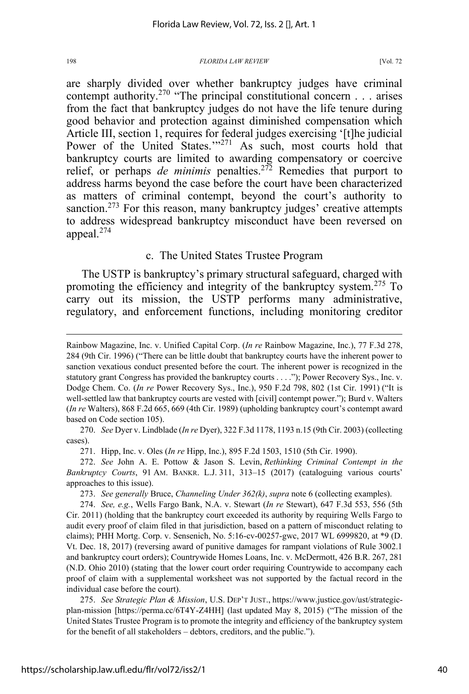are sharply divided over whether bankruptcy judges have criminal contempt authority.<sup>270</sup> "The principal constitutional concern . . . arises from the fact that bankruptcy judges do not have the life tenure during good behavior and protection against diminished compensation which Article III, section 1, requires for federal judges exercising '[t]he judicial Power of the United States."<sup>271</sup> As such, most courts hold that bankruptcy courts are limited to awarding compensatory or coercive relief, or perhaps *de minimis* penalties.<sup>272</sup> Remedies that purport to address harms beyond the case before the court have been characterized as matters of criminal contempt, beyond the court's authority to sanction.<sup>273</sup> For this reason, many bankruptcy judges' creative attempts to address widespread bankruptcy misconduct have been reversed on appeal.274

# c. The United States Trustee Program

The USTP is bankruptcy's primary structural safeguard, charged with promoting the efficiency and integrity of the bankruptcy system.<sup>275</sup> To carry out its mission, the USTP performs many administrative, regulatory, and enforcement functions, including monitoring creditor

270. *See* Dyer v. Lindblade (*In re* Dyer), 322 F.3d 1178, 1193 n.15 (9th Cir. 2003) (collecting cases).

271. Hipp, Inc. v. Oles (*In re* Hipp, Inc.), 895 F.2d 1503, 1510 (5th Cir. 1990).

272. *See* John A. E. Pottow & Jason S. Levin, *Rethinking Criminal Contempt in the Bankruptcy Courts*, 91 AM. BANKR. L.J. 311, 313–15 (2017) (cataloguing various courts' approaches to this issue).

273. *See generally* Bruce, *Channeling Under 362(k)*, *supra* note 6 (collecting examples).

274. *See, e.g.*, Wells Fargo Bank, N.A. v. Stewart (*In re* Stewart), 647 F.3d 553, 556 (5th Cir. 2011) (holding that the bankruptcy court exceeded its authority by requiring Wells Fargo to audit every proof of claim filed in that jurisdiction, based on a pattern of misconduct relating to claims); PHH Mortg. Corp. v. Sensenich, No. 5:16-cv-00257-gwc, 2017 WL 6999820, at \*9 (D. Vt. Dec. 18, 2017) (reversing award of punitive damages for rampant violations of Rule 3002.1 and bankruptcy court orders); Countrywide Homes Loans, Inc. v. McDermott, 426 B.R. 267, 281 (N.D. Ohio 2010) (stating that the lower court order requiring Countrywide to accompany each proof of claim with a supplemental worksheet was not supported by the factual record in the individual case before the court).

275. *See Strategic Plan & Mission*, U.S. DEP'T JUST., https://www.justice.gov/ust/strategicplan-mission [https://perma.cc/6T4Y-Z4HH] (last updated May 8, 2015) ("The mission of the United States Trustee Program is to promote the integrity and efficiency of the bankruptcy system for the benefit of all stakeholders – debtors, creditors, and the public.").

Rainbow Magazine, Inc. v. Unified Capital Corp. (*In re* Rainbow Magazine, Inc.), 77 F.3d 278, 284 (9th Cir. 1996) ("There can be little doubt that bankruptcy courts have the inherent power to sanction vexatious conduct presented before the court. The inherent power is recognized in the statutory grant Congress has provided the bankruptcy courts . . . ."); Power Recovery Sys., Inc. v. Dodge Chem. Co. (*In re* Power Recovery Sys., Inc.), 950 F.2d 798, 802 (1st Cir. 1991) ("It is well-settled law that bankruptcy courts are vested with [civil] contempt power."); Burd v. Walters (*In re* Walters), 868 F.2d 665, 669 (4th Cir. 1989) (upholding bankruptcy court's contempt award based on Code section 105).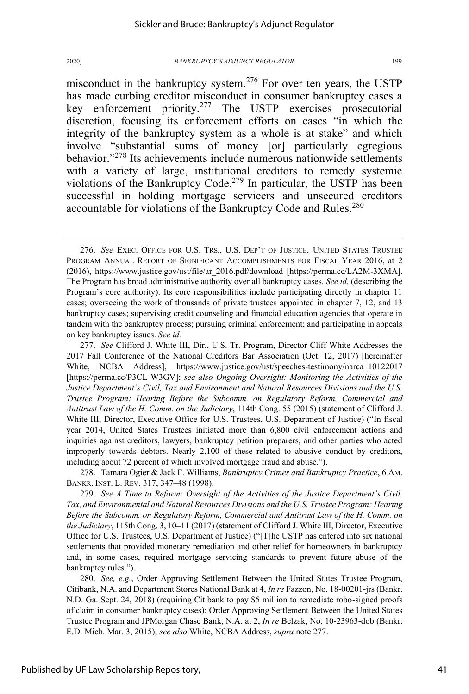misconduct in the bankruptcy system.<sup>276</sup> For over ten years, the USTP has made curbing creditor misconduct in consumer bankruptcy cases a key enforcement priority.<sup>277</sup> The USTP exercises prosecutorial discretion, focusing its enforcement efforts on cases "in which the integrity of the bankruptcy system as a whole is at stake" and which involve "substantial sums of money [or] particularly egregious behavior."<sup>278</sup> Its achievements include numerous nationwide settlements with a variety of large, institutional creditors to remedy systemic violations of the Bankruptcy Code.<sup>279</sup> In particular, the USTP has been successful in holding mortgage servicers and unsecured creditors accountable for violations of the Bankruptcy Code and Rules.<sup>280</sup>

278. Tamara Ogier & Jack F. Williams, *Bankruptcy Crimes and Bankruptcy Practice*, 6 AM. BANKR. INST. L. REV. 317, 347–48 (1998).

279. *See A Time to Reform: Oversight of the Activities of the Justice Department's Civil, Tax, and Environmental and Natural Resources Divisions and the U.S. Trustee Program: Hearing Before the Subcomm. on Regulatory Reform, Commercial and Antitrust Law of the H. Comm. on the Judiciary*, 115th Cong. 3, 10–11 (2017) (statement of Clifford J. White III, Director, Executive Office for U.S. Trustees, U.S. Department of Justice) ("[T]he USTP has entered into six national settlements that provided monetary remediation and other relief for homeowners in bankruptcy and, in some cases, required mortgage servicing standards to prevent future abuse of the bankruptcy rules.").

280. *See, e.g.*, Order Approving Settlement Between the United States Trustee Program, Citibank, N.A. and Department Stores National Bank at 4, *In re* Fazzon, No. 18-00201-jrs (Bankr. N.D. Ga. Sept. 24, 2018) (requiring Citibank to pay \$5 million to remediate robo-signed proofs of claim in consumer bankruptcy cases); Order Approving Settlement Between the United States Trustee Program and JPMorgan Chase Bank, N.A. at 2, *In re* Belzak, No. 10-23963-dob (Bankr. E.D. Mich. Mar. 3, 2015); *see also* White, NCBA Address, *supra* note 277.

<sup>276.</sup> *See* EXEC. OFFICE FOR U.S. TRS., U.S. DEP'T OF JUSTICE, UNITED STATES TRUSTEE PROGRAM ANNUAL REPORT OF SIGNIFICANT ACCOMPLISHMENTS FOR FISCAL YEAR 2016, at 2 (2016), https://www.justice.gov/ust/file/ar\_2016.pdf/download [https://perma.cc/LA2M-3XMA]. The Program has broad administrative authority over all bankruptcy cases. *See id.* (describing the Program's core authority). Its core responsibilities include participating directly in chapter 11 cases; overseeing the work of thousands of private trustees appointed in chapter 7, 12, and 13 bankruptcy cases; supervising credit counseling and financial education agencies that operate in tandem with the bankruptcy process; pursuing criminal enforcement; and participating in appeals on key bankruptcy issues. *See id.*

<sup>277.</sup> *See* Clifford J. White III, Dir., U.S. Tr. Program, Director Cliff White Addresses the 2017 Fall Conference of the National Creditors Bar Association (Oct. 12, 2017) [hereinafter White, NCBA Address], https://www.justice.gov/ust/speeches-testimony/narca\_10122017 [https://perma.cc/P3CL-W3GV]; *see also Ongoing Oversight: Monitoring the Activities of the Justice Department's Civil, Tax and Environment and Natural Resources Divisions and the U.S. Trustee Program: Hearing Before the Subcomm. on Regulatory Reform, Commercial and Antitrust Law of the H. Comm. on the Judiciary*, 114th Cong. 55 (2015) (statement of Clifford J. White III, Director, Executive Office for U.S. Trustees, U.S. Department of Justice) ("In fiscal year 2014, United States Trustees initiated more than 6,800 civil enforcement actions and inquiries against creditors, lawyers, bankruptcy petition preparers, and other parties who acted improperly towards debtors. Nearly 2,100 of these related to abusive conduct by creditors, including about 72 percent of which involved mortgage fraud and abuse.").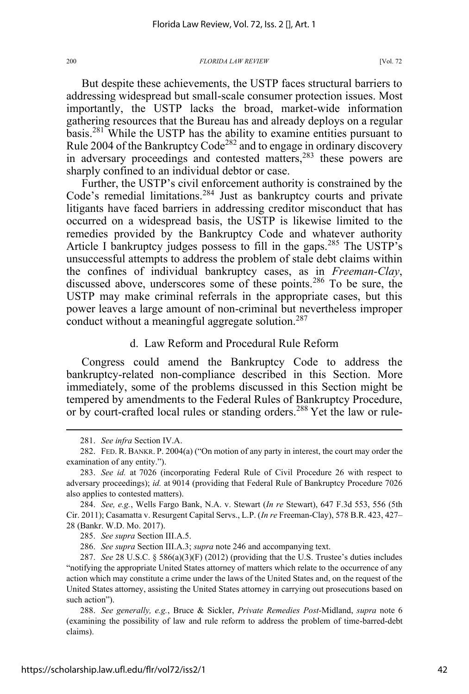But despite these achievements, the USTP faces structural barriers to addressing widespread but small-scale consumer protection issues. Most importantly, the USTP lacks the broad, market-wide information gathering resources that the Bureau has and already deploys on a regular basis.281 While the USTP has the ability to examine entities pursuant to Rule 2004 of the Bankruptcy Code<sup>282</sup> and to engage in ordinary discovery in adversary proceedings and contested matters,<sup>283</sup> these powers are sharply confined to an individual debtor or case.

Further, the USTP's civil enforcement authority is constrained by the Code's remedial limitations.<sup>284</sup> Just as bankruptcy courts and private litigants have faced barriers in addressing creditor misconduct that has occurred on a widespread basis, the USTP is likewise limited to the remedies provided by the Bankruptcy Code and whatever authority Article I bankruptcy judges possess to fill in the gaps.<sup>285</sup> The USTP's unsuccessful attempts to address the problem of stale debt claims within the confines of individual bankruptcy cases, as in *Freeman-Clay*, discussed above, underscores some of these points.<sup>286</sup> To be sure, the USTP may make criminal referrals in the appropriate cases, but this power leaves a large amount of non-criminal but nevertheless improper conduct without a meaningful aggregate solution.<sup>287</sup>

# d. Law Reform and Procedural Rule Reform

Congress could amend the Bankruptcy Code to address the bankruptcy-related non-compliance described in this Section. More immediately, some of the problems discussed in this Section might be tempered by amendments to the Federal Rules of Bankruptcy Procedure, or by court-crafted local rules or standing orders.<sup>288</sup> Yet the law or rule-

286. *See supra* Section III.A.3; *supra* note 246 and accompanying text.

<sup>281.</sup> *See infra* Section IV.A.

<sup>282.</sup> FED. R. BANKR. P. 2004(a) ("On motion of any party in interest, the court may order the examination of any entity.").

<sup>283.</sup> *See id.* at 7026 (incorporating Federal Rule of Civil Procedure 26 with respect to adversary proceedings); *id.* at 9014 (providing that Federal Rule of Bankruptcy Procedure 7026 also applies to contested matters).

<sup>284.</sup> *See, e.g.*, Wells Fargo Bank, N.A. v. Stewart (*In re* Stewart), 647 F.3d 553, 556 (5th Cir. 2011); Casamatta v. Resurgent Capital Servs., L.P. (*In re* Freeman-Clay), 578 B.R. 423, 427– 28 (Bankr. W.D. Mo. 2017).

<sup>285.</sup> *See supra* Section III.A.5.

<sup>287.</sup> *See* 28 U.S.C. § 586(a)(3)(F) (2012) (providing that the U.S. Trustee's duties includes "notifying the appropriate United States attorney of matters which relate to the occurrence of any action which may constitute a crime under the laws of the United States and, on the request of the United States attorney, assisting the United States attorney in carrying out prosecutions based on such action").

<sup>288.</sup> *See generally, e.g.*, Bruce & Sickler, *Private Remedies Post-*Midland, *supra* note 6 (examining the possibility of law and rule reform to address the problem of time-barred-debt claims).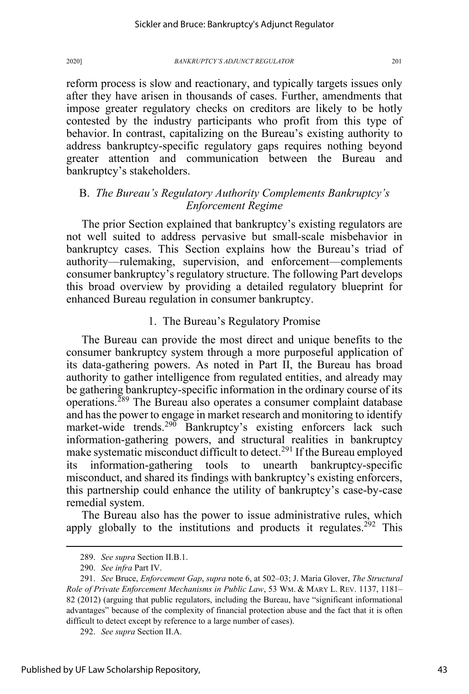reform process is slow and reactionary, and typically targets issues only after they have arisen in thousands of cases. Further, amendments that impose greater regulatory checks on creditors are likely to be hotly contested by the industry participants who profit from this type of behavior. In contrast, capitalizing on the Bureau's existing authority to address bankruptcy-specific regulatory gaps requires nothing beyond greater attention and communication between the Bureau and bankruptcy's stakeholders.

# B. *The Bureau's Regulatory Authority Complements Bankruptcy's Enforcement Regime*

The prior Section explained that bankruptcy's existing regulators are not well suited to address pervasive but small-scale misbehavior in bankruptcy cases. This Section explains how the Bureau's triad of authority—rulemaking, supervision, and enforcement—complements consumer bankruptcy's regulatory structure. The following Part develops this broad overview by providing a detailed regulatory blueprint for enhanced Bureau regulation in consumer bankruptcy.

# 1. The Bureau's Regulatory Promise

The Bureau can provide the most direct and unique benefits to the consumer bankruptcy system through a more purposeful application of its data-gathering powers. As noted in Part II, the Bureau has broad authority to gather intelligence from regulated entities, and already may be gathering bankruptcy-specific information in the ordinary course of its operations.<sup>289</sup> The Bureau also operates a consumer complaint database and has the power to engage in market research and monitoring to identify market-wide trends.<sup>290</sup> Bankruptcy's existing enforcers lack such information-gathering powers, and structural realities in bankruptcy make systematic misconduct difficult to detect.<sup>291</sup> If the Bureau employed its information-gathering tools to unearth bankruptcy-specific misconduct, and shared its findings with bankruptcy's existing enforcers, this partnership could enhance the utility of bankruptcy's case-by-case remedial system.

The Bureau also has the power to issue administrative rules, which apply globally to the institutions and products it regulates.<sup>292</sup> This

<sup>289.</sup> *See supra* Section II.B.1.

<sup>290.</sup> *See infra* Part IV.

<sup>291.</sup> *See* Bruce, *Enforcement Gap*, *supra* note 6, at 502–03; J. Maria Glover, *The Structural Role of Private Enforcement Mechanisms in Public Law*, 53 WM. & MARY L. REV. 1137, 1181– 82 (2012) (arguing that public regulators, including the Bureau, have "significant informational advantages" because of the complexity of financial protection abuse and the fact that it is often difficult to detect except by reference to a large number of cases).

<sup>292.</sup> *See supra* Section II.A.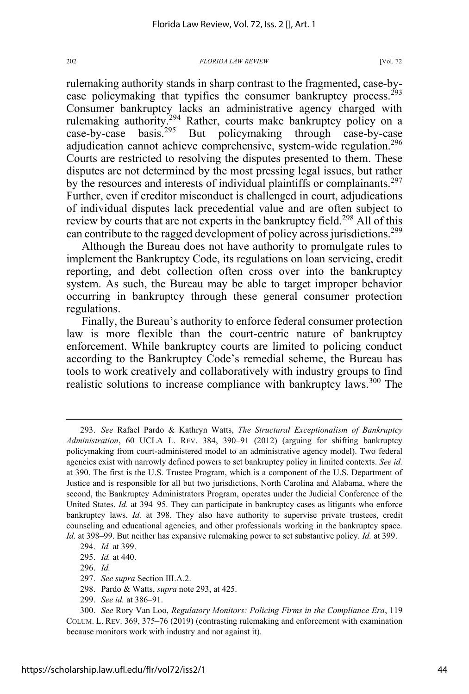rulemaking authority stands in sharp contrast to the fragmented, case-bycase policymaking that typifies the consumer bankruptcy process.<sup>293</sup> Consumer bankruptcy lacks an administrative agency charged with rulemaking authority.<sup>294</sup> Rather, courts make bankruptcy policy on a case-by-case basis.<sup>295</sup> But policymaking through case-by-case case-by-case basis.<sup>295</sup> But policymaking through case-by-case adjudication cannot achieve comprehensive, system-wide regulation.<sup>296</sup> Courts are restricted to resolving the disputes presented to them. These disputes are not determined by the most pressing legal issues, but rather by the resources and interests of individual plaintiffs or complainants.<sup>297</sup> Further, even if creditor misconduct is challenged in court, adjudications of individual disputes lack precedential value and are often subject to review by courts that are not experts in the bankruptcy field.<sup>298</sup> All of this can contribute to the ragged development of policy across jurisdictions.<sup>299</sup>

Although the Bureau does not have authority to promulgate rules to implement the Bankruptcy Code, its regulations on loan servicing, credit reporting, and debt collection often cross over into the bankruptcy system. As such, the Bureau may be able to target improper behavior occurring in bankruptcy through these general consumer protection regulations.

Finally, the Bureau's authority to enforce federal consumer protection law is more flexible than the court-centric nature of bankruptcy enforcement. While bankruptcy courts are limited to policing conduct according to the Bankruptcy Code's remedial scheme, the Bureau has tools to work creatively and collaboratively with industry groups to find realistic solutions to increase compliance with bankruptcy laws.<sup>300</sup> The

<sup>293.</sup> *See* Rafael Pardo & Kathryn Watts, *The Structural Exceptionalism of Bankruptcy Administration*, 60 UCLA L. REV. 384, 390–91 (2012) (arguing for shifting bankruptcy policymaking from court-administered model to an administrative agency model). Two federal agencies exist with narrowly defined powers to set bankruptcy policy in limited contexts. *See id.* at 390. The first is the U.S. Trustee Program, which is a component of the U.S. Department of Justice and is responsible for all but two jurisdictions, North Carolina and Alabama, where the second, the Bankruptcy Administrators Program, operates under the Judicial Conference of the United States. *Id.* at 394–95. They can participate in bankruptcy cases as litigants who enforce bankruptcy laws. *Id.* at 398. They also have authority to supervise private trustees, credit counseling and educational agencies, and other professionals working in the bankruptcy space. *Id.* at 398–99. But neither has expansive rulemaking power to set substantive policy. *Id.* at 399.

<sup>294.</sup> *Id.* at 399.

<sup>295.</sup> *Id.* at 440.

<sup>296.</sup> *Id.*

<sup>297.</sup> *See supra* Section III.A.2.

<sup>298.</sup> Pardo & Watts, *supra* note 293, at 425.

<sup>299.</sup> *See id.* at 386–91.

<sup>300.</sup> *See* Rory Van Loo, *Regulatory Monitors: Policing Firms in the Compliance Era*, 119 COLUM. L. REV. 369, 375–76 (2019) (contrasting rulemaking and enforcement with examination because monitors work with industry and not against it).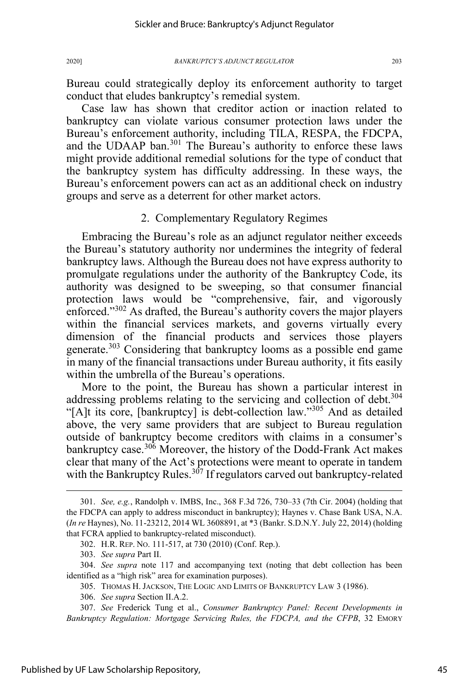Bureau could strategically deploy its enforcement authority to target conduct that eludes bankruptcy's remedial system.

Case law has shown that creditor action or inaction related to bankruptcy can violate various consumer protection laws under the Bureau's enforcement authority, including TILA, RESPA, the FDCPA, and the UDAAP ban.<sup>301</sup> The Bureau's authority to enforce these laws might provide additional remedial solutions for the type of conduct that the bankruptcy system has difficulty addressing. In these ways, the Bureau's enforcement powers can act as an additional check on industry groups and serve as a deterrent for other market actors.

# 2. Complementary Regulatory Regimes

Embracing the Bureau's role as an adjunct regulator neither exceeds the Bureau's statutory authority nor undermines the integrity of federal bankruptcy laws. Although the Bureau does not have express authority to promulgate regulations under the authority of the Bankruptcy Code, its authority was designed to be sweeping, so that consumer financial protection laws would be "comprehensive, fair, and vigorously enforced."<sup>302</sup> As drafted, the Bureau's authority covers the major players within the financial services markets, and governs virtually every dimension of the financial products and services those players generate.<sup>303</sup> Considering that bankruptcy looms as a possible end game in many of the financial transactions under Bureau authority, it fits easily within the umbrella of the Bureau's operations.

More to the point, the Bureau has shown a particular interest in addressing problems relating to the servicing and collection of debt.<sup>304</sup> "[A]t its core, [bankruptcy] is debt-collection law."<sup>305</sup> And as detailed above, the very same providers that are subject to Bureau regulation outside of bankruptcy become creditors with claims in a consumer's bankruptcy case.<sup>306</sup> Moreover, the history of the Dodd-Frank Act makes clear that many of the Act's protections were meant to operate in tandem with the Bankruptcy Rules.<sup>307</sup> If regulators carved out bankruptcy-related

<sup>301.</sup> *See, e.g.*, Randolph v. IMBS, Inc., 368 F.3d 726, 730–33 (7th Cir. 2004) (holding that the FDCPA can apply to address misconduct in bankruptcy); Haynes v. Chase Bank USA, N.A. (*In re* Haynes), No. 11-23212, 2014 WL 3608891, at \*3 (Bankr. S.D.N.Y. July 22, 2014) (holding that FCRA applied to bankruptcy-related misconduct).

<sup>302.</sup> H.R. REP. NO. 111-517, at 730 (2010) (Conf. Rep.).

<sup>303.</sup> *See supra* Part II.

<sup>304.</sup> *See supra* note 117 and accompanying text (noting that debt collection has been identified as a "high risk" area for examination purposes).

<sup>305.</sup> THOMAS H. JACKSON, THE LOGIC AND LIMITS OF BANKRUPTCY LAW 3 (1986).

<sup>306.</sup> *See supra* Section II.A.2.

<sup>307.</sup> *See* Frederick Tung et al., *Consumer Bankruptcy Panel: Recent Developments in Bankruptcy Regulation: Mortgage Servicing Rules, the FDCPA, and the CFPB*, 32 EMORY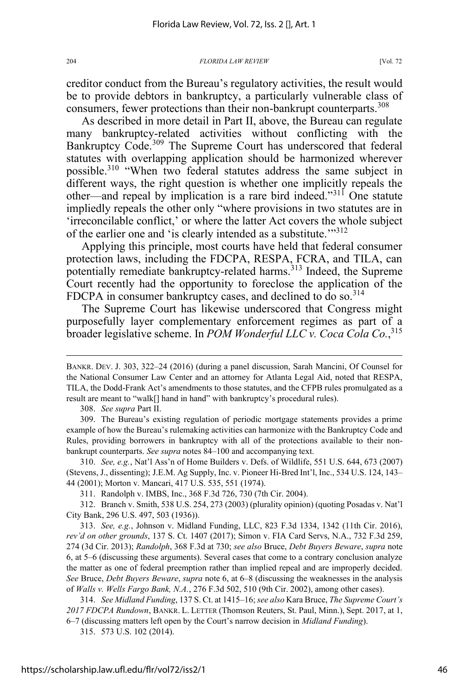creditor conduct from the Bureau's regulatory activities, the result would be to provide debtors in bankruptcy, a particularly vulnerable class of consumers, fewer protections than their non-bankrupt counterparts.<sup>308</sup>

As described in more detail in Part II, above, the Bureau can regulate many bankruptcy-related activities without conflicting with the Bankruptcy Code.<sup>309</sup> The Supreme Court has underscored that federal statutes with overlapping application should be harmonized wherever possible.<sup>310</sup> "When two federal statutes address the same subject in different ways, the right question is whether one implicitly repeals the other—and repeal by implication is a rare bird indeed."<sup>311</sup> One statute impliedly repeals the other only "where provisions in two statutes are in 'irreconcilable conflict,' or where the latter Act covers the whole subject of the earlier one and 'is clearly intended as a substitute.'"<sup>312</sup>

Applying this principle, most courts have held that federal consumer protection laws, including the FDCPA, RESPA, FCRA, and TILA, can potentially remediate bankruptcy-related harms.<sup>313</sup> Indeed, the Supreme Court recently had the opportunity to foreclose the application of the FDCPA in consumer bankruptcy cases, and declined to do so.<sup>314</sup>

The Supreme Court has likewise underscored that Congress might purposefully layer complementary enforcement regimes as part of a broader legislative scheme. In *POM Wonderful LLC v. Coca Cola Co.*, 315

308. *See supra* Part II.

309. The Bureau's existing regulation of periodic mortgage statements provides a prime example of how the Bureau's rulemaking activities can harmonize with the Bankruptcy Code and Rules, providing borrowers in bankruptcy with all of the protections available to their nonbankrupt counterparts. *See supra* notes 84–100 and accompanying text.

310. *See, e.g.*, Nat'l Ass'n of Home Builders v. Defs. of Wildlife, 551 U.S. 644, 673 (2007) (Stevens, J., dissenting); J.E.M. Ag Supply, Inc. v. Pioneer Hi-Bred Int'l, Inc., 534 U.S. 124, 143– 44 (2001); Morton v. Mancari, 417 U.S. 535, 551 (1974).

312. Branch v. Smith, 538 U.S. 254, 273 (2003) (plurality opinion) (quoting Posadas v. Nat'l City Bank, 296 U.S. 497, 503 (1936)).

313. *See, e.g.*, Johnson v. Midland Funding, LLC, 823 F.3d 1334, 1342 (11th Cir. 2016), *rev'd on other grounds*, 137 S. Ct. 1407 (2017); Simon v. FIA Card Servs, N.A., 732 F.3d 259, 274 (3d Cir. 2013); *Randolph*, 368 F.3d at 730; *see also* Bruce, *Debt Buyers Beware*, *supra* note 6, at 5–6 (discussing these arguments). Several cases that come to a contrary conclusion analyze the matter as one of federal preemption rather than implied repeal and are improperly decided. *See* Bruce, *Debt Buyers Beware*, *supra* note 6, at 6–8 (discussing the weaknesses in the analysis of *Walls v. Wells Fargo Bank, N.A.*, 276 F.3d 502, 510 (9th Cir. 2002), among other cases).

314. *See Midland Funding*, 137 S. Ct. at 1415–16; *see also* Kara Bruce, *The Supreme Court's 2017 FDCPA Rundown*, BANKR. L. LETTER (Thomson Reuters, St. Paul, Minn.), Sept. 2017, at 1, 6–7 (discussing matters left open by the Court's narrow decision in *Midland Funding*).

315. 573 U.S. 102 (2014).

BANKR. DEV. J. 303, 322–24 (2016) (during a panel discussion, Sarah Mancini, Of Counsel for the National Consumer Law Center and an attorney for Atlanta Legal Aid, noted that RESPA, TILA, the Dodd-Frank Act's amendments to those statutes, and the CFPB rules promulgated as a result are meant to "walk[] hand in hand" with bankruptcy's procedural rules).

<sup>311.</sup> Randolph v. IMBS, Inc., 368 F.3d 726, 730 (7th Cir. 2004).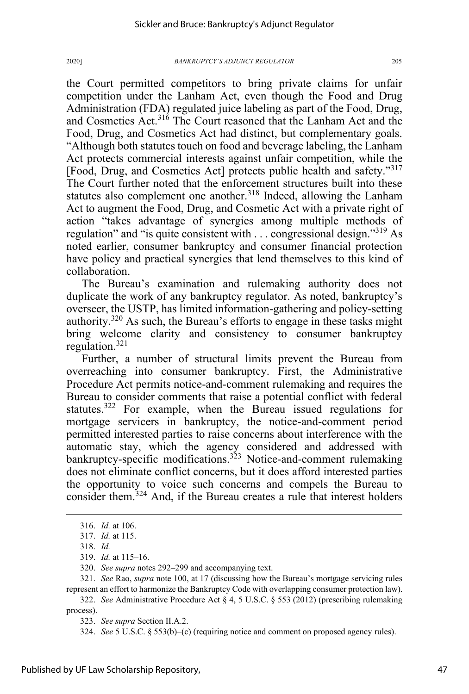the Court permitted competitors to bring private claims for unfair competition under the Lanham Act, even though the Food and Drug Administration (FDA) regulated juice labeling as part of the Food, Drug, and Cosmetics Act.<sup>316</sup> The Court reasoned that the Lanham Act and the Food, Drug, and Cosmetics Act had distinct, but complementary goals. "Although both statutes touch on food and beverage labeling, the Lanham Act protects commercial interests against unfair competition, while the [Food, Drug, and Cosmetics Act] protects public health and safety."<sup>317</sup> The Court further noted that the enforcement structures built into these statutes also complement one another.<sup>318</sup> Indeed, allowing the Lanham Act to augment the Food, Drug, and Cosmetic Act with a private right of action "takes advantage of synergies among multiple methods of regulation" and "is quite consistent with . . . congressional design."<sup>319</sup> As noted earlier, consumer bankruptcy and consumer financial protection have policy and practical synergies that lend themselves to this kind of collaboration.

The Bureau's examination and rulemaking authority does not duplicate the work of any bankruptcy regulator. As noted, bankruptcy's overseer, the USTP, has limited information-gathering and policy-setting authority.<sup>320</sup> As such, the Bureau's efforts to engage in these tasks might bring welcome clarity and consistency to consumer bankruptcy regulation.321

Further, a number of structural limits prevent the Bureau from overreaching into consumer bankruptcy. First, the Administrative Procedure Act permits notice-and-comment rulemaking and requires the Bureau to consider comments that raise a potential conflict with federal statutes.<sup>322</sup> For example, when the Bureau issued regulations for mortgage servicers in bankruptcy, the notice-and-comment period permitted interested parties to raise concerns about interference with the automatic stay, which the agency considered and addressed with bankruptcy-specific modifications.<sup>323</sup> Notice-and-comment rulemaking does not eliminate conflict concerns, but it does afford interested parties the opportunity to voice such concerns and compels the Bureau to consider them.<sup>324</sup> And, if the Bureau creates a rule that interest holders

322. *See* Administrative Procedure Act § 4, 5 U.S.C. § 553 (2012) (prescribing rulemaking process).

<sup>316.</sup> *Id.* at 106.

<sup>317.</sup> *Id.* at 115.

<sup>318.</sup> *Id.*

<sup>319.</sup> *Id.* at 115*–*16.

<sup>320.</sup> *See supra* notes 292–299 and accompanying text.

<sup>321.</sup> *See* Rao, *supra* note 100, at 17 (discussing how the Bureau's mortgage servicing rules represent an effort to harmonize the Bankruptcy Code with overlapping consumer protection law).

<sup>323.</sup> *See supra* Section II.A.2.

<sup>324.</sup> *See* 5 U.S.C. § 553(b)–(c) (requiring notice and comment on proposed agency rules).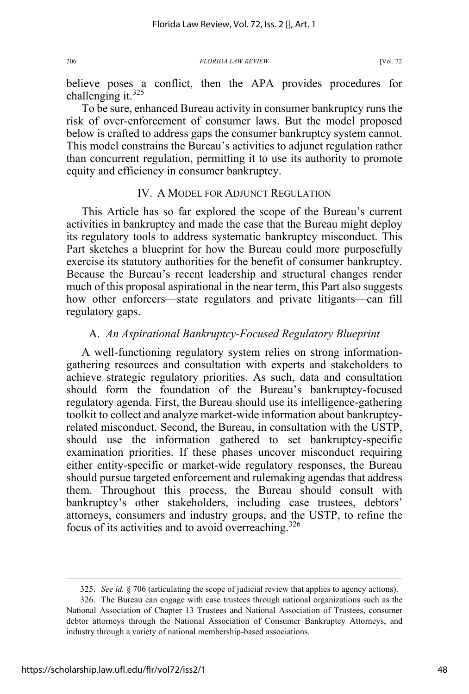believe poses a conflict, then the APA provides procedures for challenging it. $325$ 

To be sure, enhanced Bureau activity in consumer bankruptcy runs the risk of over-enforcement of consumer laws. But the model proposed below is crafted to address gaps the consumer bankruptcy system cannot. This model constrains the Bureau's activities to adjunct regulation rather than concurrent regulation, permitting it to use its authority to promote equity and efficiency in consumer bankruptcy.

# IV. A MODEL FOR ADJUNCT REGULATION

This Article has so far explored the scope of the Bureau's current activities in bankruptcy and made the case that the Bureau might deploy its regulatory tools to address systematic bankruptcy misconduct. This Part sketches a blueprint for how the Bureau could more purposefully exercise its statutory authorities for the benefit of consumer bankruptcy. Because the Bureau's recent leadership and structural changes render much of this proposal aspirational in the near term, this Part also suggests how other enforcers—state regulators and private litigants—can fill regulatory gaps.

# A. *An Aspirational Bankruptcy-Focused Regulatory Blueprint*

A well-functioning regulatory system relies on strong informationgathering resources and consultation with experts and stakeholders to achieve strategic regulatory priorities. As such, data and consultation should form the foundation of the Bureau's bankruptcy-focused regulatory agenda. First, the Bureau should use its intelligence-gathering toolkit to collect and analyze market-wide information about bankruptcyrelated misconduct. Second, the Bureau, in consultation with the USTP, should use the information gathered to set bankruptcy-specific examination priorities. If these phases uncover misconduct requiring either entity-specific or market-wide regulatory responses, the Bureau should pursue targeted enforcement and rulemaking agendas that address them. Throughout this process, the Bureau should consult with bankruptcy's other stakeholders, including case trustees, debtors' attorneys, consumers and industry groups, and the USTP, to refine the focus of its activities and to avoid overreaching.326

<sup>325.</sup> *See id.* § 706 (articulating the scope of judicial review that applies to agency actions).

<sup>326.</sup> The Bureau can engage with case trustees through national organizations such as the National Association of Chapter 13 Trustees and National Association of Trustees, consumer debtor attorneys through the National Association of Consumer Bankruptcy Attorneys, and industry through a variety of national membership-based associations.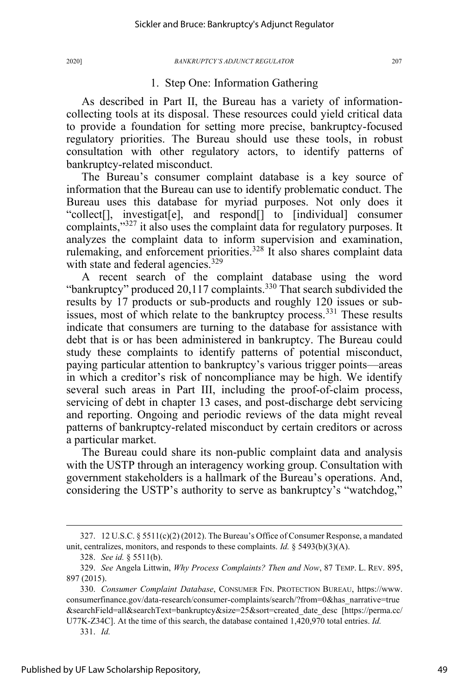# 1. Step One: Information Gathering

As described in Part II, the Bureau has a variety of informationcollecting tools at its disposal. These resources could yield critical data to provide a foundation for setting more precise, bankruptcy-focused regulatory priorities. The Bureau should use these tools, in robust consultation with other regulatory actors, to identify patterns of bankruptcy-related misconduct.

The Bureau's consumer complaint database is a key source of information that the Bureau can use to identify problematic conduct. The Bureau uses this database for myriad purposes. Not only does it "collect[], investigat[e], and respond[] to [individual] consumer complaints,"327 it also uses the complaint data for regulatory purposes. It analyzes the complaint data to inform supervision and examination, rulemaking, and enforcement priorities.<sup>328</sup> It also shares complaint data with state and federal agencies.<sup>329</sup>

A recent search of the complaint database using the word "bankruptcy" produced  $20,117$  complaints.<sup>330</sup> That search subdivided the results by 17 products or sub-products and roughly 120 issues or subissues, most of which relate to the bankruptcy process.<sup>331</sup> These results indicate that consumers are turning to the database for assistance with debt that is or has been administered in bankruptcy. The Bureau could study these complaints to identify patterns of potential misconduct, paying particular attention to bankruptcy's various trigger points—areas in which a creditor's risk of noncompliance may be high. We identify several such areas in Part III, including the proof-of-claim process, servicing of debt in chapter 13 cases, and post-discharge debt servicing and reporting. Ongoing and periodic reviews of the data might reveal patterns of bankruptcy-related misconduct by certain creditors or across a particular market.

The Bureau could share its non-public complaint data and analysis with the USTP through an interagency working group. Consultation with government stakeholders is a hallmark of the Bureau's operations. And, considering the USTP's authority to serve as bankruptcy's "watchdog,"

<sup>327. 12</sup> U.S.C.  $\S 5511(c)(2)(2012)$ . The Bureau's Office of Consumer Response, a mandated unit, centralizes, monitors, and responds to these complaints. *Id.* § 5493(b)(3)(A).

<sup>328.</sup> *See id.* § 5511(b).

<sup>329.</sup> *See* Angela Littwin, *Why Process Complaints? Then and Now*, 87 TEMP. L. REV. 895, 897 (2015).

<sup>330.</sup> *Consumer Complaint Database*, CONSUMER FIN. PROTECTION BUREAU, https://www. consumerfinance.gov/data-research/consumer-complaints/search/?from=0&has\_narrative=true &searchField=all&searchText=bankruptcy&size=25&sort=created\_date\_desc [https://perma.cc/

U77K-Z34C]. At the time of this search, the database contained 1,420,970 total entries. *Id.*  331. *Id.*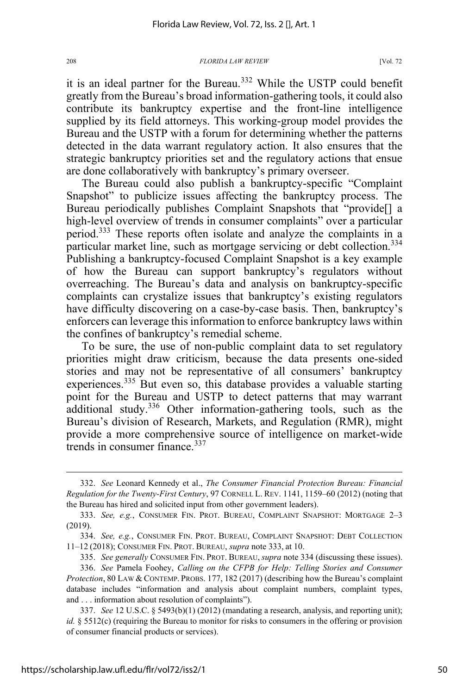it is an ideal partner for the Bureau.<sup>332</sup> While the USTP could benefit greatly from the Bureau's broad information-gathering tools, it could also contribute its bankruptcy expertise and the front-line intelligence supplied by its field attorneys. This working-group model provides the Bureau and the USTP with a forum for determining whether the patterns detected in the data warrant regulatory action. It also ensures that the strategic bankruptcy priorities set and the regulatory actions that ensue are done collaboratively with bankruptcy's primary overseer.

The Bureau could also publish a bankruptcy-specific "Complaint Snapshot" to publicize issues affecting the bankruptcy process. The Bureau periodically publishes Complaint Snapshots that "provide[] a high-level overview of trends in consumer complaints" over a particular period.333 These reports often isolate and analyze the complaints in a particular market line, such as mortgage servicing or debt collection.<sup>334</sup> Publishing a bankruptcy-focused Complaint Snapshot is a key example of how the Bureau can support bankruptcy's regulators without overreaching. The Bureau's data and analysis on bankruptcy-specific complaints can crystalize issues that bankruptcy's existing regulators have difficulty discovering on a case-by-case basis. Then, bankruptcy's enforcers can leverage this information to enforce bankruptcy laws within the confines of bankruptcy's remedial scheme.

To be sure, the use of non-public complaint data to set regulatory priorities might draw criticism, because the data presents one-sided stories and may not be representative of all consumers' bankruptcy experiences.<sup>335</sup> But even so, this database provides a valuable starting point for the Bureau and USTP to detect patterns that may warrant additional study.<sup>336</sup> Other information-gathering tools, such as the Bureau's division of Research, Markets, and Regulation (RMR), might provide a more comprehensive source of intelligence on market-wide trends in consumer finance.<sup>337</sup>

<sup>332.</sup> *See* Leonard Kennedy et al., *The Consumer Financial Protection Bureau: Financial Regulation for the Twenty-First Century*, 97 CORNELL L. REV. 1141, 1159–60 (2012) (noting that the Bureau has hired and solicited input from other government leaders).

<sup>333.</sup> *See, e.g.*, CONSUMER FIN. PROT. BUREAU, COMPLAINT SNAPSHOT: MORTGAGE 2–3 (2019).

<sup>334.</sup> *See, e.g.*, CONSUMER FIN. PROT. BUREAU, COMPLAINT SNAPSHOT: DEBT COLLECTION 11–12 (2018); CONSUMER FIN. PROT. BUREAU, *supra* note 333, at 10.

<sup>335.</sup> *See generally* CONSUMER FIN. PROT. BUREAU, *supra* note 334 (discussing these issues).

<sup>336.</sup> *See* Pamela Foohey, *Calling on the CFPB for Help: Telling Stories and Consumer Protection*, 80 LAW & CONTEMP. PROBS. 177, 182 (2017) (describing how the Bureau's complaint database includes "information and analysis about complaint numbers, complaint types, and . . . information about resolution of complaints").

<sup>337.</sup> *See* 12 U.S.C. § 5493(b)(1) (2012) (mandating a research, analysis, and reporting unit); *id.* § 5512(c) (requiring the Bureau to monitor for risks to consumers in the offering or provision of consumer financial products or services).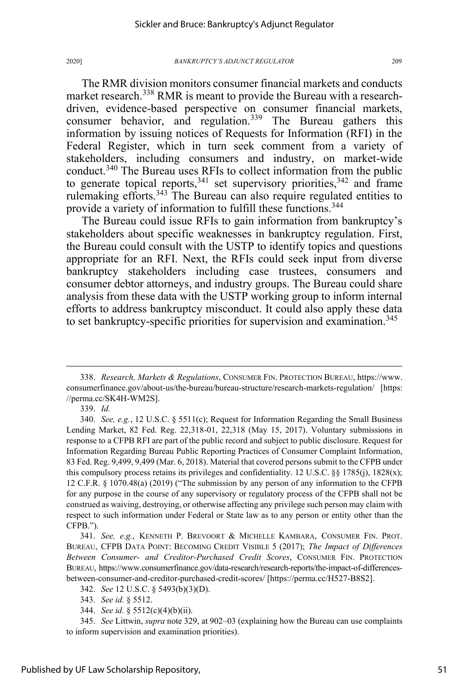The RMR division monitors consumer financial markets and conducts market research.<sup>338</sup> RMR is meant to provide the Bureau with a researchdriven, evidence-based perspective on consumer financial markets, consumer behavior, and regulation.<sup>339</sup> The Bureau gathers this information by issuing notices of Requests for Information (RFI) in the Federal Register, which in turn seek comment from a variety of stakeholders, including consumers and industry, on market-wide conduct.<sup>340</sup> The Bureau uses RFIs to collect information from the public to generate topical reports,  $341$  set supervisory priorities,  $342$  and frame rulemaking efforts.<sup>343</sup> The Bureau can also require regulated entities to provide a variety of information to fulfill these functions.<sup>344</sup>

The Bureau could issue RFIs to gain information from bankruptcy's stakeholders about specific weaknesses in bankruptcy regulation. First, the Bureau could consult with the USTP to identify topics and questions appropriate for an RFI. Next, the RFIs could seek input from diverse bankruptcy stakeholders including case trustees, consumers and consumer debtor attorneys, and industry groups. The Bureau could share analysis from these data with the USTP working group to inform internal efforts to address bankruptcy misconduct. It could also apply these data to set bankruptcy-specific priorities for supervision and examination.<sup>345</sup>

339. *Id.*

344. *See id.* § 5512(c)(4)(b)(ii).

<sup>338.</sup> *Research, Markets & Regulations*, CONSUMER FIN. PROTECTION BUREAU, https://www. consumerfinance.gov/about-us/the-bureau/bureau-structure/research-markets-regulation/ [https: //perma.cc/SK4H-WM2S].

<sup>340.</sup> *See, e.g.*, 12 U.S.C. § 5511(c); Request for Information Regarding the Small Business Lending Market, 82 Fed. Reg. 22,318-01, 22,318 (May 15, 2017). Voluntary submissions in response to a CFPB RFI are part of the public record and subject to public disclosure. Request for Information Regarding Bureau Public Reporting Practices of Consumer Complaint Information, 83 Fed. Reg. 9,499, 9,499 (Mar. 6, 2018). Material that covered persons submit to the CFPB under this compulsory process retains its privileges and confidentiality. 12 U.S.C. §§ 1785(j), 1828(x); 12 C.F.R. § 1070.48(a) (2019) ("The submission by any person of any information to the CFPB for any purpose in the course of any supervisory or regulatory process of the CFPB shall not be construed as waiving, destroying, or otherwise affecting any privilege such person may claim with respect to such information under Federal or State law as to any person or entity other than the CFPB.").

<sup>341.</sup> *See, e.g.*, KENNETH P. BREVOORT & MICHELLE KAMBARA, CONSUMER FIN. PROT. BUREAU, CFPB DATA POINT: BECOMING CREDIT VISIBLE 5 (2017); *The Impact of Differences Between Consumer- and Creditor-Purchased Credit Scores*, CONSUMER FIN. PROTECTION BUREAU, https://www.consumerfinance.gov/data-research/research-reports/the-impact-of-differencesbetween-consumer-and-creditor-purchased-credit-scores/ [https://perma.cc/H527-B8S2].

<sup>342.</sup> *See* 12 U.S.C. § 5493(b)(3)(D).

<sup>343.</sup> *See id.* § 5512.

<sup>345.</sup> *See* Littwin, *supra* note 329, at 902–03 (explaining how the Bureau can use complaints to inform supervision and examination priorities).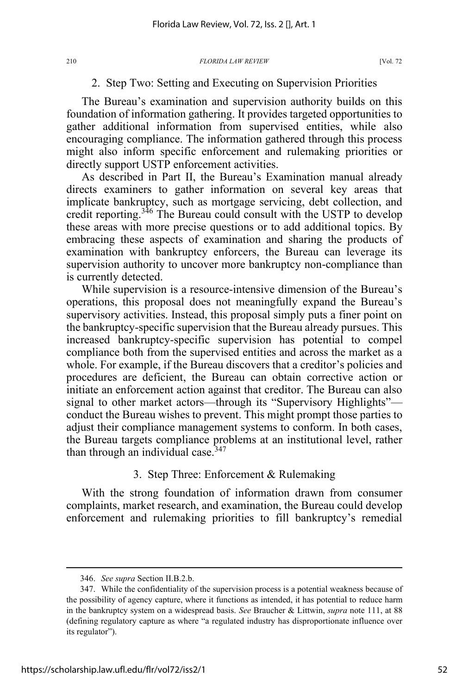# 2. Step Two: Setting and Executing on Supervision Priorities

The Bureau's examination and supervision authority builds on this foundation of information gathering. It provides targeted opportunities to gather additional information from supervised entities, while also encouraging compliance. The information gathered through this process might also inform specific enforcement and rulemaking priorities or directly support USTP enforcement activities.

As described in Part II, the Bureau's Examination manual already directs examiners to gather information on several key areas that implicate bankruptcy, such as mortgage servicing, debt collection, and credit reporting.<sup>346</sup> The Bureau could consult with the USTP to develop these areas with more precise questions or to add additional topics. By embracing these aspects of examination and sharing the products of examination with bankruptcy enforcers, the Bureau can leverage its supervision authority to uncover more bankruptcy non-compliance than is currently detected.

While supervision is a resource-intensive dimension of the Bureau's operations, this proposal does not meaningfully expand the Bureau's supervisory activities. Instead, this proposal simply puts a finer point on the bankruptcy-specific supervision that the Bureau already pursues. This increased bankruptcy-specific supervision has potential to compel compliance both from the supervised entities and across the market as a whole. For example, if the Bureau discovers that a creditor's policies and procedures are deficient, the Bureau can obtain corrective action or initiate an enforcement action against that creditor. The Bureau can also signal to other market actors—through its "Supervisory Highlights" conduct the Bureau wishes to prevent. This might prompt those parties to adjust their compliance management systems to conform. In both cases, the Bureau targets compliance problems at an institutional level, rather than through an individual case.  $347$ 

# 3. Step Three: Enforcement & Rulemaking

With the strong foundation of information drawn from consumer complaints, market research, and examination, the Bureau could develop enforcement and rulemaking priorities to fill bankruptcy's remedial

<sup>346.</sup> *See supra* Section II.B.2.b.

<sup>347.</sup> While the confidentiality of the supervision process is a potential weakness because of the possibility of agency capture, where it functions as intended, it has potential to reduce harm in the bankruptcy system on a widespread basis. *See* Braucher & Littwin, *supra* note 111, at 88 (defining regulatory capture as where "a regulated industry has disproportionate influence over its regulator").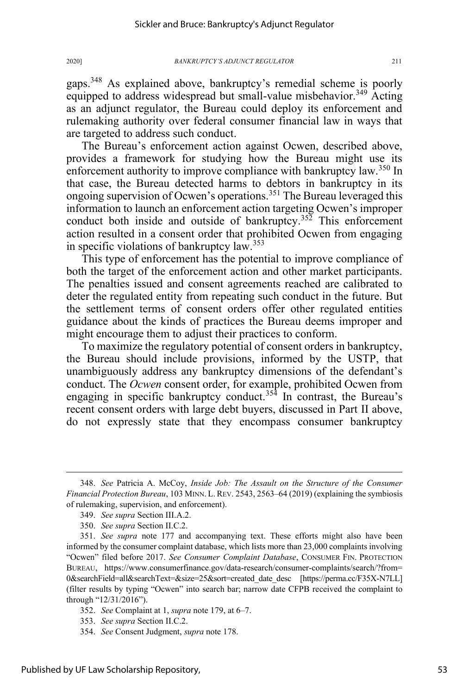gaps.<sup>348</sup> As explained above, bankruptcy's remedial scheme is poorly equipped to address widespread but small-value misbehavior.<sup>349</sup> Acting as an adjunct regulator, the Bureau could deploy its enforcement and rulemaking authority over federal consumer financial law in ways that are targeted to address such conduct.

The Bureau's enforcement action against Ocwen, described above, provides a framework for studying how the Bureau might use its enforcement authority to improve compliance with bankruptcy law.<sup>350</sup> In that case, the Bureau detected harms to debtors in bankruptcy in its ongoing supervision of Ocwen's operations.<sup>351</sup> The Bureau leveraged this information to launch an enforcement action targeting Ocwen's improper conduct both inside and outside of bankruptcy.<sup>352</sup> This enforcement action resulted in a consent order that prohibited Ocwen from engaging in specific violations of bankruptcy law.<sup>353</sup>

This type of enforcement has the potential to improve compliance of both the target of the enforcement action and other market participants. The penalties issued and consent agreements reached are calibrated to deter the regulated entity from repeating such conduct in the future. But the settlement terms of consent orders offer other regulated entities guidance about the kinds of practices the Bureau deems improper and might encourage them to adjust their practices to conform.

To maximize the regulatory potential of consent orders in bankruptcy, the Bureau should include provisions, informed by the USTP, that unambiguously address any bankruptcy dimensions of the defendant's conduct. The *Ocwen* consent order, for example, prohibited Ocwen from engaging in specific bankruptcy conduct.<sup>354</sup> In contrast, the Bureau's recent consent orders with large debt buyers, discussed in Part II above, do not expressly state that they encompass consumer bankruptcy

<sup>348.</sup> *See* Patricia A. McCoy, *Inside Job: The Assault on the Structure of the Consumer Financial Protection Bureau*, 103 MINN. L.REV. 2543, 2563–64 (2019) (explaining the symbiosis of rulemaking, supervision, and enforcement).

<sup>349.</sup> *See supra* Section III.A.2.

<sup>350.</sup> *See supra* Section II.C.2.

<sup>351.</sup> *See supra* note 177 and accompanying text. These efforts might also have been informed by the consumer complaint database, which lists more than 23,000 complaints involving "Ocwen" filed before 2017. *See Consumer Complaint Database*, CONSUMER FIN. PROTECTION BUREAU, https://www.consumerfinance.gov/data-research/consumer-complaints/search/?from= 0&searchField=all&searchText=&size=25&sort=created\_date\_desc [https://perma.cc/F35X-N7LL] (filter results by typing "Ocwen" into search bar; narrow date CFPB received the complaint to through "12/31/2016").

<sup>352.</sup> *See* Complaint at 1, *supra* note 179, at 6–7.

<sup>353.</sup> *See supra* Section II.C.2.

<sup>354.</sup> *See* Consent Judgment, *supra* note 178.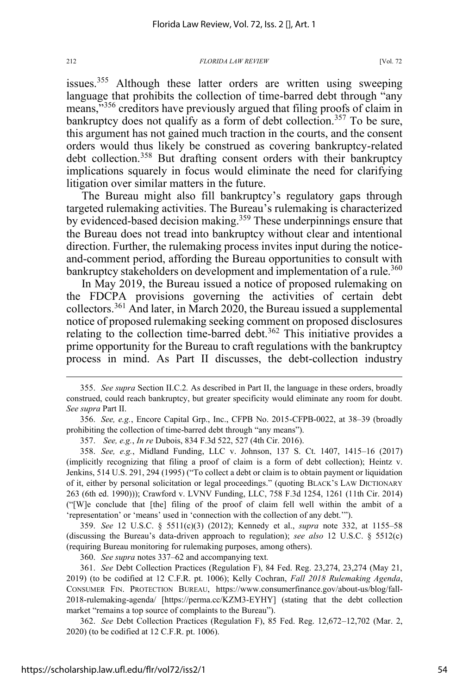issues.<sup>355</sup> Although these latter orders are written using sweeping language that prohibits the collection of time-barred debt through "any means,<sup>3356</sup> creditors have previously argued that filing proofs of claim in bankruptcy does not qualify as a form of debt collection.<sup>357</sup> To be sure, this argument has not gained much traction in the courts, and the consent orders would thus likely be construed as covering bankruptcy-related debt collection.<sup>358</sup> But drafting consent orders with their bankruptcy implications squarely in focus would eliminate the need for clarifying litigation over similar matters in the future.

The Bureau might also fill bankruptcy's regulatory gaps through targeted rulemaking activities. The Bureau's rulemaking is characterized by evidenced-based decision making.<sup>359</sup> These underpinnings ensure that the Bureau does not tread into bankruptcy without clear and intentional direction. Further, the rulemaking process invites input during the noticeand-comment period, affording the Bureau opportunities to consult with bankruptcy stakeholders on development and implementation of a rule.<sup>360</sup>

In May 2019, the Bureau issued a notice of proposed rulemaking on the FDCPA provisions governing the activities of certain debt collectors.<sup>361</sup> And later, in March 2020, the Bureau issued a supplemental notice of proposed rulemaking seeking comment on proposed disclosures relating to the collection time-barred debt.<sup>362</sup> This initiative provides a prime opportunity for the Bureau to craft regulations with the bankruptcy process in mind. As Part II discusses, the debt-collection industry

356. *See, e.g.*, Encore Capital Grp., Inc., CFPB No. 2015-CFPB-0022, at 38–39 (broadly prohibiting the collection of time-barred debt through "any means").

357. *See, e.g.*, *In re* Dubois, 834 F.3d 522, 527 (4th Cir. 2016).

358. *See, e.g.*, Midland Funding, LLC v. Johnson, 137 S. Ct. 1407, 1415–16 (2017) (implicitly recognizing that filing a proof of claim is a form of debt collection); Heintz v. Jenkins, 514 U.S. 291, 294 (1995) ("To collect a debt or claim is to obtain payment or liquidation of it, either by personal solicitation or legal proceedings." (quoting BLACK'S LAW DICTIONARY 263 (6th ed. 1990))); Crawford v. LVNV Funding, LLC, 758 F.3d 1254, 1261 (11th Cir. 2014) ("[W]e conclude that [the] filing of the proof of claim fell well within the ambit of a 'representation' or 'means' used in 'connection with the collection of any debt.'").

359. *See* 12 U.S.C. § 5511(c)(3) (2012); Kennedy et al., *supra* note 332, at 1155–58 (discussing the Bureau's data-driven approach to regulation); *see also* 12 U.S.C. § 5512(c) (requiring Bureau monitoring for rulemaking purposes, among others).

360. *See supra* notes 337–62 and accompanying text*.*

361. *See* Debt Collection Practices (Regulation F), 84 Fed. Reg. 23,274, 23,274 (May 21, 2019) (to be codified at 12 C.F.R. pt. 1006); Kelly Cochran, *Fall 2018 Rulemaking Agenda*, CONSUMER FIN. PROTECTION BUREAU, https://www.consumerfinance.gov/about-us/blog/fall-2018-rulemaking-agenda/ [https://perma.cc/KZM3-EYHY] (stating that the debt collection market "remains a top source of complaints to the Bureau").

362. *See* Debt Collection Practices (Regulation F), 85 Fed. Reg. 12,672–12,702 (Mar. 2, 2020) (to be codified at 12 C.F.R. pt. 1006).

<sup>355.</sup> *See supra* Section II.C.2*.* As described in Part II, the language in these orders, broadly construed, could reach bankruptcy, but greater specificity would eliminate any room for doubt. *See supra* Part II.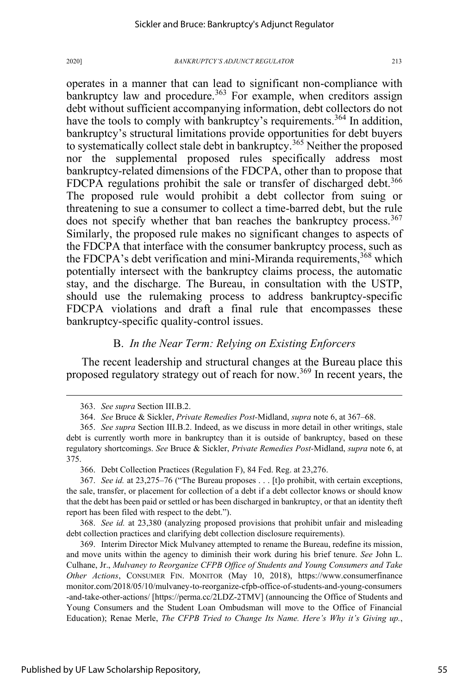operates in a manner that can lead to significant non-compliance with bankruptcy law and procedure.<sup>363</sup> For example, when creditors assign debt without sufficient accompanying information, debt collectors do not have the tools to comply with bankruptcy's requirements.<sup>364</sup> In addition, bankruptcy's structural limitations provide opportunities for debt buyers to systematically collect stale debt in bankruptcy.<sup>365</sup> Neither the proposed nor the supplemental proposed rules specifically address most bankruptcy-related dimensions of the FDCPA, other than to propose that FDCPA regulations prohibit the sale or transfer of discharged debt.<sup>366</sup> The proposed rule would prohibit a debt collector from suing or threatening to sue a consumer to collect a time-barred debt, but the rule does not specify whether that ban reaches the bankruptcy process.<sup>367</sup> Similarly, the proposed rule makes no significant changes to aspects of the FDCPA that interface with the consumer bankruptcy process, such as the FDCPA's debt verification and mini-Miranda requirements,<sup>368</sup> which potentially intersect with the bankruptcy claims process, the automatic

stay, and the discharge. The Bureau, in consultation with the USTP, should use the rulemaking process to address bankruptcy-specific FDCPA violations and draft a final rule that encompasses these bankruptcy-specific quality-control issues.

# B. *In the Near Term: Relying on Existing Enforcers*

The recent leadership and structural changes at the Bureau place this proposed regulatory strategy out of reach for now.<sup>369</sup> In recent years, the

368. *See id.* at 23,380 (analyzing proposed provisions that prohibit unfair and misleading debt collection practices and clarifying debt collection disclosure requirements).

369. Interim Director Mick Mulvaney attempted to rename the Bureau, redefine its mission, and move units within the agency to diminish their work during his brief tenure. *See* John L. Culhane, Jr., *Mulvaney to Reorganize CFPB Office of Students and Young Consumers and Take Other Actions*, CONSUMER FIN. MONITOR (May 10, 2018), https://www.consumerfinance monitor.com/2018/05/10/mulvaney-to-reorganize-cfpb-office-of-students-and-young-consumers -and-take-other-actions/ [https://perma.cc/2LDZ-2TMV] (announcing the Office of Students and Young Consumers and the Student Loan Ombudsman will move to the Office of Financial Education); Renae Merle, *The CFPB Tried to Change Its Name. Here's Why it's Giving up.*,

<sup>363.</sup> *See supra* Section III.B.2.

<sup>364.</sup> *See* Bruce & Sickler, *Private Remedies Post-*Midland, *supra* note 6, at 367–68.

<sup>365.</sup> *See supra* Section III.B.2. Indeed, as we discuss in more detail in other writings, stale debt is currently worth more in bankruptcy than it is outside of bankruptcy, based on these regulatory shortcomings. *See* Bruce & Sickler, *Private Remedies Post-*Midland, *supra* note 6, at 375.

<sup>366.</sup> Debt Collection Practices (Regulation F), 84 Fed. Reg. at 23,276.

<sup>367.</sup> *See id.* at 23,275–76 ("The Bureau proposes . . . [t]o prohibit, with certain exceptions, the sale, transfer, or placement for collection of a debt if a debt collector knows or should know that the debt has been paid or settled or has been discharged in bankruptcy, or that an identity theft report has been filed with respect to the debt.").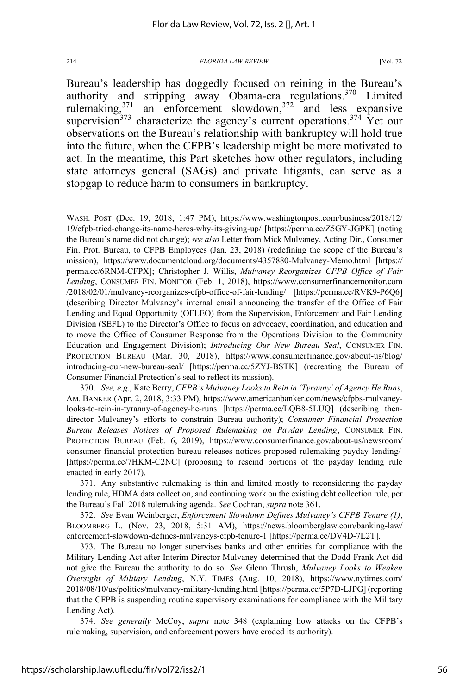Bureau's leadership has doggedly focused on reining in the Bureau's authority and stripping away Obama-era regulations.<sup>370</sup> Limited rulemaking,<sup>371</sup> an enforcement slowdown,<sup>372</sup> and less expansive an enforcement slowdown, $372$ supervision<sup>373</sup> characterize the agency's current operations.<sup>374</sup> Yet our observations on the Bureau's relationship with bankruptcy will hold true into the future, when the CFPB's leadership might be more motivated to act. In the meantime, this Part sketches how other regulators, including state attorneys general (SAGs) and private litigants, can serve as a stopgap to reduce harm to consumers in bankruptcy.

372. *See* Evan Weinberger, *Enforcement Slowdown Defines Mulvaney's CFPB Tenure (1)*, BLOOMBERG L. (Nov. 23, 2018, 5:31 AM), https://news.bloomberglaw.com/banking-law/ enforcement-slowdown-defines-mulvaneys-cfpb-tenure-1 [https://perma.cc/DV4D-7L2T].

373. The Bureau no longer supervises banks and other entities for compliance with the Military Lending Act after Interim Director Mulvaney determined that the Dodd-Frank Act did not give the Bureau the authority to do so. *See* Glenn Thrush, *Mulvaney Looks to Weaken Oversight of Military Lending*, N.Y. TIMES (Aug. 10, 2018), https://www.nytimes.com/ 2018/08/10/us/politics/mulvaney-military-lending.html [https://perma.cc/5P7D-LJPG] (reporting that the CFPB is suspending routine supervisory examinations for compliance with the Military Lending Act).

374. *See generally* McCoy, *supra* note 348 (explaining how attacks on the CFPB's rulemaking, supervision, and enforcement powers have eroded its authority).

WASH. POST (Dec. 19, 2018, 1:47 PM), https://www.washingtonpost.com/business/2018/12/ 19/cfpb-tried-change-its-name-heres-why-its-giving-up/ [https://perma.cc/Z5GY-JGPK] (noting the Bureau's name did not change); *see also* Letter from Mick Mulvaney, Acting Dir., Consumer Fin. Prot. Bureau, to CFPB Employees (Jan. 23, 2018) (redefining the scope of the Bureau's mission), https://www.documentcloud.org/documents/4357880-Mulvaney-Memo.html [https:// perma.cc/6RNM-CFPX]; Christopher J. Willis, *Mulvaney Reorganizes CFPB Office of Fair Lending*, CONSUMER FIN. MONITOR (Feb. 1, 2018), https://www.consumerfinancemonitor.com /2018/02/01/mulvaney-reorganizes-cfpb-office-of-fair-lending/ [https://perma.cc/RVK9-P6Q6] (describing Director Mulvaney's internal email announcing the transfer of the Office of Fair Lending and Equal Opportunity (OFLEO) from the Supervision, Enforcement and Fair Lending Division (SEFL) to the Director's Office to focus on advocacy, coordination, and education and to move the Office of Consumer Response from the Operations Division to the Community Education and Engagement Division); *Introducing Our New Bureau Seal*, CONSUMER FIN. PROTECTION BUREAU (Mar. 30, 2018), https://www.consumerfinance.gov/about-us/blog/ introducing-our-new-bureau-seal/ [https://perma.cc/5ZYJ-BSTK] (recreating the Bureau of Consumer Financial Protection's seal to reflect its mission).

<sup>370.</sup> *See, e.g.*, Kate Berry, *CFPB's Mulvaney Looks to Rein in 'Tyranny' of Agency He Runs*, AM. BANKER (Apr. 2, 2018, 3:33 PM), https://www.americanbanker.com/news/cfpbs-mulvaneylooks-to-rein-in-tyranny-of-agency-he-runs [https://perma.cc/LQB8-5LUQ] (describing thendirector Mulvaney's efforts to constrain Bureau authority); *Consumer Financial Protection Bureau Releases Notices of Proposed Rulemaking on Payday Lending*, CONSUMER FIN. PROTECTION BUREAU (Feb. 6, 2019), https://www.consumerfinance.gov/about-us/newsroom/ consumer-financial-protection-bureau-releases-notices-proposed-rulemaking-payday-lending/ [https://perma.cc/7HKM-C2NC] (proposing to rescind portions of the payday lending rule enacted in early 2017).

<sup>371.</sup> Any substantive rulemaking is thin and limited mostly to reconsidering the payday lending rule, HDMA data collection, and continuing work on the existing debt collection rule, per the Bureau's Fall 2018 rulemaking agenda. *See* Cochran, *supra* note 361.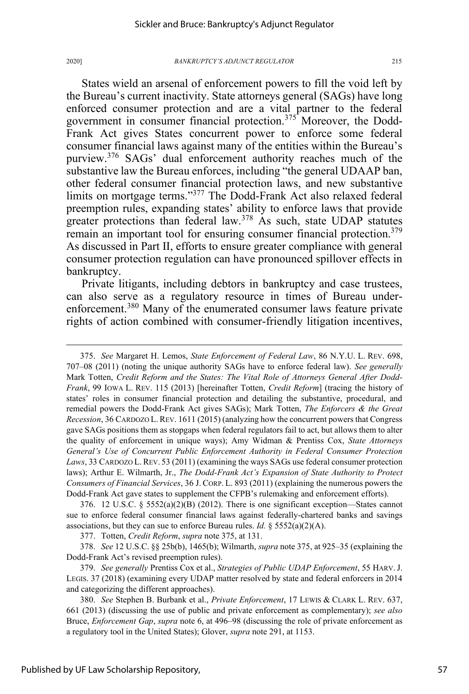States wield an arsenal of enforcement powers to fill the void left by the Bureau's current inactivity. State attorneys general (SAGs) have long enforced consumer protection and are a vital partner to the federal government in consumer financial protection.<sup>375</sup> Moreover, the Dodd-Frank Act gives States concurrent power to enforce some federal consumer financial laws against many of the entities within the Bureau's purview.<sup>376</sup> SAGs' dual enforcement authority reaches much of the substantive law the Bureau enforces, including "the general UDAAP ban, other federal consumer financial protection laws, and new substantive limits on mortgage terms."<sup>377</sup> The Dodd-Frank Act also relaxed federal preemption rules, expanding states' ability to enforce laws that provide greater protections than federal law.<sup>378</sup> As such, state UDAP statutes remain an important tool for ensuring consumer financial protection.379 As discussed in Part II, efforts to ensure greater compliance with general consumer protection regulation can have pronounced spillover effects in bankruptcy.

Private litigants, including debtors in bankruptcy and case trustees, can also serve as a regulatory resource in times of Bureau underenforcement.<sup>380</sup> Many of the enumerated consumer laws feature private rights of action combined with consumer-friendly litigation incentives,

375. *See* Margaret H. Lemos, *State Enforcement of Federal Law*, 86 N.Y.U. L. REV. 698, 707–08 (2011) (noting the unique authority SAGs have to enforce federal law). *See generally* Mark Totten, *Credit Reform and the States: The Vital Role of Attorneys General After Dodd-Frank*, 99 IOWA L. REV. 115 (2013) [hereinafter Totten, *Credit Reform*] (tracing the history of states' roles in consumer financial protection and detailing the substantive, procedural, and remedial powers the Dodd-Frank Act gives SAGs); Mark Totten, *The Enforcers & the Great Recession*, 36 CARDOZO L.REV. 1611 (2015) (analyzing how the concurrent powers that Congress gave SAGs positions them as stopgaps when federal regulators fail to act, but allows them to alter the quality of enforcement in unique ways); Amy Widman & Prentiss Cox, *State Attorneys General's Use of Concurrent Public Enforcement Authority in Federal Consumer Protection Laws*, 33 CARDOZO L.REV. 53 (2011) (examining the ways SAGs use federal consumer protection laws); Arthur E. Wilmarth, Jr., *The Dodd-Frank Act's Expansion of State Authority to Protect Consumers of Financial Services*, 36 J. CORP. L. 893 (2011) (explaining the numerous powers the Dodd-Frank Act gave states to supplement the CFPB's rulemaking and enforcement efforts).

376. 12 U.S.C. § 5552(a)(2)(B) (2012). There is one significant exception—States cannot sue to enforce federal consumer financial laws against federally-chartered banks and savings associations, but they can sue to enforce Bureau rules. *Id.*  $\S$  5552(a)(2)(A).

377. Totten, *Credit Reform*, *supra* note 375, at 131.

378. *See* 12 U.S.C. §§ 25b(b), 1465(b); Wilmarth, *supra* note 375, at 925–35 (explaining the Dodd-Frank Act's revised preemption rules).

379. *See generally* Prentiss Cox et al., *Strategies of Public UDAP Enforcement*, 55 HARV.J. LEGIS. 37 (2018) (examining every UDAP matter resolved by state and federal enforcers in 2014 and categorizing the different approaches).

380. *See* Stephen B. Burbank et al., *Private Enforcement*, 17 LEWIS & CLARK L. REV. 637, 661 (2013) (discussing the use of public and private enforcement as complementary); *see also*  Bruce, *Enforcement Gap*, *supra* note 6, at 496–98 (discussing the role of private enforcement as a regulatory tool in the United States); Glover, *supra* note 291, at 1153.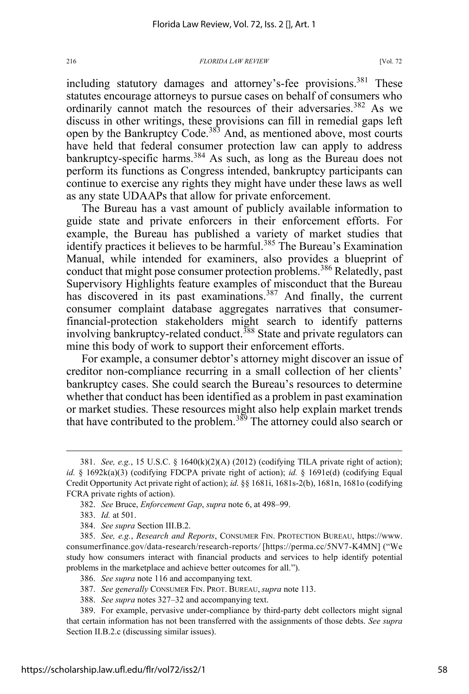including statutory damages and attorney's-fee provisions.<sup>381</sup> These statutes encourage attorneys to pursue cases on behalf of consumers who ordinarily cannot match the resources of their adversaries.<sup>382</sup> As we discuss in other writings, these provisions can fill in remedial gaps left open by the Bankruptcy Code.<sup>383</sup> And, as mentioned above, most courts have held that federal consumer protection law can apply to address bankruptcy-specific harms.<sup>384</sup> As such, as long as the Bureau does not perform its functions as Congress intended, bankruptcy participants can continue to exercise any rights they might have under these laws as well as any state UDAAPs that allow for private enforcement.

The Bureau has a vast amount of publicly available information to guide state and private enforcers in their enforcement efforts. For example, the Bureau has published a variety of market studies that identify practices it believes to be harmful.<sup>385</sup> The Bureau's Examination Manual, while intended for examiners, also provides a blueprint of conduct that might pose consumer protection problems.<sup>386</sup> Relatedly, past Supervisory Highlights feature examples of misconduct that the Bureau has discovered in its past examinations.<sup>387</sup> And finally, the current consumer complaint database aggregates narratives that consumerfinancial-protection stakeholders might search to identify patterns involving bankruptcy-related conduct.<sup>388</sup> State and private regulators can mine this body of work to support their enforcement efforts.

For example, a consumer debtor's attorney might discover an issue of creditor non-compliance recurring in a small collection of her clients' bankruptcy cases. She could search the Bureau's resources to determine whether that conduct has been identified as a problem in past examination or market studies. These resources might also help explain market trends that have contributed to the problem.<sup>389</sup> The attorney could also search or

384. *See supra* Section III.B.2.

- 387. *See generally* CONSUMER FIN. PROT. BUREAU, *supra* note 113.
- 388. *See supra* notes 327–32 and accompanying text.

<sup>381.</sup> *See, e.g.*, 15 U.S.C. § 1640(k)(2)(A) (2012) (codifying TILA private right of action); *id.* § 1692k(a)(3) (codifying FDCPA private right of action); *id.* § 1691e(d) (codifying Equal Credit Opportunity Act private right of action); *id.* §§ 1681i, 1681s-2(b), 1681n, 1681o (codifying FCRA private rights of action).

<sup>382.</sup> *See* Bruce, *Enforcement Gap*, *supra* note 6, at 498–99.

<sup>383.</sup> *Id.* at 501.

<sup>385.</sup> *See, e.g.*, *Research and Reports*, CONSUMER FIN. PROTECTION BUREAU, https://www. consumerfinance.gov/data-research/research-reports*/* [https://perma.cc/5NV7-K4MN] ("We study how consumers interact with financial products and services to help identify potential problems in the marketplace and achieve better outcomes for all.").

<sup>386.</sup> *See supra* note 116 and accompanying text.

<sup>389.</sup> For example, pervasive under-compliance by third-party debt collectors might signal that certain information has not been transferred with the assignments of those debts. *See supra*  Section II.B.2.c (discussing similar issues).